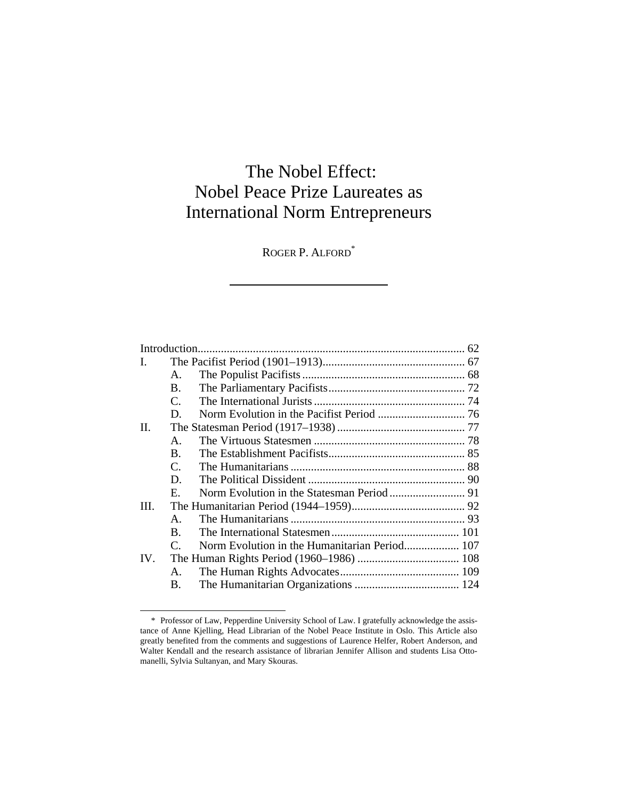# The Nobel Effect: Nobel Peace Prize Laureates as International Norm Entrepreneurs

ROGER P. ALFORD<sup>\*</sup>

| A.                    |                                               |  |
|-----------------------|-----------------------------------------------|--|
| <b>B.</b>             |                                               |  |
| $\mathcal{C}_{\cdot}$ |                                               |  |
| D.                    |                                               |  |
|                       |                                               |  |
| $\mathsf{A}$ .        |                                               |  |
| $\bf{B}$ .            |                                               |  |
| $\mathcal{C}$ .       |                                               |  |
| D.                    |                                               |  |
| Е.                    |                                               |  |
|                       |                                               |  |
| $\mathsf{A}$ .        |                                               |  |
| $\bf{B}$ .            |                                               |  |
| C                     | Norm Evolution in the Humanitarian Period 107 |  |
|                       |                                               |  |
| Α.                    |                                               |  |
| B.                    |                                               |  |
|                       |                                               |  |

<sup>\*</sup> Professor of Law, Pepperdine University School of Law. I gratefully acknowledge the assistance of Anne Kjelling, Head Librarian of the Nobel Peace Institute in Oslo. This Article also greatly benefited from the comments and suggestions of Laurence Helfer, Robert Anderson, and Walter Kendall and the research assistance of librarian Jennifer Allison and students Lisa Ottomanelli, Sylvia Sultanyan, and Mary Skouras.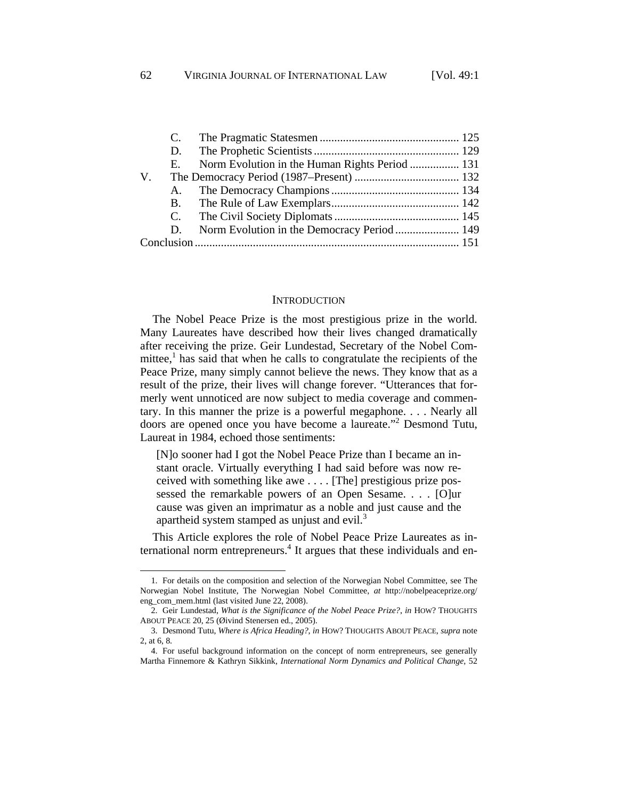|    | E. | Norm Evolution in the Human Rights Period  131 |  |
|----|----|------------------------------------------------|--|
| V. |    |                                                |  |
|    |    |                                                |  |
|    |    |                                                |  |
|    |    |                                                |  |
|    | D. | Norm Evolution in the Democracy Period  149    |  |
|    |    |                                                |  |

#### **INTRODUCTION**

The Nobel Peace Prize is the most prestigious prize in the world. Many Laureates have described how their lives changed dramatically after receiving the prize. Geir Lundestad, Secretary of the Nobel Committee, $<sup>1</sup>$  has said that when he calls to congratulate the recipients of the</sup> Peace Prize, many simply cannot believe the news. They know that as a result of the prize, their lives will change forever. "Utterances that formerly went unnoticed are now subject to media coverage and commentary. In this manner the prize is a powerful megaphone. . . . Nearly all doors are opened once you have become a laureate."2 Desmond Tutu, Laureat in 1984, echoed those sentiments:

[N]o sooner had I got the Nobel Peace Prize than I became an instant oracle. Virtually everything I had said before was now received with something like awe . . . . [The] prestigious prize possessed the remarkable powers of an Open Sesame. . . . [O]ur cause was given an imprimatur as a noble and just cause and the apartheid system stamped as unjust and evil.<sup>3</sup>

This Article explores the role of Nobel Peace Prize Laureates as international norm entrepreneurs.<sup>4</sup> It argues that these individuals and en-

<sup>1.</sup> For details on the composition and selection of the Norwegian Nobel Committee, see The Norwegian Nobel Institute, The Norwegian Nobel Committee, *at* http://nobelpeaceprize.org/ eng\_com\_mem.html (last visited June 22, 2008).

<sup>2.</sup> Geir Lundestad, *What is the Significance of the Nobel Peace Prize?*, *in* HOW? THOUGHTS ABOUT PEACE 20, 25 (Øivind Stenersen ed., 2005).

<sup>3.</sup> Desmond Tutu, *Where is Africa Heading?*, *in* HOW? THOUGHTS ABOUT PEACE, *supra* note 2, at 6, 8.

<sup>4.</sup> For useful background information on the concept of norm entrepreneurs, see generally Martha Finnemore & Kathryn Sikkink*, International Norm Dynamics and Political Change*, 52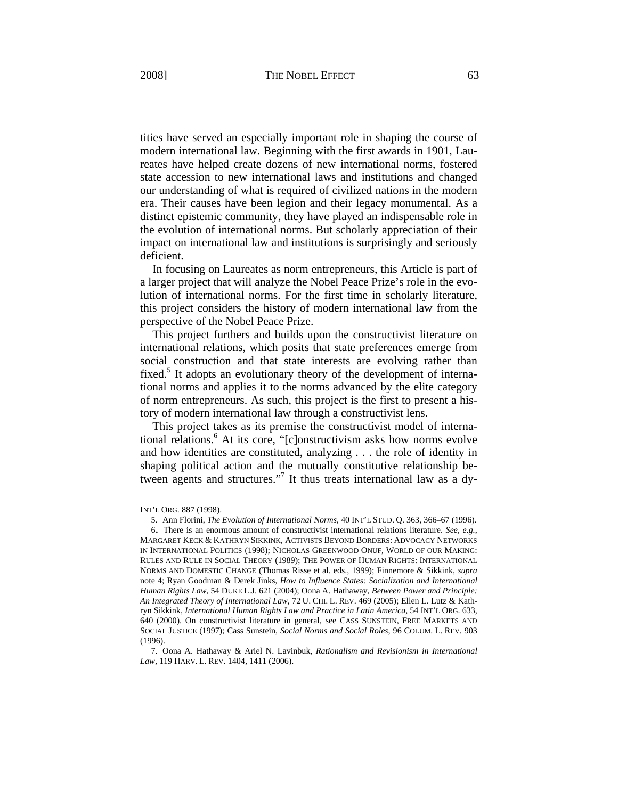tities have served an especially important role in shaping the course of modern international law. Beginning with the first awards in 1901, Laureates have helped create dozens of new international norms, fostered state accession to new international laws and institutions and changed our understanding of what is required of civilized nations in the modern era. Their causes have been legion and their legacy monumental. As a distinct epistemic community, they have played an indispensable role in the evolution of international norms. But scholarly appreciation of their impact on international law and institutions is surprisingly and seriously deficient.

In focusing on Laureates as norm entrepreneurs, this Article is part of a larger project that will analyze the Nobel Peace Prize's role in the evolution of international norms. For the first time in scholarly literature, this project considers the history of modern international law from the perspective of the Nobel Peace Prize.

This project furthers and builds upon the constructivist literature on international relations, which posits that state preferences emerge from social construction and that state interests are evolving rather than fixed.<sup>5</sup> It adopts an evolutionary theory of the development of international norms and applies it to the norms advanced by the elite category of norm entrepreneurs. As such, this project is the first to present a history of modern international law through a constructivist lens.

This project takes as its premise the constructivist model of international relations.<sup>6</sup> At its core, "[c]onstructivism asks how norms evolve and how identities are constituted, analyzing . . . the role of identity in shaping political action and the mutually constitutive relationship between agents and structures."7 It thus treats international law as a dy-

l

INT'L ORG. 887 (1998).

<sup>5.</sup> Ann Florini, *The Evolution of International Norms*, 40 INT'L STUD. Q. 363, 366–67 (1996).

<sup>6.</sup> There is an enormous amount of constructivist international relations literature. *See, e.g.*, MARGARET KECK & KATHRYN SIKKINK, ACTIVISTS BEYOND BORDERS: ADVOCACY NETWORKS IN INTERNATIONAL POLITICS (1998); NICHOLAS GREENWOOD ONUF, WORLD OF OUR MAKING: RULES AND RULE IN SOCIAL THEORY (1989); THE POWER OF HUMAN RIGHTS: INTERNATIONAL NORMS AND DOMESTIC CHANGE (Thomas Risse et al. eds., 1999); Finnemore & Sikkink, *supra* note 4; Ryan Goodman & Derek Jinks, *How to Influence States: Socialization and International Human Rights Law*, 54 DUKE L.J. 621 (2004); Oona A. Hathaway, *Between Power and Principle: An Integrated Theory of International Law*, 72 U. CHI. L. REV. 469 (2005); Ellen L. Lutz & Kathryn Sikkink, *International Human Rights Law and Practice in Latin America*, 54 INT'L ORG. 633, 640 (2000). On constructivist literature in general, see CASS SUNSTEIN, FREE MARKETS AND SOCIAL JUSTICE (1997); Cass Sunstein, *Social Norms and Social Roles*, 96 COLUM. L. REV. 903 (1996).

<sup>7.</sup> Oona A. Hathaway & Ariel N. Lavinbuk, *Rationalism and Revisionism in International Law*, 119 HARV. L. REV. 1404, 1411 (2006).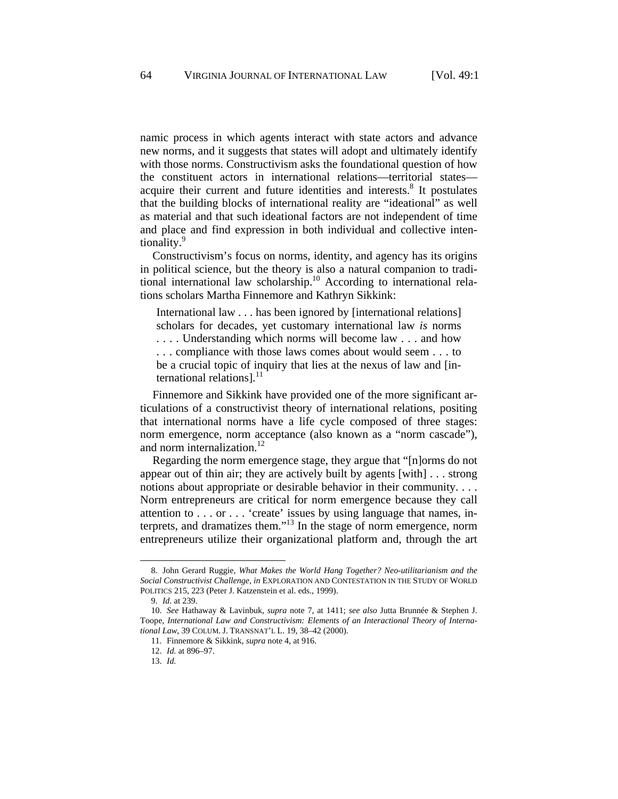namic process in which agents interact with state actors and advance new norms, and it suggests that states will adopt and ultimately identify with those norms. Constructivism asks the foundational question of how the constituent actors in international relations—territorial states acquire their current and future identities and interests. $8$  It postulates that the building blocks of international reality are "ideational" as well as material and that such ideational factors are not independent of time and place and find expression in both individual and collective intentionality.<sup>9</sup>

Constructivism's focus on norms, identity, and agency has its origins in political science, but the theory is also a natural companion to traditional international law scholarship.<sup>10</sup> According to international relations scholars Martha Finnemore and Kathryn Sikkink:

International law . . . has been ignored by [international relations] scholars for decades, yet customary international law *is* norms . . . . Understanding which norms will become law . . . and how . . . compliance with those laws comes about would seem . . . to be a crucial topic of inquiry that lies at the nexus of law and [international relationsl.<sup>11</sup>

Finnemore and Sikkink have provided one of the more significant articulations of a constructivist theory of international relations, positing that international norms have a life cycle composed of three stages: norm emergence, norm acceptance (also known as a "norm cascade"), and norm internalization.<sup>12</sup>

Regarding the norm emergence stage, they argue that "[n]orms do not appear out of thin air; they are actively built by agents [with] . . . strong notions about appropriate or desirable behavior in their community. . . . Norm entrepreneurs are critical for norm emergence because they call attention to . . . or . . . 'create' issues by using language that names, interprets, and dramatizes them."13 In the stage of norm emergence, norm entrepreneurs utilize their organizational platform and, through the art

<sup>8.</sup> John Gerard Ruggie, *What Makes the World Hang Together? Neo-utilitarianism and the Social Constructivist Challenge*, *in* EXPLORATION AND CONTESTATION IN THE STUDY OF WORLD POLITICS 215, 223 (Peter J. Katzenstein et al. eds., 1999).

<sup>9.</sup> *Id.* at 239.

<sup>10.</sup> *See* Hathaway & Lavinbuk, *supra* note 7, at 1411; *see also* Jutta Brunnée & Stephen J. Toope, *International Law and Constructivism: Elements of an Interactional Theory of International Law*, 39 COLUM. J. TRANSNAT'L L. 19, 38–42 (2000).

<sup>11.</sup> Finnemore & Sikkink, *supra* note 4, at 916.

<sup>12.</sup> *Id.* at 896–97.

<sup>13.</sup> *Id.*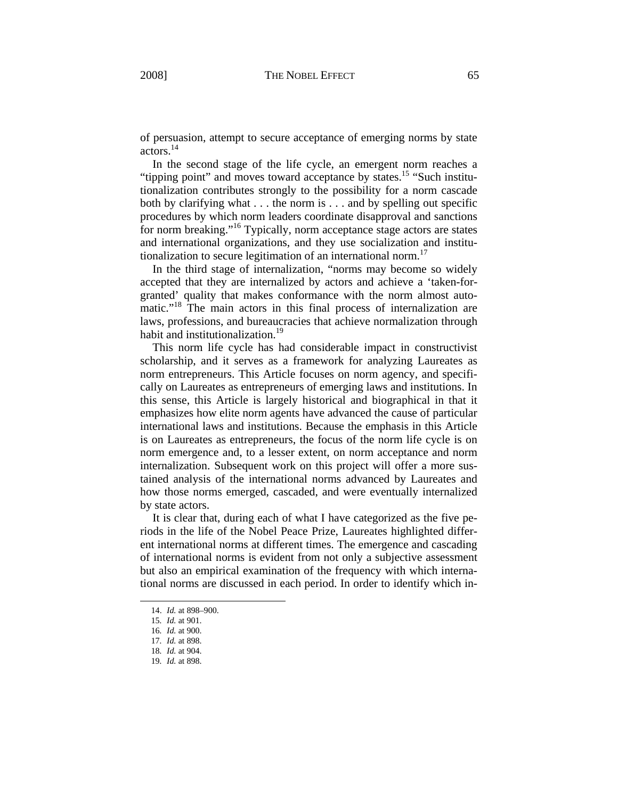of persuasion, attempt to secure acceptance of emerging norms by state actors.14

In the second stage of the life cycle, an emergent norm reaches a "tipping point" and moves toward acceptance by states.<sup>15</sup> "Such institutionalization contributes strongly to the possibility for a norm cascade both by clarifying what . . . the norm is . . . and by spelling out specific procedures by which norm leaders coordinate disapproval and sanctions for norm breaking."16 Typically, norm acceptance stage actors are states and international organizations, and they use socialization and institutionalization to secure legitimation of an international norm.<sup>17</sup>

In the third stage of internalization, "norms may become so widely accepted that they are internalized by actors and achieve a 'taken-forgranted' quality that makes conformance with the norm almost automatic."18 The main actors in this final process of internalization are laws, professions, and bureaucracies that achieve normalization through habit and institutionalization.<sup>19</sup>

This norm life cycle has had considerable impact in constructivist scholarship, and it serves as a framework for analyzing Laureates as norm entrepreneurs. This Article focuses on norm agency, and specifically on Laureates as entrepreneurs of emerging laws and institutions. In this sense, this Article is largely historical and biographical in that it emphasizes how elite norm agents have advanced the cause of particular international laws and institutions. Because the emphasis in this Article is on Laureates as entrepreneurs, the focus of the norm life cycle is on norm emergence and, to a lesser extent, on norm acceptance and norm internalization. Subsequent work on this project will offer a more sustained analysis of the international norms advanced by Laureates and how those norms emerged, cascaded, and were eventually internalized by state actors.

It is clear that, during each of what I have categorized as the five periods in the life of the Nobel Peace Prize, Laureates highlighted different international norms at different times. The emergence and cascading of international norms is evident from not only a subjective assessment but also an empirical examination of the frequency with which international norms are discussed in each period. In order to identify which in-

<sup>14.</sup> *Id.* at 898–900.

<sup>15</sup>*. Id.* at 901.

<sup>16</sup>*. Id.* at 900.

<sup>17</sup>*. Id.* at 898.

<sup>18</sup>*. Id.* at 904.

<sup>19</sup>*. Id.* at 898.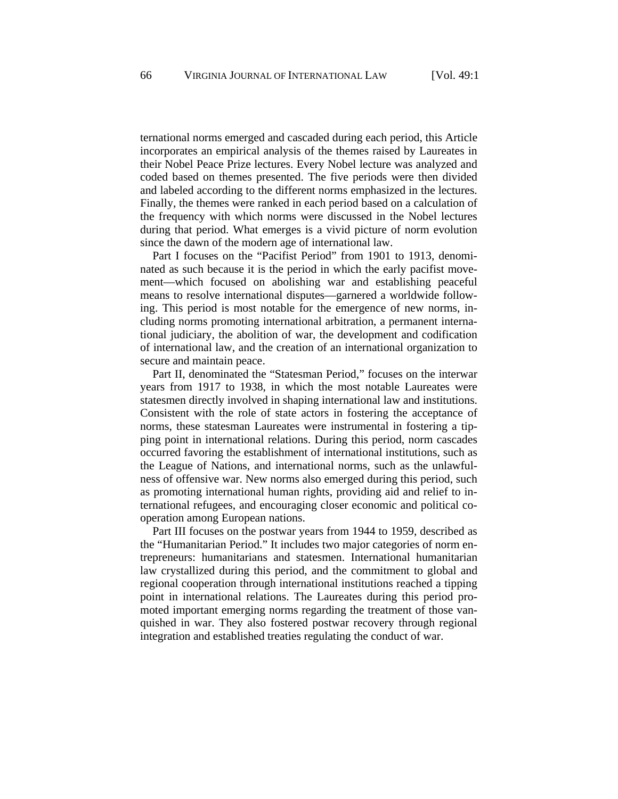ternational norms emerged and cascaded during each period, this Article incorporates an empirical analysis of the themes raised by Laureates in their Nobel Peace Prize lectures. Every Nobel lecture was analyzed and coded based on themes presented. The five periods were then divided and labeled according to the different norms emphasized in the lectures. Finally, the themes were ranked in each period based on a calculation of the frequency with which norms were discussed in the Nobel lectures during that period. What emerges is a vivid picture of norm evolution since the dawn of the modern age of international law.

Part I focuses on the "Pacifist Period" from 1901 to 1913, denominated as such because it is the period in which the early pacifist movement—which focused on abolishing war and establishing peaceful means to resolve international disputes—garnered a worldwide following. This period is most notable for the emergence of new norms, including norms promoting international arbitration, a permanent international judiciary, the abolition of war, the development and codification of international law, and the creation of an international organization to secure and maintain peace.

Part II, denominated the "Statesman Period," focuses on the interwar years from 1917 to 1938, in which the most notable Laureates were statesmen directly involved in shaping international law and institutions. Consistent with the role of state actors in fostering the acceptance of norms, these statesman Laureates were instrumental in fostering a tipping point in international relations. During this period, norm cascades occurred favoring the establishment of international institutions, such as the League of Nations, and international norms, such as the unlawfulness of offensive war. New norms also emerged during this period, such as promoting international human rights, providing aid and relief to international refugees, and encouraging closer economic and political cooperation among European nations.

Part III focuses on the postwar years from 1944 to 1959, described as the "Humanitarian Period." It includes two major categories of norm entrepreneurs: humanitarians and statesmen. International humanitarian law crystallized during this period, and the commitment to global and regional cooperation through international institutions reached a tipping point in international relations. The Laureates during this period promoted important emerging norms regarding the treatment of those vanquished in war. They also fostered postwar recovery through regional integration and established treaties regulating the conduct of war.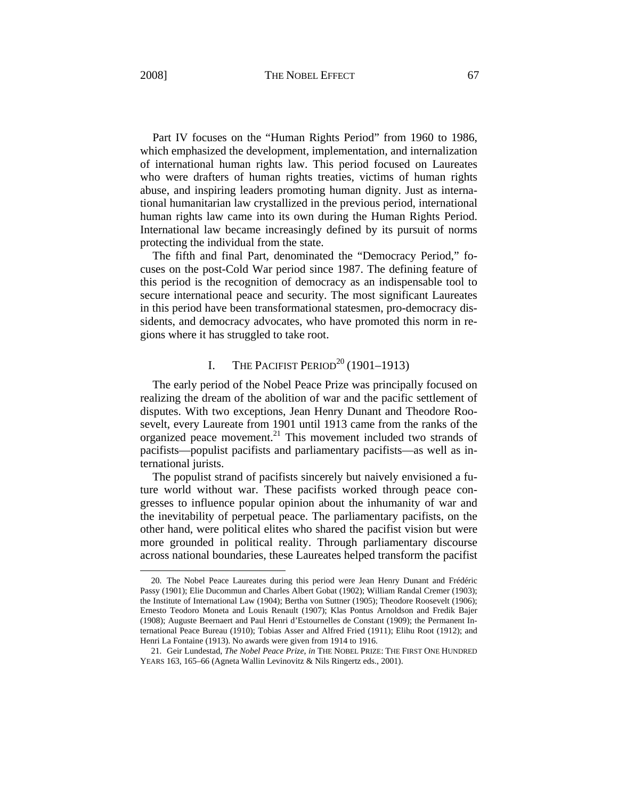1

Part IV focuses on the "Human Rights Period" from 1960 to 1986, which emphasized the development, implementation, and internalization of international human rights law. This period focused on Laureates who were drafters of human rights treaties, victims of human rights abuse, and inspiring leaders promoting human dignity. Just as international humanitarian law crystallized in the previous period, international human rights law came into its own during the Human Rights Period. International law became increasingly defined by its pursuit of norms protecting the individual from the state.

The fifth and final Part, denominated the "Democracy Period," focuses on the post-Cold War period since 1987. The defining feature of this period is the recognition of democracy as an indispensable tool to secure international peace and security. The most significant Laureates in this period have been transformational statesmen, pro-democracy dissidents, and democracy advocates, who have promoted this norm in regions where it has struggled to take root.

# I. THE PACIFIST PERIOD<sup>20</sup> (1901–1913)

The early period of the Nobel Peace Prize was principally focused on realizing the dream of the abolition of war and the pacific settlement of disputes. With two exceptions, Jean Henry Dunant and Theodore Roosevelt, every Laureate from 1901 until 1913 came from the ranks of the organized peace movement.<sup>21</sup> This movement included two strands of pacifists—populist pacifists and parliamentary pacifists—as well as international jurists.

The populist strand of pacifists sincerely but naively envisioned a future world without war. These pacifists worked through peace congresses to influence popular opinion about the inhumanity of war and the inevitability of perpetual peace. The parliamentary pacifists, on the other hand, were political elites who shared the pacifist vision but were more grounded in political reality. Through parliamentary discourse across national boundaries, these Laureates helped transform the pacifist

<sup>20</sup>*.* The Nobel Peace Laureates during this period were Jean Henry Dunant and Frédéric Passy (1901); Elie Ducommun and Charles Albert Gobat (1902); William Randal Cremer (1903); the Institute of International Law (1904); Bertha von Suttner (1905); Theodore Roosevelt (1906); Ernesto Teodoro Moneta and Louis Renault (1907); Klas Pontus Arnoldson and Fredik Bajer (1908); Auguste Beernaert and Paul Henri d'Estournelles de Constant (1909); the Permanent International Peace Bureau (1910); Tobias Asser and Alfred Fried (1911); Elihu Root (1912); and Henri La Fontaine (1913). No awards were given from 1914 to 1916.

<sup>21</sup>*.* Geir Lundestad, *The Nobel Peace Prize*, *in* THE NOBEL PRIZE: THE FIRST ONE HUNDRED YEARS 163, 165–66 (Agneta Wallin Levinovitz & Nils Ringertz eds., 2001).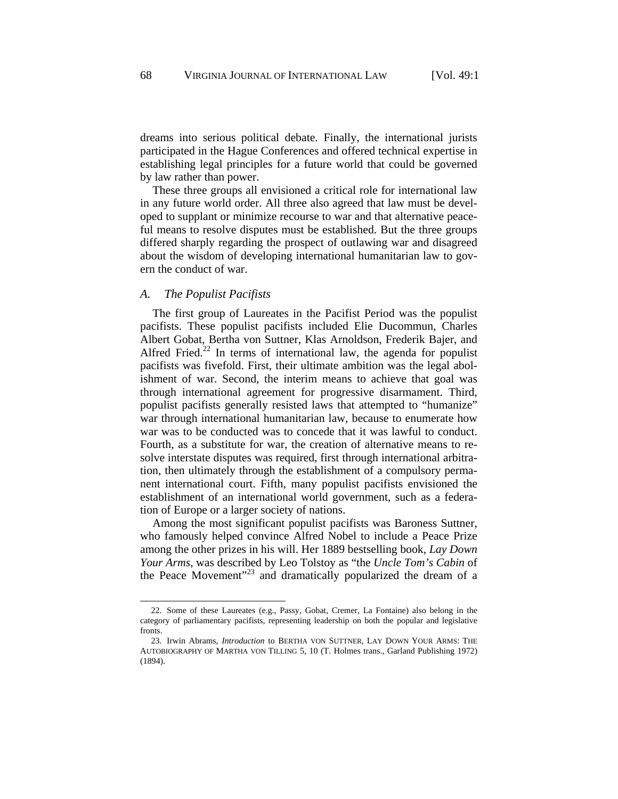dreams into serious political debate. Finally, the international jurists participated in the Hague Conferences and offered technical expertise in establishing legal principles for a future world that could be governed by law rather than power.

These three groups all envisioned a critical role for international law in any future world order. All three also agreed that law must be developed to supplant or minimize recourse to war and that alternative peaceful means to resolve disputes must be established. But the three groups differed sharply regarding the prospect of outlawing war and disagreed about the wisdom of developing international humanitarian law to govern the conduct of war.

## *A. The Populist Pacifists*

The first group of Laureates in the Pacifist Period was the populist pacifists. These populist pacifists included Elie Ducommun, Charles Albert Gobat, Bertha von Suttner, Klas Arnoldson, Frederik Bajer, and Alfred Fried.<sup>22</sup> In terms of international law, the agenda for populist pacifists was fivefold. First, their ultimate ambition was the legal abolishment of war. Second, the interim means to achieve that goal was through international agreement for progressive disarmament. Third, populist pacifists generally resisted laws that attempted to "humanize" war through international humanitarian law, because to enumerate how war was to be conducted was to concede that it was lawful to conduct. Fourth, as a substitute for war, the creation of alternative means to resolve interstate disputes was required, first through international arbitration, then ultimately through the establishment of a compulsory permanent international court. Fifth, many populist pacifists envisioned the establishment of an international world government, such as a federation of Europe or a larger society of nations.

Among the most significant populist pacifists was Baroness Suttner, who famously helped convince Alfred Nobel to include a Peace Prize among the other prizes in his will. Her 1889 bestselling book, *Lay Down Your Arms*, was described by Leo Tolstoy as "the *Uncle Tom's Cabin* of the Peace Movement"23 and dramatically popularized the dream of a

<sup>22</sup>*.* Some of these Laureates (e.g., Passy, Gobat, Cremer, La Fontaine) also belong in the category of parliamentary pacifists, representing leadership on both the popular and legislative fronts.

<sup>23</sup>*.* Irwin Abrams, *Introduction* to BERTHA VON SUTTNER, LAY DOWN YOUR ARMS: THE AUTOBIOGRAPHY OF MARTHA VON TILLING 5, 10 (T. Holmes trans., Garland Publishing 1972) (1894).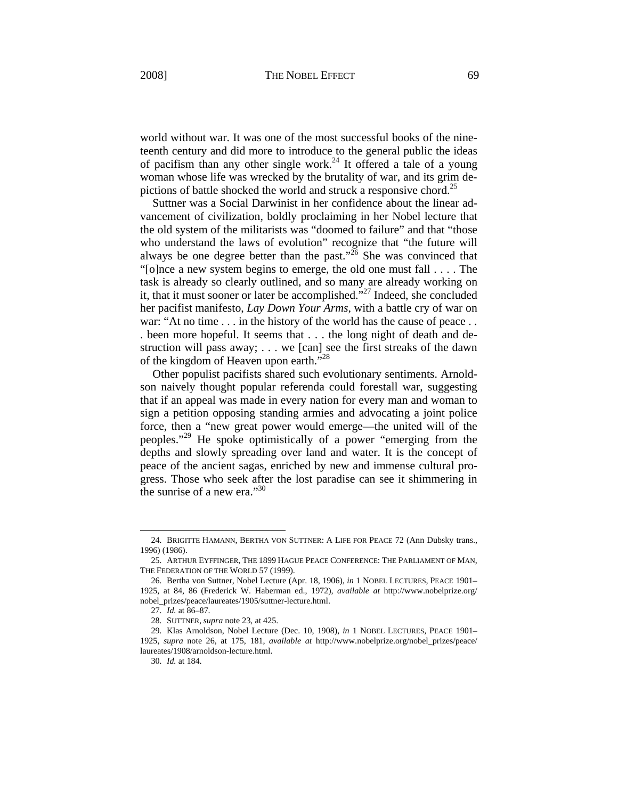world without war. It was one of the most successful books of the nineteenth century and did more to introduce to the general public the ideas of pacifism than any other single work.<sup>24</sup> It offered a tale of a young woman whose life was wrecked by the brutality of war, and its grim depictions of battle shocked the world and struck a responsive chord.<sup>25</sup>

Suttner was a Social Darwinist in her confidence about the linear advancement of civilization, boldly proclaiming in her Nobel lecture that the old system of the militarists was "doomed to failure" and that "those who understand the laws of evolution" recognize that "the future will always be one degree better than the past."<sup>26</sup> She was convinced that "[o]nce a new system begins to emerge, the old one must fall . . . . The task is already so clearly outlined, and so many are already working on it, that it must sooner or later be accomplished."<sup>27</sup> Indeed, she concluded her pacifist manifesto, *Lay Down Your Arms*, with a battle cry of war on war: "At no time . . . in the history of the world has the cause of peace . . . been more hopeful. It seems that . . . the long night of death and destruction will pass away; . . . we [can] see the first streaks of the dawn of the kingdom of Heaven upon earth."<sup>28</sup>

Other populist pacifists shared such evolutionary sentiments. Arnoldson naively thought popular referenda could forestall war, suggesting that if an appeal was made in every nation for every man and woman to sign a petition opposing standing armies and advocating a joint police force, then a "new great power would emerge—the united will of the peoples."29 He spoke optimistically of a power "emerging from the depths and slowly spreading over land and water. It is the concept of peace of the ancient sagas, enriched by new and immense cultural progress. Those who seek after the lost paradise can see it shimmering in the sunrise of a new era." $30$ 

<sup>24</sup>*.* BRIGITTE HAMANN, BERTHA VON SUTTNER: A LIFE FOR PEACE 72 (Ann Dubsky trans., 1996) (1986).

<sup>25</sup>*.* ARTHUR EYFFINGER, THE 1899 HAGUE PEACE CONFERENCE: THE PARLIAMENT OF MAN, THE FEDERATION OF THE WORLD 57 (1999).

<sup>26</sup>*.* Bertha von Suttner, Nobel Lecture (Apr. 18, 1906), *in* 1 NOBEL LECTURES, PEACE 1901– 1925, at 84, 86 (Frederick W. Haberman ed., 1972), *available at* http://www.nobelprize.org/ nobel\_prizes/peace/laureates/1905/suttner-lecture.html.

<sup>27</sup>*. Id.* at 86–87.

<sup>28</sup>*.* SUTTNER, *supra* note 23, at 425.

<sup>29</sup>*.* Klas Arnoldson, Nobel Lecture (Dec. 10, 1908), *in* 1 NOBEL LECTURES, PEACE 1901– 1925, *supra* note 26, at 175, 181, *available at* http://www.nobelprize.org/nobel\_prizes/peace/ laureates/1908/arnoldson-lecture.html.

<sup>30</sup>*. Id.* at 184.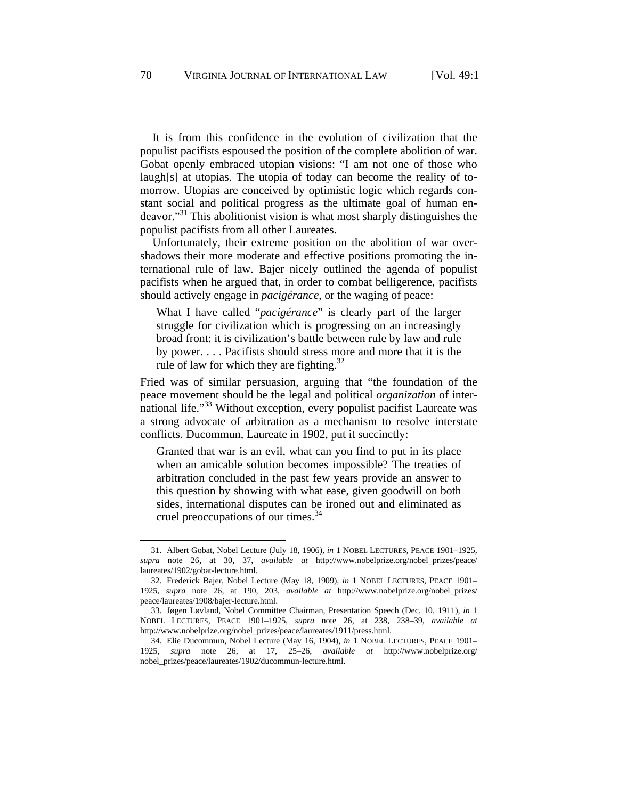It is from this confidence in the evolution of civilization that the populist pacifists espoused the position of the complete abolition of war. Gobat openly embraced utopian visions: "I am not one of those who laugh[s] at utopias. The utopia of today can become the reality of tomorrow. Utopias are conceived by optimistic logic which regards constant social and political progress as the ultimate goal of human endeavor."31 This abolitionist vision is what most sharply distinguishes the populist pacifists from all other Laureates.

Unfortunately, their extreme position on the abolition of war overshadows their more moderate and effective positions promoting the international rule of law. Bajer nicely outlined the agenda of populist pacifists when he argued that, in order to combat belligerence, pacifists should actively engage in *pacigérance*, or the waging of peace:

What I have called "*pacigérance*" is clearly part of the larger struggle for civilization which is progressing on an increasingly broad front: it is civilization's battle between rule by law and rule by power. . . . Pacifists should stress more and more that it is the rule of law for which they are fighting.<sup>32</sup>

Fried was of similar persuasion, arguing that "the foundation of the peace movement should be the legal and political *organization* of international life."<sup>33</sup> Without exception, every populist pacifist Laureate was a strong advocate of arbitration as a mechanism to resolve interstate conflicts. Ducommun, Laureate in 1902, put it succinctly:

Granted that war is an evil, what can you find to put in its place when an amicable solution becomes impossible? The treaties of arbitration concluded in the past few years provide an answer to this question by showing with what ease, given goodwill on both sides, international disputes can be ironed out and eliminated as cruel preoccupations of our times.<sup>34</sup>

<sup>31</sup>*.* Albert Gobat, Nobel Lecture (July 18, 1906), *in* 1 NOBEL LECTURES, PEACE 1901–1925, *supra* note 26, at 30, 37, *available at* http://www.nobelprize.org/nobel\_prizes/peace/ laureates/1902/gobat-lecture.html.

<sup>32</sup>*.* Frederick Bajer, Nobel Lecture (May 18, 1909), *in* 1 NOBEL LECTURES, PEACE 1901– 1925, *supra* note 26, at 190, 203, *available at* http://www.nobelprize.org/nobel\_prizes/ peace/laureates/1908/bajer-lecture.html.

<sup>33</sup>*.* Jøgen Løvland, Nobel Committee Chairman, Presentation Speech (Dec. 10, 1911), *in* 1 NOBEL LECTURES, PEACE 1901–1925, *supra* note 26, at 238, 238–39, *available at* http://www.nobelprize.org/nobel\_prizes/peace/laureates/1911/press.html.

<sup>34</sup>*.* Elie Ducommun, Nobel Lecture (May 16, 1904), *in* 1 NOBEL LECTURES, PEACE 1901– 1925, *supra* note 26, at 17, 25–26, *available at* http://www.nobelprize.org/ nobel\_prizes/peace/laureates/1902/ducommun-lecture.html.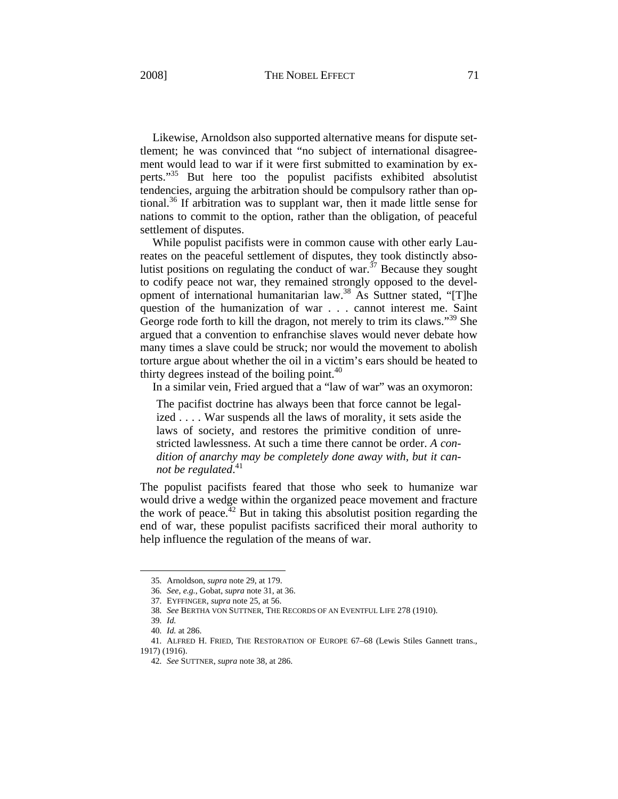Likewise, Arnoldson also supported alternative means for dispute settlement; he was convinced that "no subject of international disagreement would lead to war if it were first submitted to examination by experts."<sup>35</sup> But here too the populist pacifists exhibited absolutist tendencies, arguing the arbitration should be compulsory rather than optional.<sup>36</sup> If arbitration was to supplant war, then it made little sense for nations to commit to the option, rather than the obligation, of peaceful settlement of disputes.

While populist pacifists were in common cause with other early Laureates on the peaceful settlement of disputes, they took distinctly absolutist positions on regulating the conduct of war.<sup>37</sup> Because they sought to codify peace not war, they remained strongly opposed to the development of international humanitarian law.38 As Suttner stated, "[T]he question of the humanization of war . . . cannot interest me. Saint George rode forth to kill the dragon, not merely to trim its claws."<sup>39</sup> She argued that a convention to enfranchise slaves would never debate how many times a slave could be struck; nor would the movement to abolish torture argue about whether the oil in a victim's ears should be heated to thirty degrees instead of the boiling point. $40$ 

In a similar vein, Fried argued that a "law of war" was an oxymoron:

The pacifist doctrine has always been that force cannot be legalized . . . . War suspends all the laws of morality, it sets aside the laws of society, and restores the primitive condition of unrestricted lawlessness. At such a time there cannot be order. *A condition of anarchy may be completely done away with, but it cannot be regulated*. 41

The populist pacifists feared that those who seek to humanize war would drive a wedge within the organized peace movement and fracture the work of peace.<sup> $42$ </sup> But in taking this absolutist position regarding the end of war, these populist pacifists sacrificed their moral authority to help influence the regulation of the means of war.

<sup>35</sup>*.* Arnoldson, *supra* note 29, at 179.

<sup>36</sup>*. See, e.g.*, Gobat, *supra* note 31, at 36.

<sup>37</sup>*.* EYFFINGER, *supra* note 25, at 56.

<sup>38</sup>*. See* BERTHA VON SUTTNER, THE RECORDS OF AN EVENTFUL LIFE 278 (1910).

<sup>39</sup>*. Id.*

<sup>40</sup>*. Id.* at 286.

<sup>41</sup>*.* ALFRED H. FRIED, THE RESTORATION OF EUROPE 67–68 (Lewis Stiles Gannett trans., 1917) (1916).

<sup>42</sup>*. See* SUTTNER, *supra* note 38, at 286.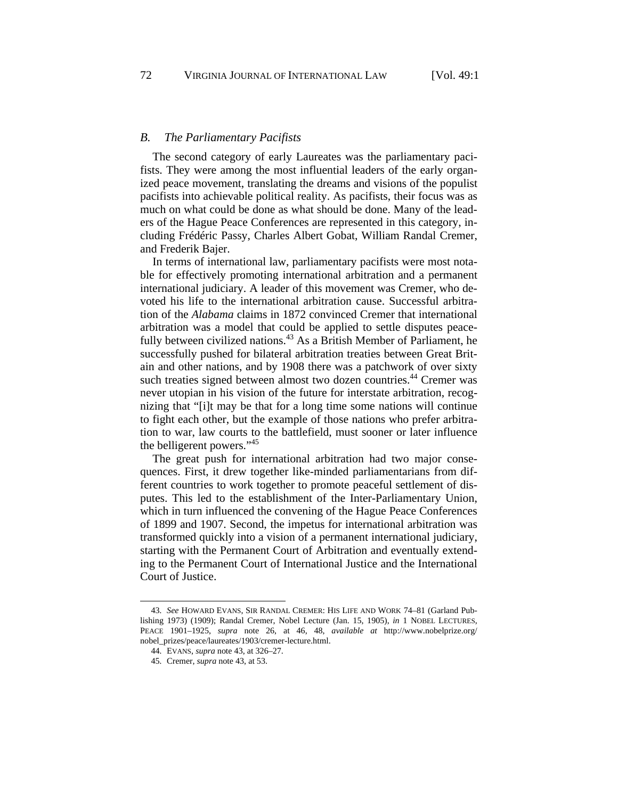### *B. The Parliamentary Pacifists*

The second category of early Laureates was the parliamentary pacifists. They were among the most influential leaders of the early organized peace movement, translating the dreams and visions of the populist pacifists into achievable political reality. As pacifists, their focus was as much on what could be done as what should be done. Many of the leaders of the Hague Peace Conferences are represented in this category, including Frédéric Passy, Charles Albert Gobat, William Randal Cremer, and Frederik Bajer.

In terms of international law, parliamentary pacifists were most notable for effectively promoting international arbitration and a permanent international judiciary. A leader of this movement was Cremer, who devoted his life to the international arbitration cause. Successful arbitration of the *Alabama* claims in 1872 convinced Cremer that international arbitration was a model that could be applied to settle disputes peacefully between civilized nations.<sup>43</sup> As a British Member of Parliament, he successfully pushed for bilateral arbitration treaties between Great Britain and other nations, and by 1908 there was a patchwork of over sixty such treaties signed between almost two dozen countries.<sup>44</sup> Cremer was never utopian in his vision of the future for interstate arbitration, recognizing that "[i]t may be that for a long time some nations will continue to fight each other, but the example of those nations who prefer arbitration to war, law courts to the battlefield, must sooner or later influence the belligerent powers."<sup>45</sup>

The great push for international arbitration had two major consequences. First, it drew together like-minded parliamentarians from different countries to work together to promote peaceful settlement of disputes. This led to the establishment of the Inter-Parliamentary Union, which in turn influenced the convening of the Hague Peace Conferences of 1899 and 1907. Second, the impetus for international arbitration was transformed quickly into a vision of a permanent international judiciary, starting with the Permanent Court of Arbitration and eventually extending to the Permanent Court of International Justice and the International Court of Justice.

<sup>43</sup>*. See* HOWARD EVANS, SIR RANDAL CREMER: HIS LIFE AND WORK 74–81 (Garland Publishing 1973) (1909); Randal Cremer, Nobel Lecture (Jan. 15, 1905), *in* 1 NOBEL LECTURES, PEACE 1901–1925, *supra* note 26, at 46, 48, *available at* http://www.nobelprize.org/ nobel\_prizes/peace/laureates/1903/cremer-lecture.html.

<sup>44</sup>*.* EVANS, *supra* note 43, at 326–27.

<sup>45</sup>*.* Cremer, *supra* note 43, at 53.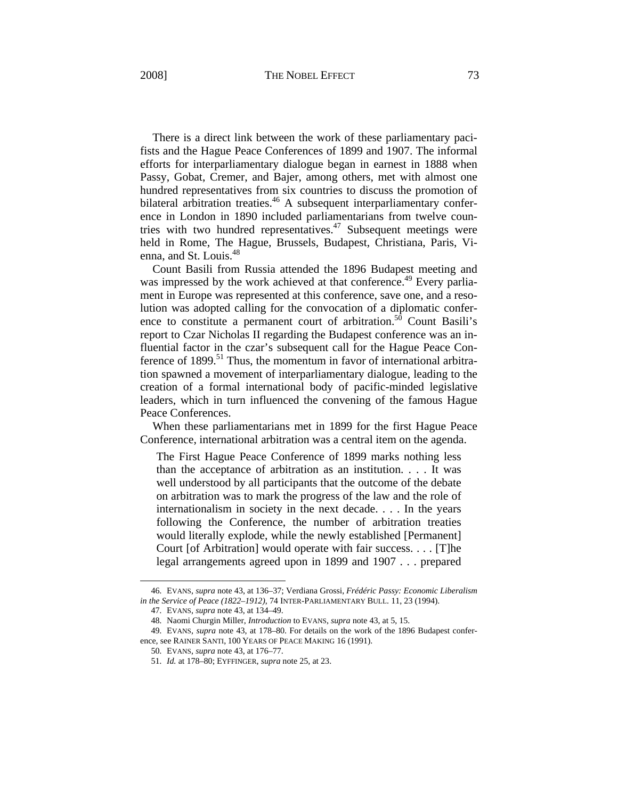There is a direct link between the work of these parliamentary pacifists and the Hague Peace Conferences of 1899 and 1907. The informal efforts for interparliamentary dialogue began in earnest in 1888 when Passy, Gobat, Cremer, and Bajer, among others, met with almost one hundred representatives from six countries to discuss the promotion of bilateral arbitration treaties.<sup>46</sup> A subsequent interparliamentary conference in London in 1890 included parliamentarians from twelve countries with two hundred representatives.<sup>47</sup> Subsequent meetings were held in Rome, The Hague, Brussels, Budapest, Christiana, Paris, Vienna, and St. Louis.<sup>48</sup>

Count Basili from Russia attended the 1896 Budapest meeting and was impressed by the work achieved at that conference.<sup>49</sup> Every parliament in Europe was represented at this conference, save one, and a resolution was adopted calling for the convocation of a diplomatic conference to constitute a permanent court of arbitration.<sup>50</sup> Count Basili's report to Czar Nicholas II regarding the Budapest conference was an influential factor in the czar's subsequent call for the Hague Peace Conference of 1899.<sup>51</sup> Thus, the momentum in favor of international arbitration spawned a movement of interparliamentary dialogue, leading to the creation of a formal international body of pacific-minded legislative leaders, which in turn influenced the convening of the famous Hague Peace Conferences.

When these parliamentarians met in 1899 for the first Hague Peace Conference, international arbitration was a central item on the agenda.

The First Hague Peace Conference of 1899 marks nothing less than the acceptance of arbitration as an institution. . . . It was well understood by all participants that the outcome of the debate on arbitration was to mark the progress of the law and the role of internationalism in society in the next decade. . . . In the years following the Conference, the number of arbitration treaties would literally explode, while the newly established [Permanent] Court [of Arbitration] would operate with fair success. . . . [T]he legal arrangements agreed upon in 1899 and 1907 . . . prepared

<sup>46</sup>*.* EVANS, *supra* note 43, at 136–37; Verdiana Grossi, *Frédéric Passy: Economic Liberalism in the Service of Peace (1822–1912)*, 74 INTER-PARLIAMENTARY BULL. 11, 23 (1994).

<sup>47</sup>*.* EVANS, *supra* note 43, at 134–49.

<sup>48</sup>*.* Naomi Churgin Miller, *Introduction* to EVANS, *supra* note 43, at 5, 15.

<sup>49</sup>*.* EVANS, *supra* note 43, at 178–80. For details on the work of the 1896 Budapest conference, see RAINER SANTI, 100 YEARS OF PEACE MAKING 16 (1991).

<sup>50</sup>*.* EVANS, *supra* note 43, at 176–77.

<sup>51</sup>*. Id.* at 178–80; EYFFINGER, *supra* note 25, at 23.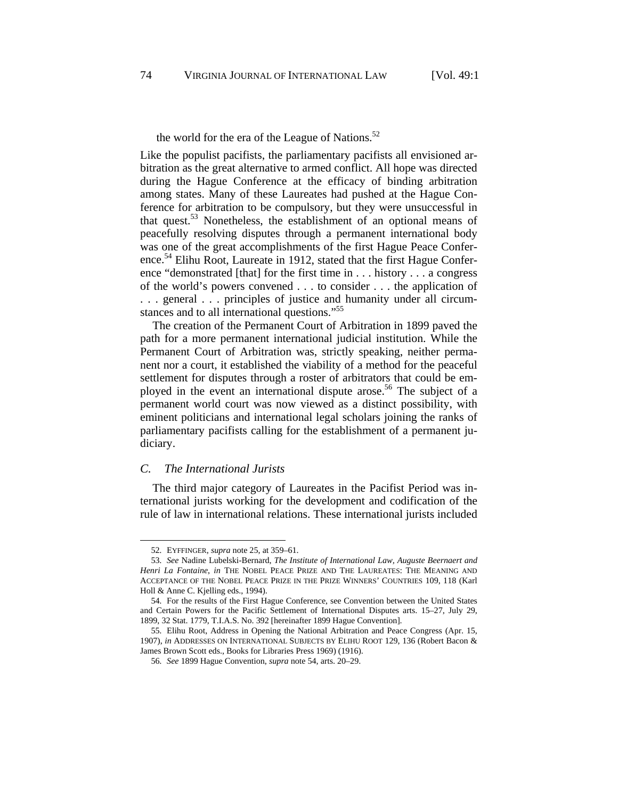## the world for the era of the League of Nations. $52$

Like the populist pacifists, the parliamentary pacifists all envisioned arbitration as the great alternative to armed conflict. All hope was directed during the Hague Conference at the efficacy of binding arbitration among states. Many of these Laureates had pushed at the Hague Conference for arbitration to be compulsory, but they were unsuccessful in that quest.<sup>53</sup> Nonetheless, the establishment of an optional means of peacefully resolving disputes through a permanent international body was one of the great accomplishments of the first Hague Peace Conference.<sup>54</sup> Elihu Root, Laureate in 1912, stated that the first Hague Conference "demonstrated [that] for the first time in . . . history . . . a congress of the world's powers convened . . . to consider . . . the application of . . . general . . . principles of justice and humanity under all circumstances and to all international questions."<sup>55</sup>

The creation of the Permanent Court of Arbitration in 1899 paved the path for a more permanent international judicial institution. While the Permanent Court of Arbitration was, strictly speaking, neither permanent nor a court, it established the viability of a method for the peaceful settlement for disputes through a roster of arbitrators that could be employed in the event an international dispute arose.<sup>56</sup> The subject of a permanent world court was now viewed as a distinct possibility, with eminent politicians and international legal scholars joining the ranks of parliamentary pacifists calling for the establishment of a permanent judiciary.

## *C. The International Jurists*

1

The third major category of Laureates in the Pacifist Period was international jurists working for the development and codification of the rule of law in international relations. These international jurists included

<sup>52</sup>*.* EYFFINGER, *supra* note 25, at 359–61.

<sup>53</sup>*. See* Nadine Lubelski-Bernard, *The Institute of International Law, Auguste Beernaert and Henri La Fontaine*, *in* THE NOBEL PEACE PRIZE AND THE LAUREATES: THE MEANING AND ACCEPTANCE OF THE NOBEL PEACE PRIZE IN THE PRIZE WINNERS' COUNTRIES 109, 118 (Karl Holl & Anne C. Kjelling eds., 1994).

<sup>54</sup>*.* For the results of the First Hague Conference, see Convention between the United States and Certain Powers for the Pacific Settlement of International Disputes arts. 15–27, July 29, 1899, 32 Stat. 1779, T.I.A.S. No. 392 [hereinafter 1899 Hague Convention].

<sup>55</sup>*.* Elihu Root, Address in Opening the National Arbitration and Peace Congress (Apr. 15, 1907), *in* ADDRESSES ON INTERNATIONAL SUBJECTS BY ELIHU ROOT 129, 136 (Robert Bacon & James Brown Scott eds., Books for Libraries Press 1969) (1916).

<sup>56</sup>*. See* 1899 Hague Convention, *supra* note 54, arts. 20–29.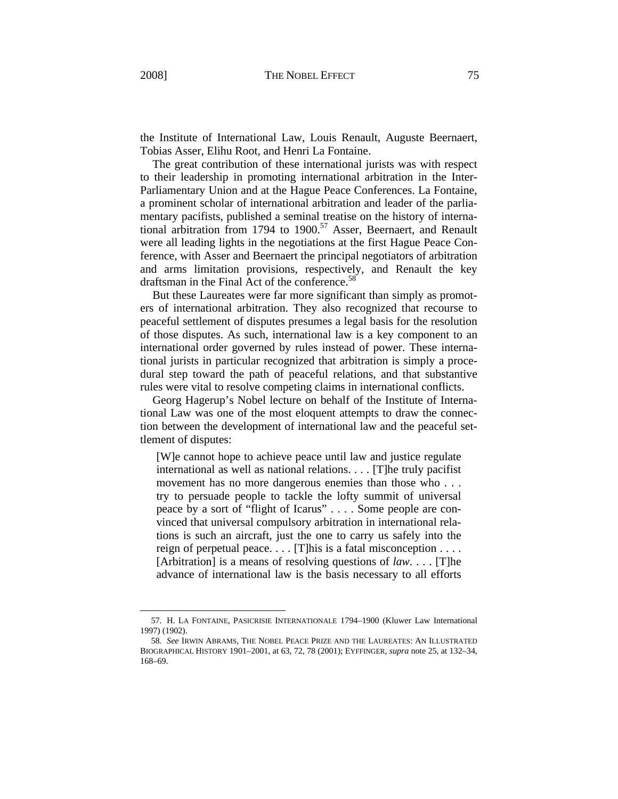-

the Institute of International Law, Louis Renault, Auguste Beernaert, Tobias Asser, Elihu Root, and Henri La Fontaine.

The great contribution of these international jurists was with respect to their leadership in promoting international arbitration in the Inter-Parliamentary Union and at the Hague Peace Conferences. La Fontaine, a prominent scholar of international arbitration and leader of the parliamentary pacifists, published a seminal treatise on the history of international arbitration from 1794 to 1900.<sup>57</sup> Asser, Beernaert, and Renault were all leading lights in the negotiations at the first Hague Peace Conference, with Asser and Beernaert the principal negotiators of arbitration and arms limitation provisions, respectively, and Renault the key draftsman in the Final Act of the conference.<sup>58</sup>

But these Laureates were far more significant than simply as promoters of international arbitration. They also recognized that recourse to peaceful settlement of disputes presumes a legal basis for the resolution of those disputes. As such, international law is a key component to an international order governed by rules instead of power. These international jurists in particular recognized that arbitration is simply a procedural step toward the path of peaceful relations, and that substantive rules were vital to resolve competing claims in international conflicts.

Georg Hagerup's Nobel lecture on behalf of the Institute of International Law was one of the most eloquent attempts to draw the connection between the development of international law and the peaceful settlement of disputes:

[W]e cannot hope to achieve peace until law and justice regulate international as well as national relations. . . . [T]he truly pacifist movement has no more dangerous enemies than those who . . . try to persuade people to tackle the lofty summit of universal peace by a sort of "flight of Icarus" . . . . Some people are convinced that universal compulsory arbitration in international relations is such an aircraft, just the one to carry us safely into the reign of perpetual peace.  $\ldots$  [T] his is a fatal misconception  $\ldots$ . [Arbitration] is a means of resolving questions of *law*. . . . [T]he advance of international law is the basis necessary to all efforts

<sup>57</sup>*.* H. LA FONTAINE, PASICRISIE INTERNATIONALE 1794–1900 (Kluwer Law International 1997) (1902).

<sup>58</sup>*. See* IRWIN ABRAMS, THE NOBEL PEACE PRIZE AND THE LAUREATES: AN ILLUSTRATED BIOGRAPHICAL HISTORY 1901–2001, at 63, 72, 78 (2001); EYFFINGER, *supra* note 25, at 132–34, 168–69.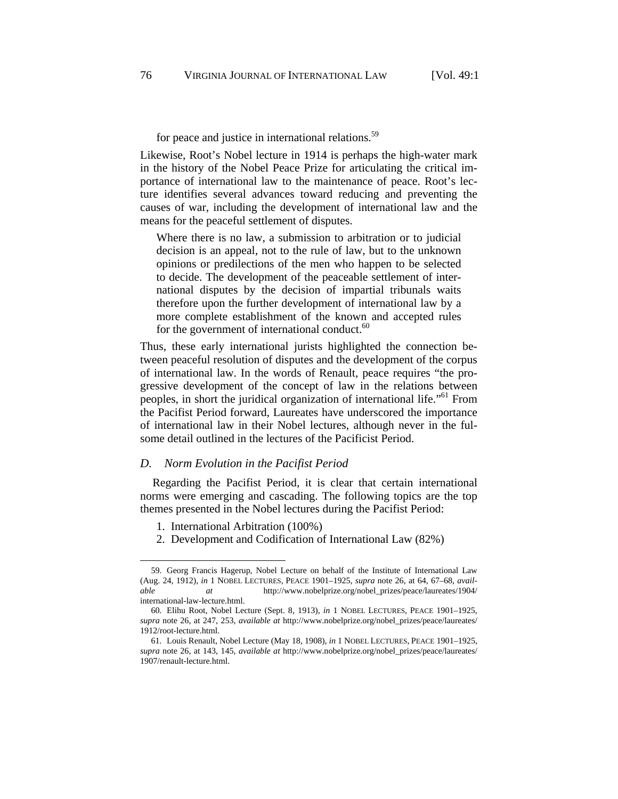for peace and justice in international relations.<sup>59</sup>

Likewise, Root's Nobel lecture in 1914 is perhaps the high-water mark in the history of the Nobel Peace Prize for articulating the critical importance of international law to the maintenance of peace. Root's lecture identifies several advances toward reducing and preventing the causes of war, including the development of international law and the means for the peaceful settlement of disputes.

Where there is no law, a submission to arbitration or to judicial decision is an appeal, not to the rule of law, but to the unknown opinions or predilections of the men who happen to be selected to decide. The development of the peaceable settlement of international disputes by the decision of impartial tribunals waits therefore upon the further development of international law by a more complete establishment of the known and accepted rules for the government of international conduct. $60$ 

Thus, these early international jurists highlighted the connection between peaceful resolution of disputes and the development of the corpus of international law. In the words of Renault, peace requires "the progressive development of the concept of law in the relations between peoples, in short the juridical organization of international life."61 From the Pacifist Period forward, Laureates have underscored the importance of international law in their Nobel lectures, although never in the fulsome detail outlined in the lectures of the Pacificist Period.

#### *D. Norm Evolution in the Pacifist Period*

Regarding the Pacifist Period, it is clear that certain international norms were emerging and cascading. The following topics are the top themes presented in the Nobel lectures during the Pacifist Period:

1. International Arbitration (100%)

-

2. Development and Codification of International Law (82%)

<sup>59</sup>*.* Georg Francis Hagerup, Nobel Lecture on behalf of the Institute of International Law (Aug. 24, 1912), *in* 1 NOBEL LECTURES, PEACE 1901–1925, *supra* note 26, at 64, 67–68, *available at* http://www.nobelprize.org/nobel\_prizes/peace/laureates/1904/ international-law-lecture.html.

<sup>60</sup>*.* Elihu Root, Nobel Lecture (Sept. 8, 1913), *in* 1 NOBEL LECTURES, PEACE 1901–1925, *supra* note 26, at 247, 253, *available at* http://www.nobelprize.org/nobel\_prizes/peace/laureates/ 1912/root-lecture.html.

<sup>61</sup>*.* Louis Renault, Nobel Lecture (May 18, 1908), *in* 1 NOBEL LECTURES, PEACE 1901–1925, *supra* note 26, at 143, 145, *available at* http://www.nobelprize.org/nobel\_prizes/peace/laureates/ 1907/renault-lecture.html.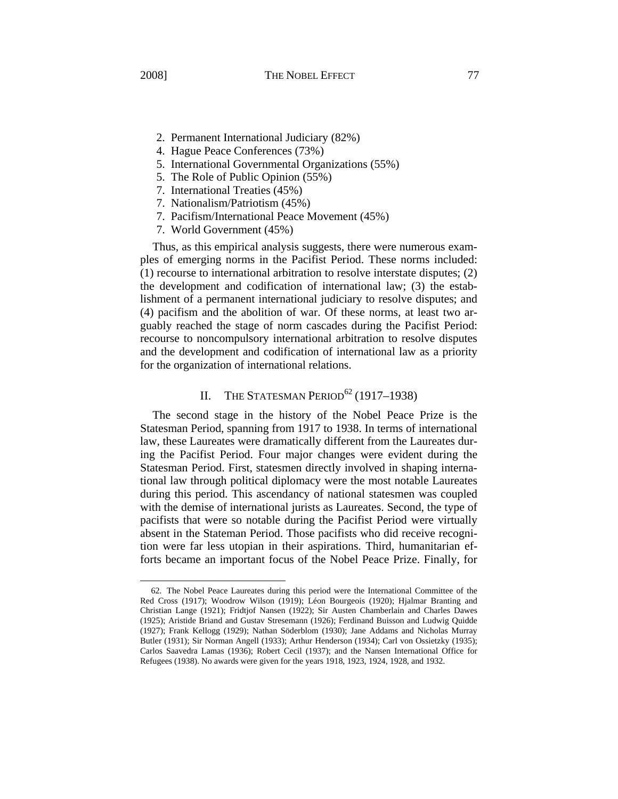-

- 2. Permanent International Judiciary (82%)
- 4. Hague Peace Conferences (73%)
- 5. International Governmental Organizations (55%)
- 5. The Role of Public Opinion (55%)
- 7. International Treaties (45%)
- 7. Nationalism/Patriotism (45%)
- 7. Pacifism/International Peace Movement (45%)
- 7. World Government (45%)

Thus, as this empirical analysis suggests, there were numerous examples of emerging norms in the Pacifist Period. These norms included: (1) recourse to international arbitration to resolve interstate disputes; (2) the development and codification of international law; (3) the establishment of a permanent international judiciary to resolve disputes; and (4) pacifism and the abolition of war. Of these norms, at least two arguably reached the stage of norm cascades during the Pacifist Period: recourse to noncompulsory international arbitration to resolve disputes and the development and codification of international law as a priority for the organization of international relations.

# II. THE STATESMAN PERIOD<sup>62</sup> (1917–1938)

The second stage in the history of the Nobel Peace Prize is the Statesman Period, spanning from 1917 to 1938. In terms of international law, these Laureates were dramatically different from the Laureates during the Pacifist Period. Four major changes were evident during the Statesman Period. First, statesmen directly involved in shaping international law through political diplomacy were the most notable Laureates during this period. This ascendancy of national statesmen was coupled with the demise of international jurists as Laureates. Second, the type of pacifists that were so notable during the Pacifist Period were virtually absent in the Stateman Period. Those pacifists who did receive recognition were far less utopian in their aspirations. Third, humanitarian efforts became an important focus of the Nobel Peace Prize. Finally, for

<sup>62</sup>*.* The Nobel Peace Laureates during this period were the International Committee of the Red Cross (1917); Woodrow Wilson (1919); Léon Bourgeois (1920); Hjalmar Branting and Christian Lange (1921); Fridtjof Nansen (1922); Sir Austen Chamberlain and Charles Dawes (1925); Aristide Briand and Gustav Stresemann (1926); Ferdinand Buisson and Ludwig Quidde (1927); Frank Kellogg (1929); Nathan Söderblom (1930); Jane Addams and Nicholas Murray Butler (1931); Sir Norman Angell (1933); Arthur Henderson (1934); Carl von Ossietzky (1935); Carlos Saavedra Lamas (1936); Robert Cecil (1937); and the Nansen International Office for Refugees (1938). No awards were given for the years 1918, 1923, 1924, 1928, and 1932.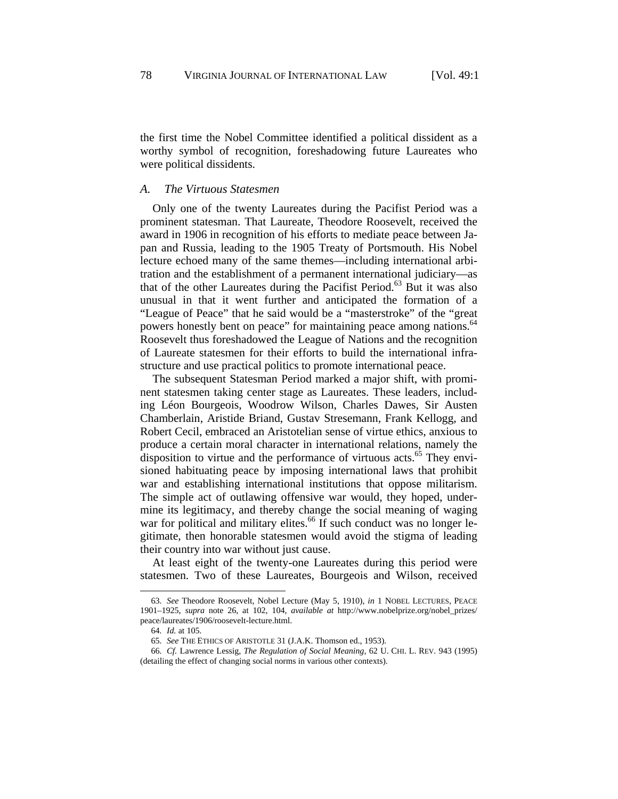the first time the Nobel Committee identified a political dissident as a worthy symbol of recognition, foreshadowing future Laureates who were political dissidents.

# *A. The Virtuous Statesmen*

Only one of the twenty Laureates during the Pacifist Period was a prominent statesman. That Laureate, Theodore Roosevelt, received the award in 1906 in recognition of his efforts to mediate peace between Japan and Russia, leading to the 1905 Treaty of Portsmouth. His Nobel lecture echoed many of the same themes—including international arbitration and the establishment of a permanent international judiciary—as that of the other Laureates during the Pacifist Period.<sup>63</sup> But it was also unusual in that it went further and anticipated the formation of a "League of Peace" that he said would be a "masterstroke" of the "great powers honestly bent on peace" for maintaining peace among nations.<sup>64</sup> Roosevelt thus foreshadowed the League of Nations and the recognition of Laureate statesmen for their efforts to build the international infrastructure and use practical politics to promote international peace.

The subsequent Statesman Period marked a major shift, with prominent statesmen taking center stage as Laureates. These leaders, including Léon Bourgeois, Woodrow Wilson, Charles Dawes, Sir Austen Chamberlain, Aristide Briand, Gustav Stresemann, Frank Kellogg, and Robert Cecil, embraced an Aristotelian sense of virtue ethics, anxious to produce a certain moral character in international relations, namely the disposition to virtue and the performance of virtuous acts. $^{65}$  They envisioned habituating peace by imposing international laws that prohibit war and establishing international institutions that oppose militarism. The simple act of outlawing offensive war would, they hoped, undermine its legitimacy, and thereby change the social meaning of waging war for political and military elites.<sup>66</sup> If such conduct was no longer legitimate, then honorable statesmen would avoid the stigma of leading their country into war without just cause.

At least eight of the twenty-one Laureates during this period were statesmen. Two of these Laureates, Bourgeois and Wilson, received

<sup>63</sup>*. See* Theodore Roosevelt, Nobel Lecture (May 5, 1910), *in* 1 NOBEL LECTURES, PEACE 1901–1925, *supra* note 26, at 102, 104, *available at* http://www.nobelprize.org/nobel\_prizes/ peace/laureates/1906/roosevelt-lecture.html.

<sup>64</sup>*. Id.* at 105.

<sup>65</sup>*. See* THE ETHICS OF ARISTOTLE 31 (J.A.K. Thomson ed., 1953).

<sup>66</sup>*. Cf.* Lawrence Lessig, *The Regulation of Social Meaning*, 62 U. CHI. L. REV. 943 (1995) (detailing the effect of changing social norms in various other contexts).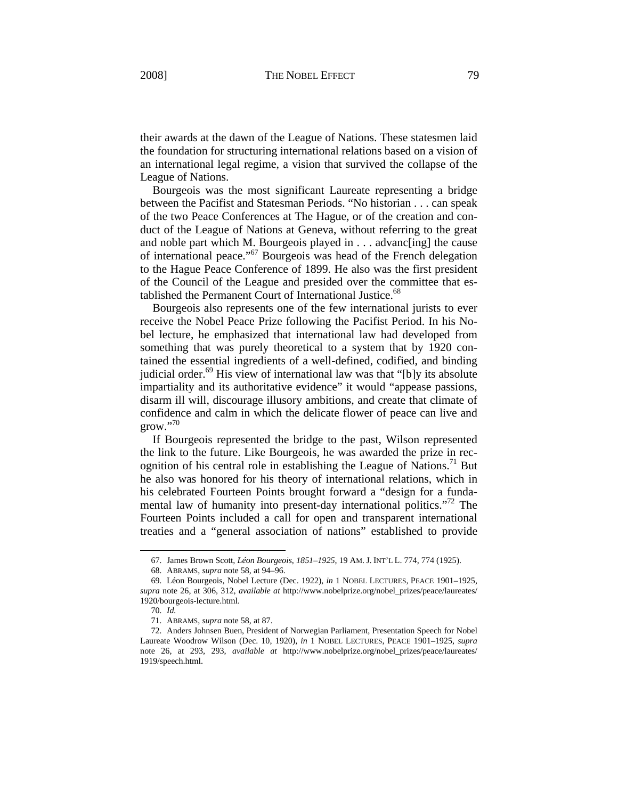their awards at the dawn of the League of Nations. These statesmen laid the foundation for structuring international relations based on a vision of an international legal regime, a vision that survived the collapse of the League of Nations.

Bourgeois was the most significant Laureate representing a bridge between the Pacifist and Statesman Periods. "No historian . . . can speak of the two Peace Conferences at The Hague, or of the creation and conduct of the League of Nations at Geneva, without referring to the great and noble part which M. Bourgeois played in . . . advanc[ing] the cause of international peace."67 Bourgeois was head of the French delegation to the Hague Peace Conference of 1899. He also was the first president of the Council of the League and presided over the committee that established the Permanent Court of International Justice.<sup>68</sup>

Bourgeois also represents one of the few international jurists to ever receive the Nobel Peace Prize following the Pacifist Period. In his Nobel lecture, he emphasized that international law had developed from something that was purely theoretical to a system that by 1920 contained the essential ingredients of a well-defined, codified, and binding judicial order.<sup>69</sup> His view of international law was that "[b]y its absolute impartiality and its authoritative evidence" it would "appease passions, disarm ill will, discourage illusory ambitions, and create that climate of confidence and calm in which the delicate flower of peace can live and  $grow."70$ 

If Bourgeois represented the bridge to the past, Wilson represented the link to the future. Like Bourgeois, he was awarded the prize in recognition of his central role in establishing the League of Nations.<sup>71</sup> But he also was honored for his theory of international relations, which in his celebrated Fourteen Points brought forward a "design for a fundamental law of humanity into present-day international politics."<sup>72</sup> The Fourteen Points included a call for open and transparent international treaties and a "general association of nations" established to provide

<sup>67</sup>*.* James Brown Scott, *Léon Bourgeois*, *1851–1925*, 19 AM. J. INT'L L. 774, 774 (1925).

<sup>68</sup>*.* ABRAMS, *supra* note 58, at 94–96.

<sup>69</sup>*.* Léon Bourgeois, Nobel Lecture (Dec. 1922), *in* 1 NOBEL LECTURES, PEACE 1901–1925, *supra* note 26, at 306, 312, *available at* http://www.nobelprize.org/nobel\_prizes/peace/laureates/ 1920/bourgeois-lecture.html.

<sup>70</sup>*. Id.*

<sup>71</sup>*.* ABRAMS, *supra* note 58, at 87.

<sup>72</sup>*.* Anders Johnsen Buen, President of Norwegian Parliament, Presentation Speech for Nobel Laureate Woodrow Wilson (Dec. 10, 1920), *in* 1 NOBEL LECTURES, PEACE 1901–1925, *supra* note 26, at 293, 293, *available at* http://www.nobelprize.org/nobel\_prizes/peace/laureates/ 1919/speech.html.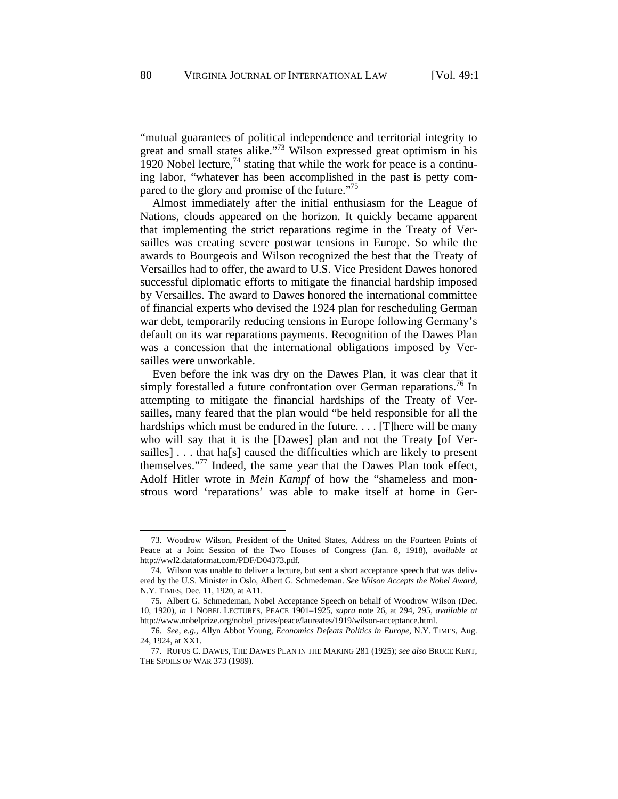"mutual guarantees of political independence and territorial integrity to great and small states alike."<sup>73</sup> Wilson expressed great optimism in his 1920 Nobel lecture,<sup>74</sup> stating that while the work for peace is a continuing labor, "whatever has been accomplished in the past is petty compared to the glory and promise of the future."<sup>75</sup>

Almost immediately after the initial enthusiasm for the League of Nations, clouds appeared on the horizon. It quickly became apparent that implementing the strict reparations regime in the Treaty of Versailles was creating severe postwar tensions in Europe. So while the awards to Bourgeois and Wilson recognized the best that the Treaty of Versailles had to offer, the award to U.S. Vice President Dawes honored successful diplomatic efforts to mitigate the financial hardship imposed by Versailles. The award to Dawes honored the international committee of financial experts who devised the 1924 plan for rescheduling German war debt, temporarily reducing tensions in Europe following Germany's default on its war reparations payments. Recognition of the Dawes Plan was a concession that the international obligations imposed by Versailles were unworkable.

Even before the ink was dry on the Dawes Plan, it was clear that it simply forestalled a future confrontation over German reparations.<sup>76</sup> In attempting to mitigate the financial hardships of the Treaty of Versailles, many feared that the plan would "be held responsible for all the hardships which must be endured in the future. . . . [T] here will be many who will say that it is the [Dawes] plan and not the Treaty [of Versailles]... that ha<sup>[s]</sup> caused the difficulties which are likely to present themselves."77 Indeed, the same year that the Dawes Plan took effect, Adolf Hitler wrote in *Mein Kampf* of how the "shameless and monstrous word 'reparations' was able to make itself at home in Ger-

<sup>73</sup>*.* Woodrow Wilson, President of the United States, Address on the Fourteen Points of Peace at a Joint Session of the Two Houses of Congress (Jan. 8, 1918), *available at* http://wwl2.dataformat.com/PDF/D04373.pdf.

<sup>74</sup>*.* Wilson was unable to deliver a lecture, but sent a short acceptance speech that was delivered by the U.S. Minister in Oslo, Albert G. Schmedeman. *See Wilson Accepts the Nobel Award*, N.Y. TIMES, Dec. 11, 1920, at A11.

<sup>75</sup>*.* Albert G. Schmedeman, Nobel Acceptance Speech on behalf of Woodrow Wilson (Dec. 10, 1920), *in* 1 NOBEL LECTURES, PEACE 1901–1925, *supra* note 26, at 294, 295, *available at* http://www.nobelprize.org/nobel\_prizes/peace/laureates/1919/wilson-acceptance.html.

<sup>76</sup>*. See, e.g.*, Allyn Abbot Young, *Economics Defeats Politics in Europe*, N.Y. TIMES, Aug. 24, 1924, at XX1.

<sup>77</sup>*.* RUFUS C. DAWES, THE DAWES PLAN IN THE MAKING 281 (1925); *see also* BRUCE KENT, THE SPOILS OF WAR 373 (1989).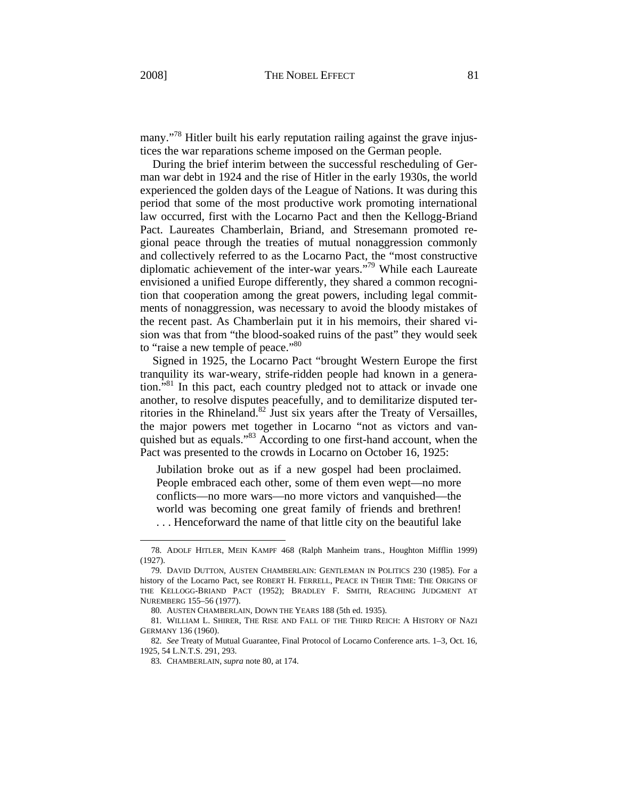1

many."<sup>78</sup> Hitler built his early reputation railing against the grave injustices the war reparations scheme imposed on the German people.

During the brief interim between the successful rescheduling of German war debt in 1924 and the rise of Hitler in the early 1930s, the world experienced the golden days of the League of Nations. It was during this period that some of the most productive work promoting international law occurred, first with the Locarno Pact and then the Kellogg-Briand Pact. Laureates Chamberlain, Briand, and Stresemann promoted regional peace through the treaties of mutual nonaggression commonly and collectively referred to as the Locarno Pact, the "most constructive diplomatic achievement of the inter-war years."79 While each Laureate envisioned a unified Europe differently, they shared a common recognition that cooperation among the great powers, including legal commitments of nonaggression, was necessary to avoid the bloody mistakes of the recent past. As Chamberlain put it in his memoirs, their shared vision was that from "the blood-soaked ruins of the past" they would seek to "raise a new temple of peace."<sup>80</sup>

Signed in 1925, the Locarno Pact "brought Western Europe the first tranquility its war-weary, strife-ridden people had known in a generation."<sup>81</sup> In this pact, each country pledged not to attack or invade one another, to resolve disputes peacefully, and to demilitarize disputed territories in the Rhineland.<sup>82</sup> Just six years after the Treaty of Versailles, the major powers met together in Locarno "not as victors and vanquished but as equals."<sup>83</sup> According to one first-hand account, when the Pact was presented to the crowds in Locarno on October 16, 1925:

Jubilation broke out as if a new gospel had been proclaimed. People embraced each other, some of them even wept—no more conflicts—no more wars—no more victors and vanquished—the world was becoming one great family of friends and brethren! . . . Henceforward the name of that little city on the beautiful lake

<sup>78</sup>*.* ADOLF HITLER, MEIN KAMPF 468 (Ralph Manheim trans., Houghton Mifflin 1999) (1927).

<sup>79</sup>*.* DAVID DUTTON, AUSTEN CHAMBERLAIN: GENTLEMAN IN POLITICS 230 (1985). For a history of the Locarno Pact, see ROBERT H. FERRELL, PEACE IN THEIR TIME: THE ORIGINS OF THE KELLOGG-BRIAND PACT (1952); BRADLEY F. SMITH, REACHING JUDGMENT AT NUREMBERG 155–56 (1977).

<sup>80</sup>*.* AUSTEN CHAMBERLAIN, DOWN THE YEARS 188 (5th ed. 1935).

<sup>81</sup>*.* WILLIAM L. SHIRER, THE RISE AND FALL OF THE THIRD REICH: A HISTORY OF NAZI GERMANY 136 (1960).

<sup>82</sup>*. See* Treaty of Mutual Guarantee, Final Protocol of Locarno Conference arts. 1–3, Oct. 16, 1925, 54 L.N.T.S. 291, 293.

<sup>83</sup>*.* CHAMBERLAIN, *supra* note 80, at 174.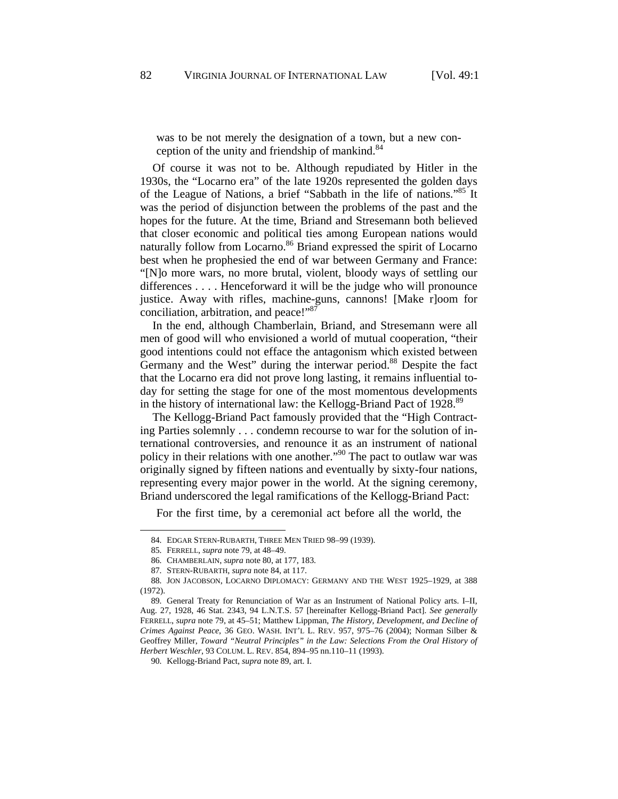was to be not merely the designation of a town, but a new conception of the unity and friendship of mankind. $84$ 

Of course it was not to be. Although repudiated by Hitler in the 1930s, the "Locarno era" of the late 1920s represented the golden days of the League of Nations, a brief "Sabbath in the life of nations."<sup>85</sup> It was the period of disjunction between the problems of the past and the hopes for the future. At the time, Briand and Stresemann both believed that closer economic and political ties among European nations would naturally follow from Locarno.<sup>86</sup> Briand expressed the spirit of Locarno best when he prophesied the end of war between Germany and France: "[N]o more wars, no more brutal, violent, bloody ways of settling our differences . . . . Henceforward it will be the judge who will pronounce justice. Away with rifles, machine-guns, cannons! [Make r]oom for conciliation, arbitration, and peace!"<sup>87</sup>

In the end, although Chamberlain, Briand, and Stresemann were all men of good will who envisioned a world of mutual cooperation, "their good intentions could not efface the antagonism which existed between Germany and the West" during the interwar period.<sup>88</sup> Despite the fact that the Locarno era did not prove long lasting, it remains influential today for setting the stage for one of the most momentous developments in the history of international law: the Kellogg-Briand Pact of 1928.<sup>89</sup>

The Kellogg-Briand Pact famously provided that the "High Contracting Parties solemnly . . . condemn recourse to war for the solution of international controversies, and renounce it as an instrument of national policy in their relations with one another."90 The pact to outlaw war was originally signed by fifteen nations and eventually by sixty-four nations, representing every major power in the world. At the signing ceremony, Briand underscored the legal ramifications of the Kellogg-Briand Pact:

For the first time, by a ceremonial act before all the world, the

<sup>84</sup>*.* EDGAR STERN-RUBARTH, THREE MEN TRIED 98–99 (1939).

<sup>85</sup>*.* FERRELL, *supra* note 79, at 48–49.

<sup>86</sup>*.* CHAMBERLAIN, *supra* note 80, at 177, 183.

<sup>87</sup>*.* STERN-RUBARTH, *supra* note 84, at 117.

<sup>88</sup>*.* JON JACOBSON, LOCARNO DIPLOMACY: GERMANY AND THE WEST 1925–1929, at 388 (1972).

<sup>89</sup>*.* General Treaty for Renunciation of War as an Instrument of National Policy arts. I–II, Aug. 27, 1928, 46 Stat. 2343, 94 L.N.T.S. 57 [hereinafter Kellogg-Briand Pact]. *See generally* FERRELL, *supra* note 79, at 45–51; Matthew Lippman, *The History, Development, and Decline of Crimes Against Peace*, 36 GEO. WASH. INT'L L. REV. 957, 975–76 (2004); Norman Silber & Geoffrey Miller, *Toward "Neutral Principles" in the Law: Selections From the Oral History of Herbert Weschler*, 93 COLUM. L. REV. 854, 894–95 nn.110–11 (1993).

<sup>90</sup>*.* Kellogg-Briand Pact, *supra* note 89, art. I.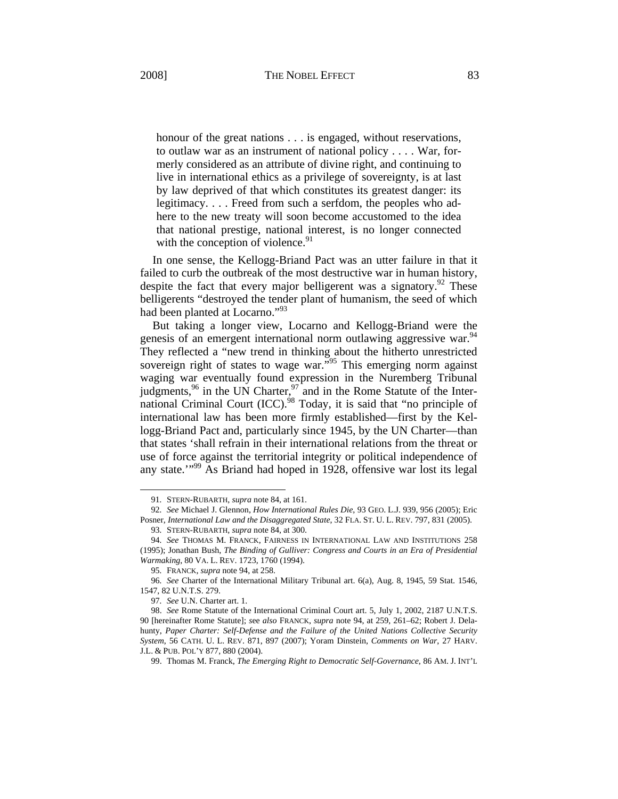honour of the great nations  $\dots$  is engaged, without reservations, to outlaw war as an instrument of national policy . . . . War, formerly considered as an attribute of divine right, and continuing to live in international ethics as a privilege of sovereignty, is at last by law deprived of that which constitutes its greatest danger: its legitimacy. . . . Freed from such a serfdom, the peoples who adhere to the new treaty will soon become accustomed to the idea that national prestige, national interest, is no longer connected with the conception of violence. $91$ 

In one sense, the Kellogg-Briand Pact was an utter failure in that it failed to curb the outbreak of the most destructive war in human history, despite the fact that every major belligerent was a signatory.<sup>92</sup> These belligerents "destroyed the tender plant of humanism, the seed of which had been planted at Locarno."<sup>93</sup>

But taking a longer view, Locarno and Kellogg-Briand were the genesis of an emergent international norm outlawing aggressive war.<sup>94</sup> They reflected a "new trend in thinking about the hitherto unrestricted sovereign right of states to wage war.<sup>"95</sup> This emerging norm against waging war eventually found expression in the Nuremberg Tribunal judgments,  $96$  in the UN Charter,  $97$  and in the Rome Statute of the International Criminal Court (ICC).<sup>98</sup> Today, it is said that "no principle of international law has been more firmly established—first by the Kellogg-Briand Pact and, particularly since 1945, by the UN Charter—than that states 'shall refrain in their international relations from the threat or use of force against the territorial integrity or political independence of any state.'"99 As Briand had hoped in 1928, offensive war lost its legal

<sup>91</sup>*.* STERN-RUBARTH, *supra* note 84, at 161.

<sup>92</sup>*. See* Michael J. Glennon, *How International Rules Die*, 93 GEO. L.J. 939, 956 (2005); Eric Posner, *International Law and the Disaggregated State*, 32 FLA. ST. U. L. REV. 797, 831 (2005).

<sup>93</sup>*.* STERN-RUBARTH, *supra* note 84, at 300.

<sup>94</sup>*. See* THOMAS M. FRANCK, FAIRNESS IN INTERNATIONAL LAW AND INSTITUTIONS 258 (1995); Jonathan Bush, *The Binding of Gulliver: Congress and Courts in an Era of Presidential Warmaking*, 80 VA. L. REV. 1723, 1760 (1994).

<sup>95</sup>*.* FRANCK, *supra* note 94, at 258.

<sup>96</sup>*. See* Charter of the International Military Tribunal art. 6(a), Aug. 8, 1945, 59 Stat. 1546, 1547, 82 U.N.T.S. 279.

<sup>97</sup>*. See* U.N. Charter art. 1.

<sup>98.</sup> *See* Rome Statute of the International Criminal Court art. 5, July 1, 2002, 2187 U.N.T.S. 90 [hereinafter Rome Statute]; *s*ee *also* FRANCK, *supra* note 94, at 259, 261–62; Robert J. Delahunty, *Paper Charter: Self-Defense and the Failure of the United Nations Collective Security System*, 56 CATH. U. L. REV. 871, 897 (2007); Yoram Dinstein, *Comments on War*, 27 HARV. J.L. & PUB. POL'Y 877, 880 (2004).

<sup>99.</sup> Thomas M. Franck, *The Emerging Right to Democratic Self-Governance*, 86 AM. J. INT'L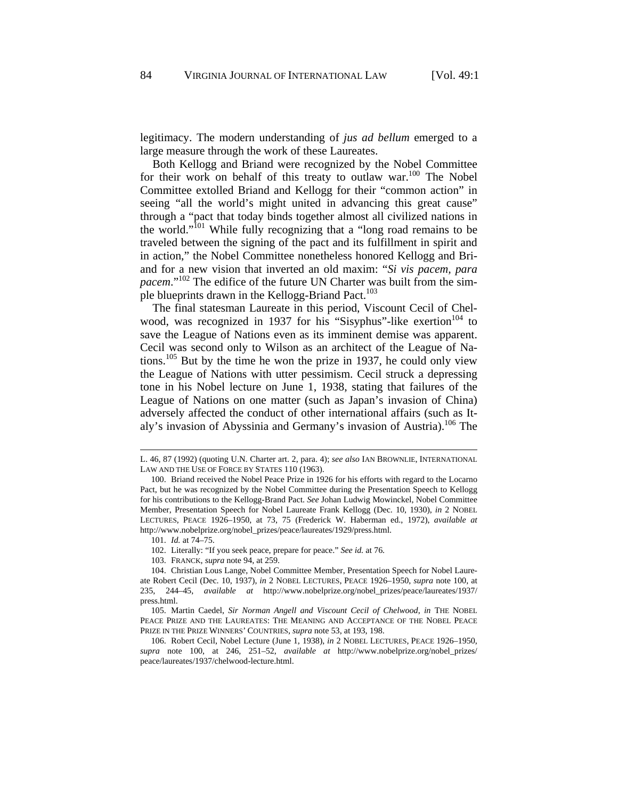legitimacy. The modern understanding of *jus ad bellum* emerged to a large measure through the work of these Laureates.

Both Kellogg and Briand were recognized by the Nobel Committee for their work on behalf of this treaty to outlaw war.<sup>100</sup> The Nobel Committee extolled Briand and Kellogg for their "common action" in seeing "all the world's might united in advancing this great cause" through a "pact that today binds together almost all civilized nations in the world."<sup>101</sup> While fully recognizing that a "long road remains to be traveled between the signing of the pact and its fulfillment in spirit and in action," the Nobel Committee nonetheless honored Kellogg and Briand for a new vision that inverted an old maxim: "*Si vis pacem, para pacem*."102 The edifice of the future UN Charter was built from the simple blueprints drawn in the Kellogg-Briand Pact.<sup>103</sup>

The final statesman Laureate in this period, Viscount Cecil of Chelwood, was recognized in 1937 for his "Sisyphus"-like exertion<sup>104</sup> to save the League of Nations even as its imminent demise was apparent. Cecil was second only to Wilson as an architect of the League of Nations.<sup>105</sup> But by the time he won the prize in 1937, he could only view the League of Nations with utter pessimism. Cecil struck a depressing tone in his Nobel lecture on June 1, 1938, stating that failures of the League of Nations on one matter (such as Japan's invasion of China) adversely affected the conduct of other international affairs (such as Italy's invasion of Abyssinia and Germany's invasion of Austria).<sup>106</sup> The

l

L. 46, 87 (1992) (quoting U.N. Charter art. 2, para. 4); *see also* IAN BROWNLIE, INTERNATIONAL LAW AND THE USE OF FORCE BY STATES 110 (1963).

<sup>100.</sup> Briand received the Nobel Peace Prize in 1926 for his efforts with regard to the Locarno Pact, but he was recognized by the Nobel Committee during the Presentation Speech to Kellogg for his contributions to the Kellogg-Brand Pact. *See* Johan Ludwig Mowinckel, Nobel Committee Member, Presentation Speech for Nobel Laureate Frank Kellogg (Dec. 10, 1930), *in* 2 NOBEL LECTURES, PEACE 1926–1950, at 73, 75 (Frederick W. Haberman ed., 1972), *available at* http://www.nobelprize.org/nobel\_prizes/peace/laureates/1929/press.html.

<sup>101.</sup> *Id.* at 74–75.

<sup>102.</sup> Literally: "If you seek peace, prepare for peace." *See id.* at 76.

<sup>103.</sup> FRANCK, *supra* note 94, at 259.

<sup>104.</sup> Christian Lous Lange, Nobel Committee Member, Presentation Speech for Nobel Laureate Robert Cecil (Dec. 10, 1937), *in* 2 NOBEL LECTURES, PEACE 1926–1950, *supra* note 100, at 235, 244–45, *available at* http://www.nobelprize.org/nobel\_prizes/peace/laureates/1937/ press.html.

<sup>105.</sup> Martin Caedel, *Sir Norman Angell and Viscount Cecil of Chelwood*, *in* THE NOBEL PEACE PRIZE AND THE LAUREATES: THE MEANING AND ACCEPTANCE OF THE NOBEL PEACE PRIZE IN THE PRIZE WINNERS' COUNTRIES, *supra* note 53, at 193, 198.

<sup>106.</sup> Robert Cecil, Nobel Lecture (June 1, 1938), *in* 2 NOBEL LECTURES, PEACE 1926–1950, *supra* note 100, at 246, 251–52, *available at* http://www.nobelprize.org/nobel\_prizes/ peace/laureates/1937/chelwood-lecture.html.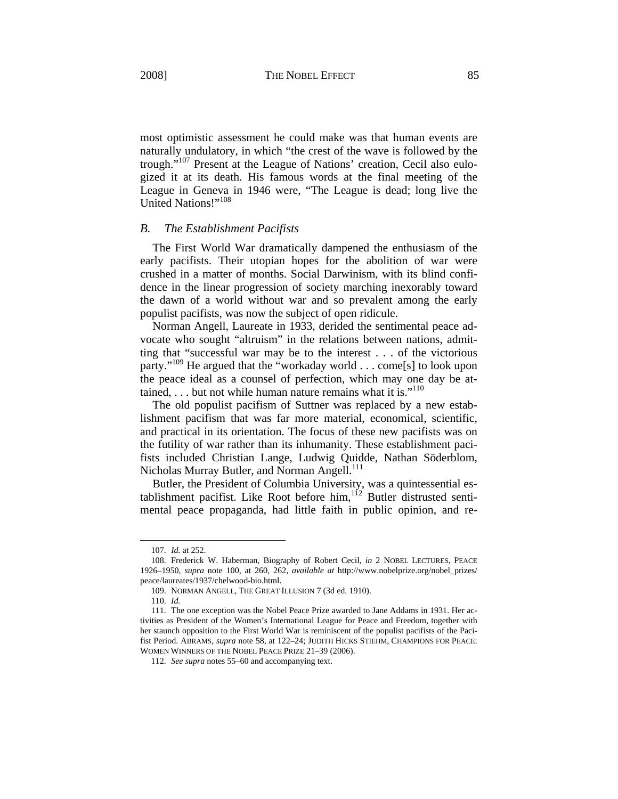most optimistic assessment he could make was that human events are naturally undulatory, in which "the crest of the wave is followed by the trough."107 Present at the League of Nations' creation, Cecil also eulogized it at its death. His famous words at the final meeting of the League in Geneva in 1946 were, "The League is dead; long live the United Nations!"<sup>108</sup>

## *B. The Establishment Pacifists*

The First World War dramatically dampened the enthusiasm of the early pacifists. Their utopian hopes for the abolition of war were crushed in a matter of months. Social Darwinism, with its blind confidence in the linear progression of society marching inexorably toward the dawn of a world without war and so prevalent among the early populist pacifists, was now the subject of open ridicule.

Norman Angell, Laureate in 1933, derided the sentimental peace advocate who sought "altruism" in the relations between nations, admitting that "successful war may be to the interest . . . of the victorious party."<sup>109</sup> He argued that the "workaday world  $\ldots$  come[s] to look upon the peace ideal as a counsel of perfection, which may one day be attained,  $\dots$  but not while human nature remains what it is."<sup>110</sup>

The old populist pacifism of Suttner was replaced by a new establishment pacifism that was far more material, economical, scientific, and practical in its orientation. The focus of these new pacifists was on the futility of war rather than its inhumanity. These establishment pacifists included Christian Lange, Ludwig Quidde, Nathan Söderblom, Nicholas Murray Butler, and Norman Angell.<sup>111</sup>

Butler, the President of Columbia University, was a quintessential establishment pacifist. Like Root before him,112 Butler distrusted sentimental peace propaganda, had little faith in public opinion, and re-

<sup>107.</sup> *Id.* at 252.

<sup>108.</sup> Frederick W. Haberman, Biography of Robert Cecil, *in* 2 NOBEL LECTURES, PEACE 1926–1950, *supra* note 100, at 260, 262, *available at* http://www.nobelprize.org/nobel\_prizes/ peace/laureates/1937/chelwood-bio.html.

<sup>109.</sup> NORMAN ANGELL, THE GREAT ILLUSION 7 (3d ed. 1910).

<sup>110.</sup> *Id.*

<sup>111.</sup> The one exception was the Nobel Peace Prize awarded to Jane Addams in 1931. Her activities as President of the Women's International League for Peace and Freedom, together with her staunch opposition to the First World War is reminiscent of the populist pacifists of the Pacifist Period. ABRAMS, *supra* note 58, at 122–24; JUDITH HICKS STIEHM, CHAMPIONS FOR PEACE: WOMEN WINNERS OF THE NOBEL PEACE PRIZE 21–39 (2006).

<sup>112.</sup> *See supra* notes 55–60 and accompanying text.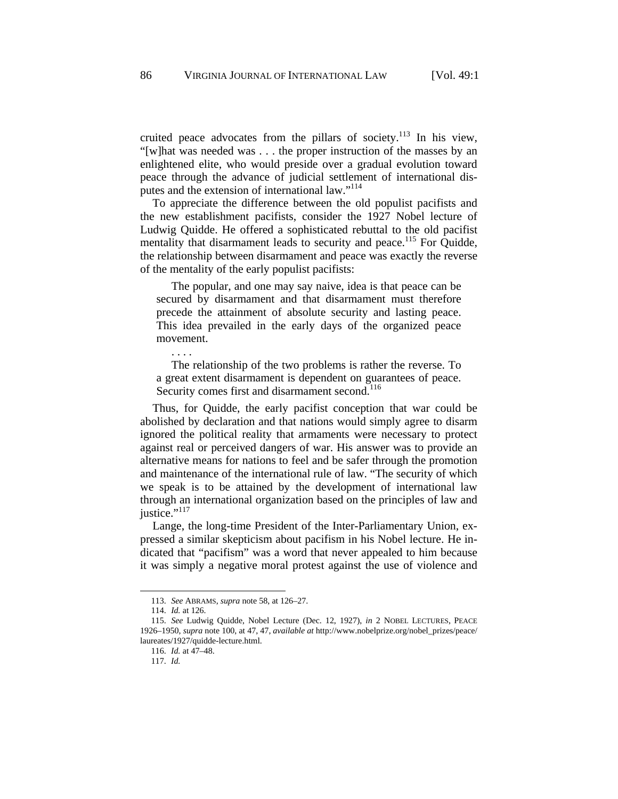cruited peace advocates from the pillars of society.<sup>113</sup> In his view, "[w]hat was needed was . . . the proper instruction of the masses by an enlightened elite, who would preside over a gradual evolution toward peace through the advance of judicial settlement of international disputes and the extension of international law."<sup>114</sup>

To appreciate the difference between the old populist pacifists and the new establishment pacifists, consider the 1927 Nobel lecture of Ludwig Quidde. He offered a sophisticated rebuttal to the old pacifist mentality that disarmament leads to security and peace.<sup>115</sup> For Quidde, the relationship between disarmament and peace was exactly the reverse of the mentality of the early populist pacifists:

 The popular, and one may say naive, idea is that peace can be secured by disarmament and that disarmament must therefore precede the attainment of absolute security and lasting peace. This idea prevailed in the early days of the organized peace movement.

 The relationship of the two problems is rather the reverse. To a great extent disarmament is dependent on guarantees of peace. Security comes first and disarmament second.<sup>116</sup>

Thus, for Quidde, the early pacifist conception that war could be abolished by declaration and that nations would simply agree to disarm ignored the political reality that armaments were necessary to protect against real or perceived dangers of war. His answer was to provide an alternative means for nations to feel and be safer through the promotion and maintenance of the international rule of law. "The security of which we speak is to be attained by the development of international law through an international organization based on the principles of law and justice."<sup>117</sup>

Lange, the long-time President of the Inter-Parliamentary Union, expressed a similar skepticism about pacifism in his Nobel lecture. He indicated that "pacifism" was a word that never appealed to him because it was simply a negative moral protest against the use of violence and

. . . .

<sup>113.</sup> *See* ABRAMS, *supra* note 58, at 126–27.

<sup>114.</sup> *Id.* at 126.

<sup>115.</sup> *See* Ludwig Quidde, Nobel Lecture (Dec. 12, 1927), *in* 2 NOBEL LECTURES, PEACE 1926–1950, *supra* note 100, at 47, 47, *available at* http://www.nobelprize.org/nobel\_prizes/peace/ laureates/1927/quidde-lecture.html.

<sup>116.</sup> *Id.* at 47–48.

<sup>117.</sup> *Id.*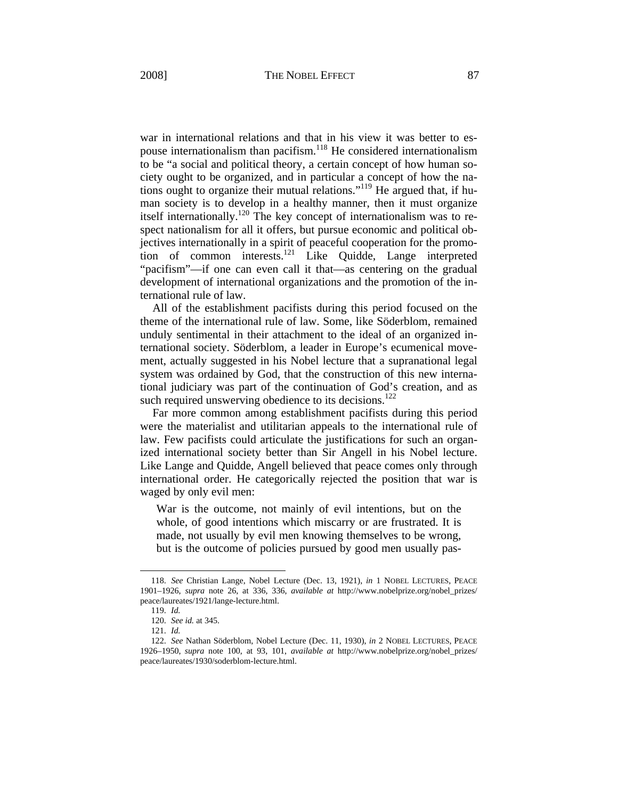war in international relations and that in his view it was better to espouse internationalism than pacifism.<sup>118</sup> He considered internationalism to be "a social and political theory, a certain concept of how human society ought to be organized, and in particular a concept of how the nations ought to organize their mutual relations."119 He argued that, if human society is to develop in a healthy manner, then it must organize itself internationally.<sup>120</sup> The key concept of internationalism was to respect nationalism for all it offers, but pursue economic and political objectives internationally in a spirit of peaceful cooperation for the promotion of common interests.<sup>121</sup> Like Quidde, Lange interpreted "pacifism"—if one can even call it that—as centering on the gradual development of international organizations and the promotion of the international rule of law.

All of the establishment pacifists during this period focused on the theme of the international rule of law. Some, like Söderblom, remained unduly sentimental in their attachment to the ideal of an organized international society. Söderblom, a leader in Europe's ecumenical movement, actually suggested in his Nobel lecture that a supranational legal system was ordained by God, that the construction of this new international judiciary was part of the continuation of God's creation, and as such required unswerving obedience to its decisions.<sup>122</sup>

Far more common among establishment pacifists during this period were the materialist and utilitarian appeals to the international rule of law. Few pacifists could articulate the justifications for such an organized international society better than Sir Angell in his Nobel lecture. Like Lange and Quidde, Angell believed that peace comes only through international order. He categorically rejected the position that war is waged by only evil men:

War is the outcome, not mainly of evil intentions, but on the whole, of good intentions which miscarry or are frustrated. It is made, not usually by evil men knowing themselves to be wrong, but is the outcome of policies pursued by good men usually pas-

<sup>118.</sup> *See* Christian Lange, Nobel Lecture (Dec. 13, 1921), *in* 1 NOBEL LECTURES, PEACE 1901–1926, *supra* note 26, at 336, 336, *available at* http://www.nobelprize.org/nobel\_prizes/ peace/laureates/1921/lange-lecture.html.

<sup>119.</sup> *Id.*

<sup>120.</sup> *See id.* at 345.

<sup>121.</sup> *Id.*

<sup>122.</sup> *See* Nathan Söderblom, Nobel Lecture (Dec. 11, 1930), *in* 2 NOBEL LECTURES, PEACE 1926–1950, *supra* note 100, at 93, 101, *available at* http://www.nobelprize.org/nobel\_prizes/ peace/laureates/1930/soderblom-lecture.html.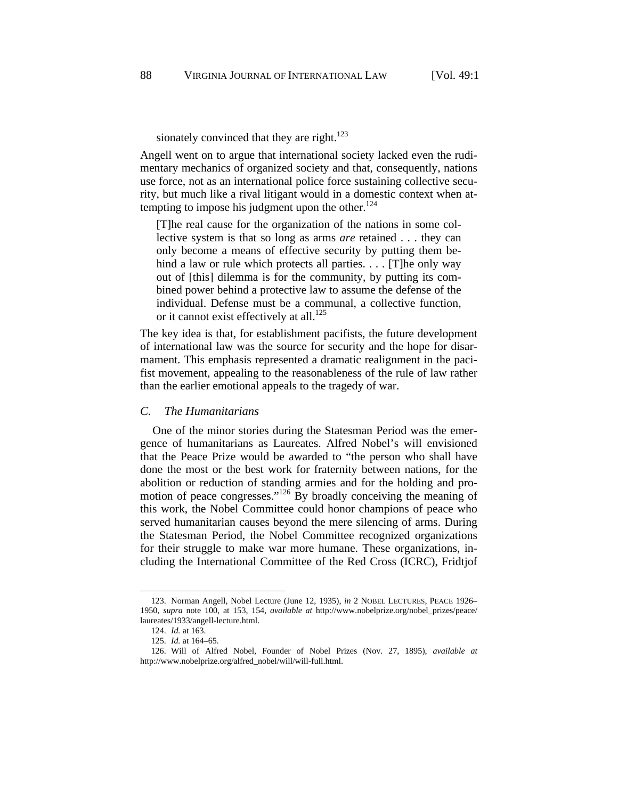sionately convinced that they are right. $123$ 

Angell went on to argue that international society lacked even the rudimentary mechanics of organized society and that, consequently, nations use force, not as an international police force sustaining collective security, but much like a rival litigant would in a domestic context when attempting to impose his judgment upon the other. $124$ 

[T]he real cause for the organization of the nations in some collective system is that so long as arms *are* retained . . . they can only become a means of effective security by putting them behind a law or rule which protects all parties. . . . [T]he only way out of [this] dilemma is for the community, by putting its combined power behind a protective law to assume the defense of the individual. Defense must be a communal, a collective function, or it cannot exist effectively at all.<sup>125</sup>

The key idea is that, for establishment pacifists, the future development of international law was the source for security and the hope for disarmament. This emphasis represented a dramatic realignment in the pacifist movement, appealing to the reasonableness of the rule of law rather than the earlier emotional appeals to the tragedy of war.

## *C. The Humanitarians*

One of the minor stories during the Statesman Period was the emergence of humanitarians as Laureates. Alfred Nobel's will envisioned that the Peace Prize would be awarded to "the person who shall have done the most or the best work for fraternity between nations, for the abolition or reduction of standing armies and for the holding and promotion of peace congresses."<sup>126</sup> By broadly conceiving the meaning of this work, the Nobel Committee could honor champions of peace who served humanitarian causes beyond the mere silencing of arms. During the Statesman Period, the Nobel Committee recognized organizations for their struggle to make war more humane. These organizations, including the International Committee of the Red Cross (ICRC), Fridtjof

<sup>123.</sup> Norman Angell, Nobel Lecture (June 12, 1935), *in* 2 NOBEL LECTURES, PEACE 1926– 1950, *supra* note 100, at 153, 154, *available at* http://www.nobelprize.org/nobel\_prizes/peace/ laureates/1933/angell-lecture.html.

<sup>124.</sup> *Id.* at 163.

<sup>125.</sup> *Id.* at 164–65.

<sup>126.</sup> Will of Alfred Nobel, Founder of Nobel Prizes (Nov. 27, 1895), *available at* http://www.nobelprize.org/alfred\_nobel/will/will-full.html.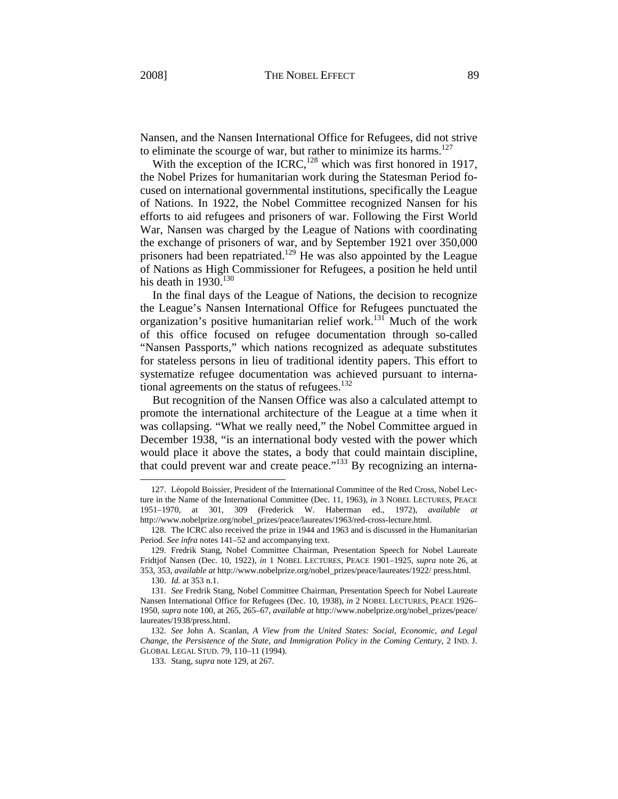Nansen, and the Nansen International Office for Refugees, did not strive to eliminate the scourge of war, but rather to minimize its harms.<sup>127</sup>

With the exception of the ICRC, $^{128}$  which was first honored in 1917, the Nobel Prizes for humanitarian work during the Statesman Period focused on international governmental institutions, specifically the League of Nations. In 1922, the Nobel Committee recognized Nansen for his efforts to aid refugees and prisoners of war. Following the First World War, Nansen was charged by the League of Nations with coordinating the exchange of prisoners of war, and by September 1921 over 350,000 prisoners had been repatriated.129 He was also appointed by the League of Nations as High Commissioner for Refugees, a position he held until his death in  $1930.<sup>130</sup>$ 

In the final days of the League of Nations, the decision to recognize the League's Nansen International Office for Refugees punctuated the organization's positive humanitarian relief work.<sup>131</sup> Much of the work of this office focused on refugee documentation through so-called "Nansen Passports," which nations recognized as adequate substitutes for stateless persons in lieu of traditional identity papers. This effort to systematize refugee documentation was achieved pursuant to international agreements on the status of refugees. $132$ 

But recognition of the Nansen Office was also a calculated attempt to promote the international architecture of the League at a time when it was collapsing. "What we really need," the Nobel Committee argued in December 1938, "is an international body vested with the power which would place it above the states, a body that could maintain discipline, that could prevent war and create peace."<sup>133</sup> By recognizing an interna-

<sup>127.</sup> Léopold Boissier, President of the International Committee of the Red Cross, Nobel Lecture in the Name of the International Committee (Dec. 11, 1963), *in* 3 NOBEL LECTURES, PEACE 1951–1970, at 301, 309 (Frederick W. Haberman ed., 1972), *available at* http://www.nobelprize.org/nobel\_prizes/peace/laureates/1963/red-cross-lecture.html.

<sup>128.</sup> The ICRC also received the prize in 1944 and 1963 and is discussed in the Humanitarian Period. *See infra* notes 141–52 and accompanying text.

<sup>129.</sup> Fredrik Stang, Nobel Committee Chairman, Presentation Speech for Nobel Laureate Fridtjof Nansen (Dec. 10, 1922), *in* 1 NOBEL LECTURES, PEACE 1901–1925, *supra* note 26, at 353, 353, *available at* http://www.nobelprize.org/nobel\_prizes/peace/laureates/1922/ press.html.

<sup>130.</sup> *Id.* at 353 n.1.

<sup>131.</sup> *See* Fredrik Stang, Nobel Committee Chairman, Presentation Speech for Nobel Laureate Nansen International Office for Refugees (Dec. 10, 1938), *in* 2 NOBEL LECTURES, PEACE 1926– 1950, *supra* note 100, at 265, 265–67, *available at* http://www.nobelprize.org/nobel\_prizes/peace/ laureates/1938/press.html.

<sup>132.</sup> *See* John A. Scanlan, *A View from the United States: Social, Economic, and Legal Change, the Persistence of the State, and Immigration Policy in the Coming Century*, 2 IND. J. GLOBAL LEGAL STUD. 79, 110–11 (1994).

<sup>133.</sup> Stang, *supra* note 129, at 267.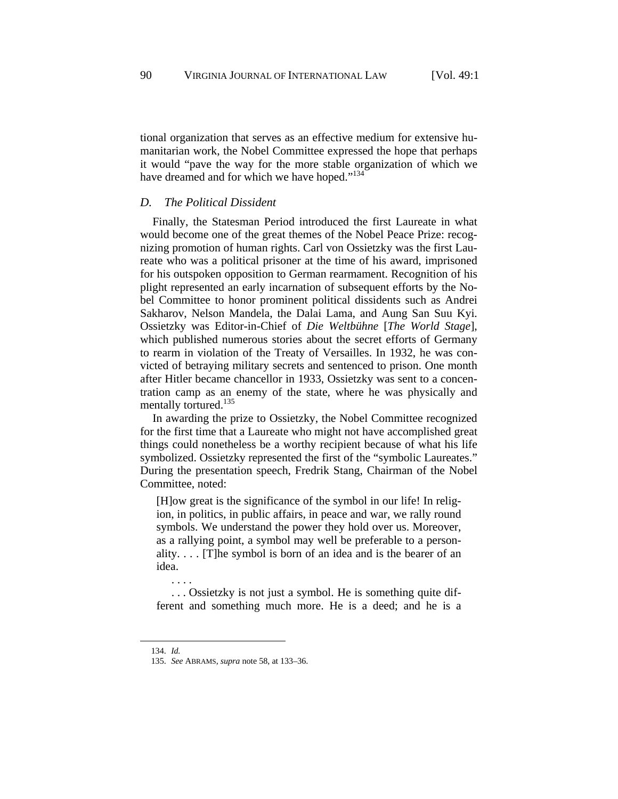tional organization that serves as an effective medium for extensive humanitarian work, the Nobel Committee expressed the hope that perhaps it would "pave the way for the more stable organization of which we have dreamed and for which we have hoped."<sup>134</sup>

## *D. The Political Dissident*

Finally, the Statesman Period introduced the first Laureate in what would become one of the great themes of the Nobel Peace Prize: recognizing promotion of human rights. Carl von Ossietzky was the first Laureate who was a political prisoner at the time of his award, imprisoned for his outspoken opposition to German rearmament. Recognition of his plight represented an early incarnation of subsequent efforts by the Nobel Committee to honor prominent political dissidents such as Andrei Sakharov, Nelson Mandela, the Dalai Lama, and Aung San Suu Kyi. Ossietzky was Editor-in-Chief of *Die Weltbühne* [*The World Stage*], which published numerous stories about the secret efforts of Germany to rearm in violation of the Treaty of Versailles. In 1932, he was convicted of betraying military secrets and sentenced to prison. One month after Hitler became chancellor in 1933, Ossietzky was sent to a concentration camp as an enemy of the state, where he was physically and mentally tortured.<sup>135</sup>

In awarding the prize to Ossietzky, the Nobel Committee recognized for the first time that a Laureate who might not have accomplished great things could nonetheless be a worthy recipient because of what his life symbolized. Ossietzky represented the first of the "symbolic Laureates." During the presentation speech, Fredrik Stang, Chairman of the Nobel Committee, noted:

[H]ow great is the significance of the symbol in our life! In religion, in politics, in public affairs, in peace and war, we rally round symbols. We understand the power they hold over us. Moreover, as a rallying point, a symbol may well be preferable to a personality. . . . [T]he symbol is born of an idea and is the bearer of an idea.

 . . . Ossietzky is not just a symbol. He is something quite different and something much more. He is a deed; and he is a

-

. . . .

<sup>134.</sup> *Id.*

<sup>135.</sup> *See* ABRAMS, *supra* note 58, at 133–36.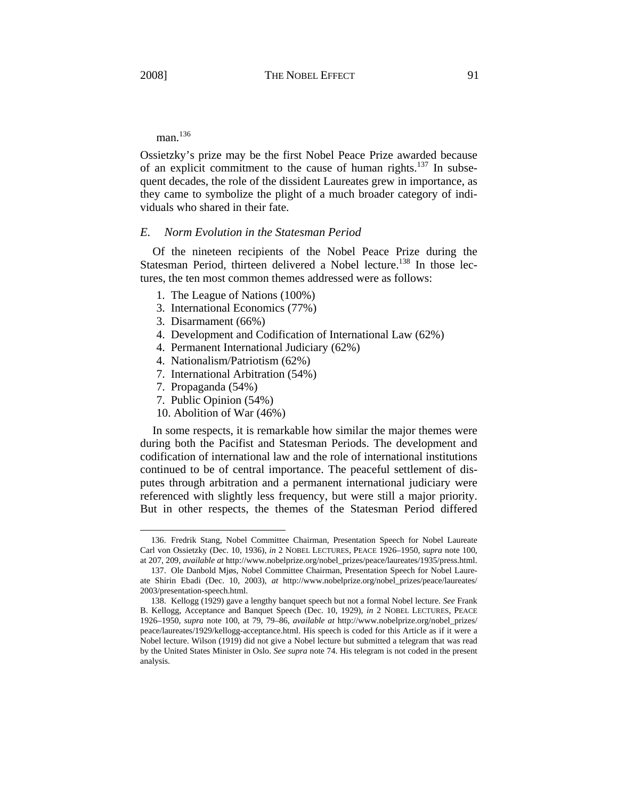man.136

Ossietzky's prize may be the first Nobel Peace Prize awarded because of an explicit commitment to the cause of human rights.<sup>137</sup> In subsequent decades, the role of the dissident Laureates grew in importance, as they came to symbolize the plight of a much broader category of individuals who shared in their fate.

# *E. Norm Evolution in the Statesman Period*

Of the nineteen recipients of the Nobel Peace Prize during the Statesman Period, thirteen delivered a Nobel lecture.<sup>138</sup> In those lectures, the ten most common themes addressed were as follows:

- 1. The League of Nations (100%)
- 3. International Economics (77%)
- 3. Disarmament (66%)
- 4. Development and Codification of International Law (62%)
- 4. Permanent International Judiciary (62%)
- 4. Nationalism/Patriotism (62%)
- 7. International Arbitration (54%)
- 7. Propaganda (54%)

-

- 7. Public Opinion (54%)
- 10. Abolition of War (46%)

In some respects, it is remarkable how similar the major themes were during both the Pacifist and Statesman Periods. The development and codification of international law and the role of international institutions continued to be of central importance. The peaceful settlement of disputes through arbitration and a permanent international judiciary were referenced with slightly less frequency, but were still a major priority. But in other respects, the themes of the Statesman Period differed

<sup>136.</sup> Fredrik Stang, Nobel Committee Chairman, Presentation Speech for Nobel Laureate Carl von Ossietzky (Dec. 10, 1936), *in* 2 NOBEL LECTURES, PEACE 1926–1950, *supra* note 100, at 207, 209, *available at* http://www.nobelprize.org/nobel\_prizes/peace/laureates/1935/press.html.

<sup>137.</sup> Ole Danbold Mjøs, Nobel Committee Chairman, Presentation Speech for Nobel Laureate Shirin Ebadi (Dec. 10, 2003), *at* http://www.nobelprize.org/nobel\_prizes/peace/laureates/ 2003/presentation-speech.html.

<sup>138.</sup> Kellogg (1929) gave a lengthy banquet speech but not a formal Nobel lecture. *See* Frank B. Kellogg, Acceptance and Banquet Speech (Dec. 10, 1929), *in* 2 NOBEL LECTURES, PEACE 1926–1950, *supra* note 100, at 79, 79–86, *available at* http://www.nobelprize.org/nobel\_prizes/ peace/laureates/1929/kellogg-acceptance.html. His speech is coded for this Article as if it were a Nobel lecture. Wilson (1919) did not give a Nobel lecture but submitted a telegram that was read by the United States Minister in Oslo. *See supra* note 74. His telegram is not coded in the present analysis.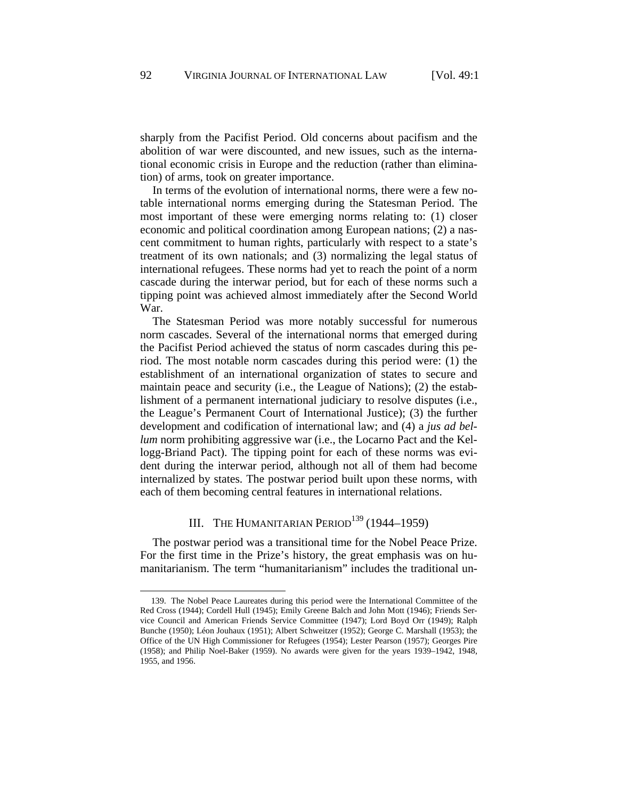sharply from the Pacifist Period. Old concerns about pacifism and the abolition of war were discounted, and new issues, such as the international economic crisis in Europe and the reduction (rather than elimination) of arms, took on greater importance.

In terms of the evolution of international norms, there were a few notable international norms emerging during the Statesman Period. The most important of these were emerging norms relating to: (1) closer economic and political coordination among European nations; (2) a nascent commitment to human rights, particularly with respect to a state's treatment of its own nationals; and (3) normalizing the legal status of international refugees. These norms had yet to reach the point of a norm cascade during the interwar period, but for each of these norms such a tipping point was achieved almost immediately after the Second World War.

The Statesman Period was more notably successful for numerous norm cascades. Several of the international norms that emerged during the Pacifist Period achieved the status of norm cascades during this period. The most notable norm cascades during this period were: (1) the establishment of an international organization of states to secure and maintain peace and security (i.e., the League of Nations); (2) the establishment of a permanent international judiciary to resolve disputes (i.e., the League's Permanent Court of International Justice); (3) the further development and codification of international law; and (4) a *jus ad bellum* norm prohibiting aggressive war (i.e., the Locarno Pact and the Kellogg-Briand Pact). The tipping point for each of these norms was evident during the interwar period, although not all of them had become internalized by states. The postwar period built upon these norms, with each of them becoming central features in international relations.

# III. THE HUMANITARIAN PERIOD $^{139}$  (1944–1959)

The postwar period was a transitional time for the Nobel Peace Prize. For the first time in the Prize's history, the great emphasis was on humanitarianism. The term "humanitarianism" includes the traditional un-

<sup>139.</sup> The Nobel Peace Laureates during this period were the International Committee of the Red Cross (1944); Cordell Hull (1945); Emily Greene Balch and John Mott (1946); Friends Service Council and American Friends Service Committee (1947); Lord Boyd Orr (1949); Ralph Bunche (1950); Léon Jouhaux (1951); Albert Schweitzer (1952); George C. Marshall (1953); the Office of the UN High Commissioner for Refugees (1954); Lester Pearson (1957); Georges Pire (1958); and Philip Noel-Baker (1959). No awards were given for the years 1939–1942, 1948, 1955, and 1956.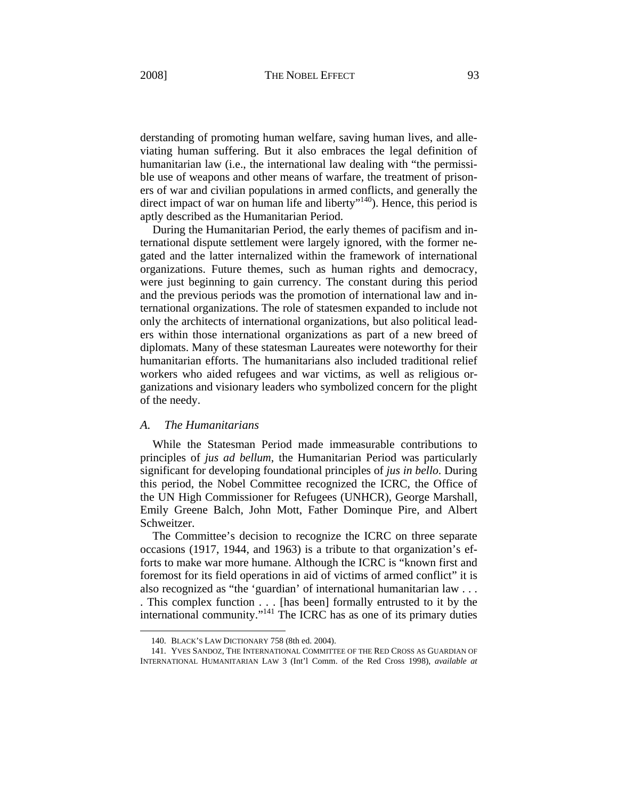derstanding of promoting human welfare, saving human lives, and alleviating human suffering. But it also embraces the legal definition of humanitarian law (i.e., the international law dealing with "the permissible use of weapons and other means of warfare, the treatment of prisoners of war and civilian populations in armed conflicts, and generally the direct impact of war on human life and liberty"<sup>140</sup>). Hence, this period is aptly described as the Humanitarian Period.

During the Humanitarian Period, the early themes of pacifism and international dispute settlement were largely ignored, with the former negated and the latter internalized within the framework of international organizations. Future themes, such as human rights and democracy, were just beginning to gain currency. The constant during this period and the previous periods was the promotion of international law and international organizations. The role of statesmen expanded to include not only the architects of international organizations, but also political leaders within those international organizations as part of a new breed of diplomats. Many of these statesman Laureates were noteworthy for their humanitarian efforts. The humanitarians also included traditional relief workers who aided refugees and war victims, as well as religious organizations and visionary leaders who symbolized concern for the plight of the needy.

#### *A. The Humanitarians*

1

While the Statesman Period made immeasurable contributions to principles of *jus ad bellum*, the Humanitarian Period was particularly significant for developing foundational principles of *jus in bello*. During this period, the Nobel Committee recognized the ICRC, the Office of the UN High Commissioner for Refugees (UNHCR), George Marshall, Emily Greene Balch, John Mott, Father Dominque Pire, and Albert Schweitzer.

The Committee's decision to recognize the ICRC on three separate occasions (1917, 1944, and 1963) is a tribute to that organization's efforts to make war more humane. Although the ICRC is "known first and foremost for its field operations in aid of victims of armed conflict" it is also recognized as "the 'guardian' of international humanitarian law . . . . This complex function . . . [has been] formally entrusted to it by the international community."<sup>141</sup> The ICRC has as one of its primary duties

<sup>140.</sup> BLACK'S LAW DICTIONARY 758 (8th ed. 2004).

<sup>141.</sup> YVES SANDOZ, THE INTERNATIONAL COMMITTEE OF THE RED CROSS AS GUARDIAN OF INTERNATIONAL HUMANITARIAN LAW 3 (Int'l Comm. of the Red Cross 1998), *available at*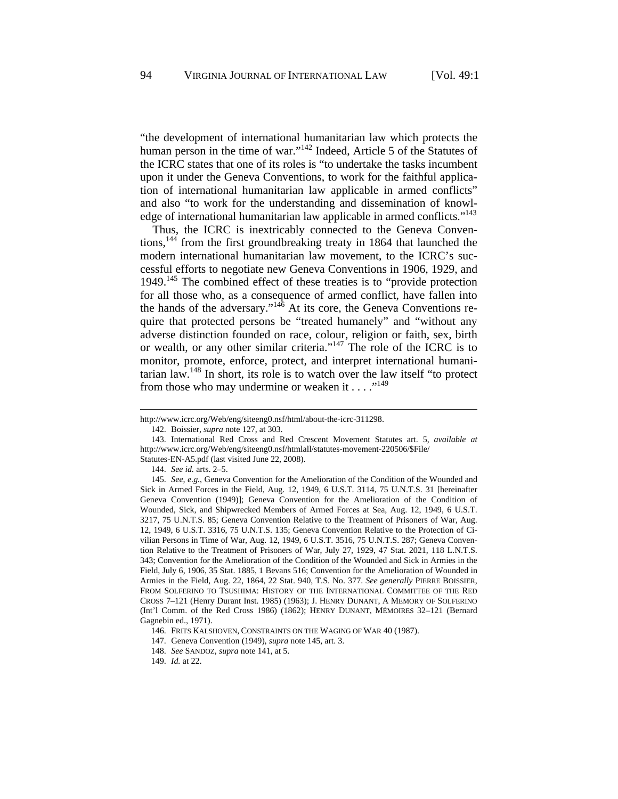"the development of international humanitarian law which protects the human person in the time of war."<sup>142</sup> Indeed, Article 5 of the Statutes of the ICRC states that one of its roles is "to undertake the tasks incumbent upon it under the Geneva Conventions, to work for the faithful application of international humanitarian law applicable in armed conflicts" and also "to work for the understanding and dissemination of knowledge of international humanitarian law applicable in armed conflicts."<sup>143</sup>

Thus, the ICRC is inextricably connected to the Geneva Conventions,<sup>144</sup> from the first groundbreaking treaty in 1864 that launched the modern international humanitarian law movement, to the ICRC's successful efforts to negotiate new Geneva Conventions in 1906, 1929, and 1949.<sup>145</sup> The combined effect of these treaties is to "provide protection" for all those who, as a consequence of armed conflict, have fallen into the hands of the adversary." $14\overline{6}$  At its core, the Geneva Conventions require that protected persons be "treated humanely" and "without any adverse distinction founded on race, colour, religion or faith, sex, birth or wealth, or any other similar criteria."<sup>147</sup> The role of the ICRC is to monitor, promote, enforce, protect, and interpret international humanitarian law.148 In short, its role is to watch over the law itself "to protect from those who may undermine or weaken it  $\dots$ ."<sup>149</sup>

l

http://www.icrc.org/Web/eng/siteeng0.nsf/html/about-the-icrc-311298.

<sup>142.</sup> Boissier, *supra* note 127, at 303.

<sup>143.</sup> International Red Cross and Red Crescent Movement Statutes art. 5, *available at* http://www.icrc.org/Web/eng/siteeng0.nsf/htmlall/statutes-movement-220506/\$File/ Statutes-EN-A5.pdf (last visited June 22, 2008).

<sup>144.</sup> *See id.* arts. 2–5.

<sup>145.</sup> *See, e.g.*, Geneva Convention for the Amelioration of the Condition of the Wounded and Sick in Armed Forces in the Field, Aug. 12, 1949, 6 U.S.T. 3114, 75 U.N.T.S. 31 [hereinafter Geneva Convention (1949)]; Geneva Convention for the Amelioration of the Condition of Wounded, Sick, and Shipwrecked Members of Armed Forces at Sea, Aug. 12, 1949, 6 U.S.T. 3217, 75 U.N.T.S. 85; Geneva Convention Relative to the Treatment of Prisoners of War, Aug. 12, 1949, 6 U.S.T. 3316, 75 U.N.T.S. 135; Geneva Convention Relative to the Protection of Civilian Persons in Time of War, Aug. 12, 1949, 6 U.S.T. 3516, 75 U.N.T.S. 287; Geneva Convention Relative to the Treatment of Prisoners of War, July 27, 1929, 47 Stat. 2021, 118 L.N.T.S. 343; Convention for the Amelioration of the Condition of the Wounded and Sick in Armies in the Field, July 6, 1906, 35 Stat. 1885, 1 Bevans 516; Convention for the Amelioration of Wounded in Armies in the Field, Aug. 22, 1864, 22 Stat. 940, T.S. No. 377. *See generally* PIERRE BOISSIER, FROM SOLFERINO TO TSUSHIMA: HISTORY OF THE INTERNATIONAL COMMITTEE OF THE RED CROSS 7–121 (Henry Durant Inst. 1985) (1963); J. HENRY DUNANT, A MEMORY OF SOLFERINO (Int'l Comm. of the Red Cross 1986) (1862); HENRY DUNANT, MÉMOIRES 32–121 (Bernard Gagnebin ed., 1971).

<sup>146.</sup> FRITS KALSHOVEN, CONSTRAINTS ON THE WAGING OF WAR 40 (1987).

<sup>147.</sup> Geneva Convention (1949), *supra* note 145, art. 3.

<sup>148.</sup> *See* SANDOZ, *supra* note 141, at 5.

<sup>149.</sup> *Id.* at 22.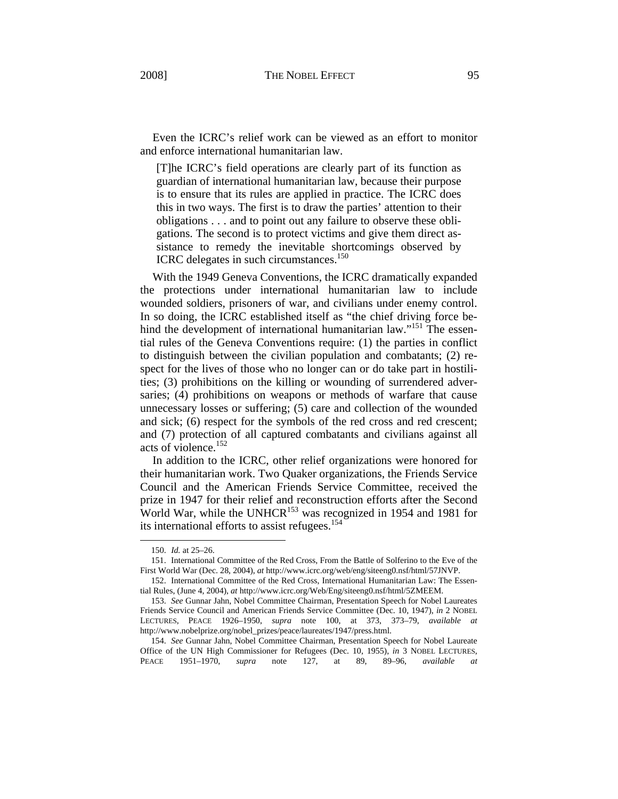Even the ICRC's relief work can be viewed as an effort to monitor and enforce international humanitarian law.

[T]he ICRC's field operations are clearly part of its function as guardian of international humanitarian law, because their purpose is to ensure that its rules are applied in practice. The ICRC does this in two ways. The first is to draw the parties' attention to their obligations . . . and to point out any failure to observe these obligations. The second is to protect victims and give them direct assistance to remedy the inevitable shortcomings observed by ICRC delegates in such circumstances.<sup>150</sup>

With the 1949 Geneva Conventions, the ICRC dramatically expanded the protections under international humanitarian law to include wounded soldiers, prisoners of war, and civilians under enemy control. In so doing, the ICRC established itself as "the chief driving force behind the development of international humanitarian law."<sup>151</sup> The essential rules of the Geneva Conventions require: (1) the parties in conflict to distinguish between the civilian population and combatants; (2) respect for the lives of those who no longer can or do take part in hostilities; (3) prohibitions on the killing or wounding of surrendered adversaries; (4) prohibitions on weapons or methods of warfare that cause unnecessary losses or suffering; (5) care and collection of the wounded and sick; (6) respect for the symbols of the red cross and red crescent; and (7) protection of all captured combatants and civilians against all acts of violence.<sup>152</sup>

In addition to the ICRC, other relief organizations were honored for their humanitarian work. Two Quaker organizations, the Friends Service Council and the American Friends Service Committee, received the prize in 1947 for their relief and reconstruction efforts after the Second World War, while the UNHCR<sup>153</sup> was recognized in 1954 and 1981 for its international efforts to assist refugees.<sup>154</sup>

<sup>150.</sup> *Id.* at 25–26.

<sup>151.</sup> International Committee of the Red Cross, From the Battle of Solferino to the Eve of the First World War (Dec. 28, 2004), *at* http://www.icrc.org/web/eng/siteeng0.nsf/html/57JNVP.

<sup>152.</sup> International Committee of the Red Cross, International Humanitarian Law: The Essential Rules, (June 4, 2004), *at* http://www.icrc.org/Web/Eng/siteeng0.nsf/html/5ZMEEM.

<sup>153.</sup> *See* Gunnar Jahn, Nobel Committee Chairman, Presentation Speech for Nobel Laureates Friends Service Council and American Friends Service Committee (Dec. 10, 1947), *in* 2 NOBEL LECTURES, PEACE 1926–1950, *supra* note 100, at 373, 373–79, *available at* http://www.nobelprize.org/nobel\_prizes/peace/laureates/1947/press.html.

<sup>154.</sup> *See* Gunnar Jahn, Nobel Committee Chairman, Presentation Speech for Nobel Laureate Office of the UN High Commissioner for Refugees (Dec. 10, 1955), *in* 3 NOBEL LECTURES, PEACE 1951–1970, *supra* note 127, at 89, 89–96, *available at*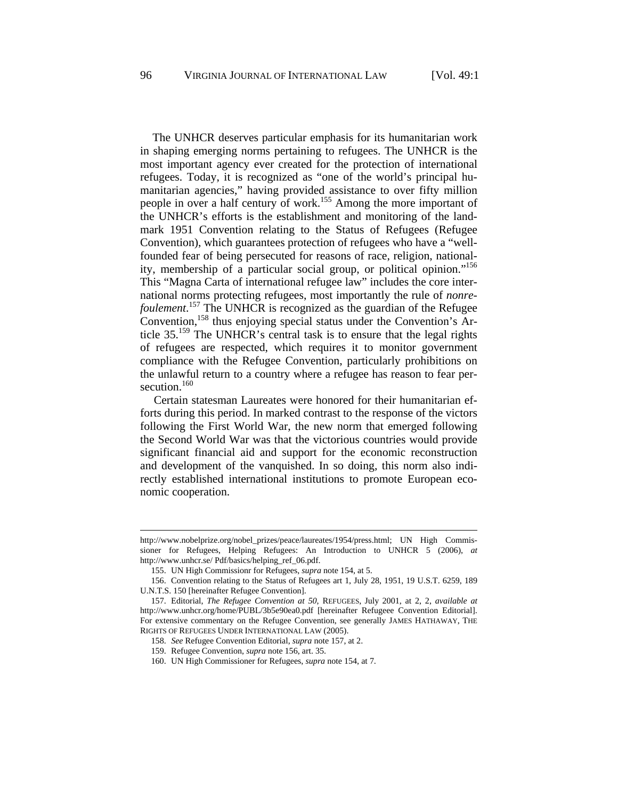The UNHCR deserves particular emphasis for its humanitarian work in shaping emerging norms pertaining to refugees. The UNHCR is the most important agency ever created for the protection of international refugees. Today, it is recognized as "one of the world's principal humanitarian agencies," having provided assistance to over fifty million people in over a half century of work.155 Among the more important of the UNHCR's efforts is the establishment and monitoring of the landmark 1951 Convention relating to the Status of Refugees (Refugee Convention), which guarantees protection of refugees who have a "wellfounded fear of being persecuted for reasons of race, religion, nationality, membership of a particular social group, or political opinion."156 This "Magna Carta of international refugee law" includes the core international norms protecting refugees, most importantly the rule of *nonrefoulement*. 157 The UNHCR is recognized as the guardian of the Refugee Convention,<sup>158</sup> thus enjoying special status under the Convention's Article 35.159 The UNHCR's central task is to ensure that the legal rights of refugees are respected, which requires it to monitor government compliance with the Refugee Convention, particularly prohibitions on the unlawful return to a country where a refugee has reason to fear persecution $160$ 

Certain statesman Laureates were honored for their humanitarian efforts during this period. In marked contrast to the response of the victors following the First World War, the new norm that emerged following the Second World War was that the victorious countries would provide significant financial aid and support for the economic reconstruction and development of the vanquished. In so doing, this norm also indirectly established international institutions to promote European economic cooperation.

l

http://www.nobelprize.org/nobel\_prizes/peace/laureates/1954/press.html; UN High Commissioner for Refugees, Helping Refugees: An Introduction to UNHCR 5 (2006), *at* http://www.unhcr.se/ Pdf/basics/helping\_ref\_06.pdf.

<sup>155.</sup> UN High Commissionr for Refugees, *supra* note 154, at 5.

<sup>156.</sup> Convention relating to the Status of Refugees art 1, July 28, 1951, 19 U.S.T. 6259, 189 U.N.T.S. 150 [hereinafter Refugee Convention].

<sup>157.</sup> Editorial, *The Refugee Convention at 50*, REFUGEES, July 2001, at 2, 2, *available at* http://www.unhcr.org/home/PUBL/3b5e90ea0.pdf [hereinafter Refugeee Convention Editorial]. For extensive commentary on the Refugee Convention, see generally JAMES HATHAWAY, THE RIGHTS OF REFUGEES UNDER INTERNATIONAL LAW (2005).

<sup>158.</sup> *See* Refugee Convention Editorial, *supra* note 157, at 2.

<sup>159.</sup> Refugee Convention, *supra* note 156, art. 35.

<sup>160.</sup> UN High Commissioner for Refugees, *supra* note 154, at 7.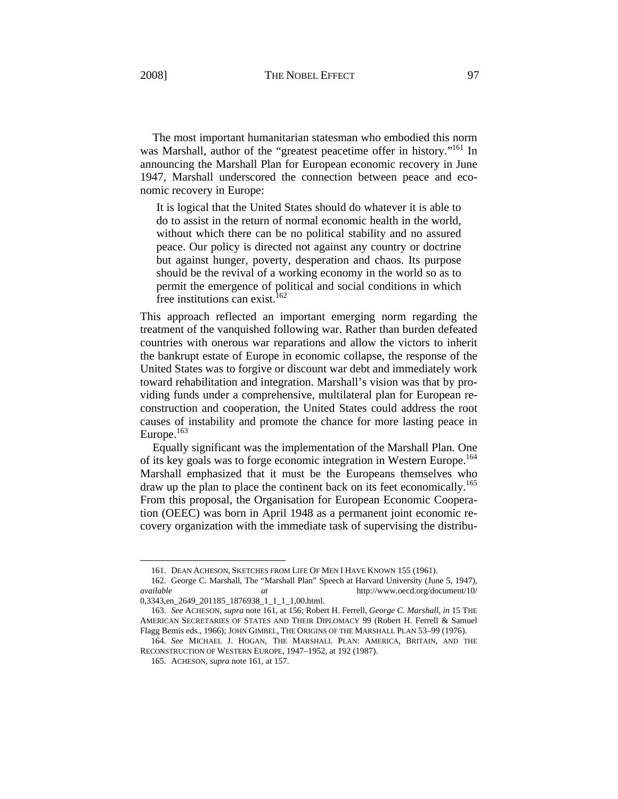The most important humanitarian statesman who embodied this norm was Marshall, author of the "greatest peacetime offer in history."<sup>161</sup> In announcing the Marshall Plan for European economic recovery in June 1947, Marshall underscored the connection between peace and economic recovery in Europe:

It is logical that the United States should do whatever it is able to do to assist in the return of normal economic health in the world, without which there can be no political stability and no assured peace. Our policy is directed not against any country or doctrine but against hunger, poverty, desperation and chaos. Its purpose should be the revival of a working economy in the world so as to permit the emergence of political and social conditions in which free institutions can exist.<sup>162</sup>

This approach reflected an important emerging norm regarding the treatment of the vanquished following war. Rather than burden defeated countries with onerous war reparations and allow the victors to inherit the bankrupt estate of Europe in economic collapse, the response of the United States was to forgive or discount war debt and immediately work toward rehabilitation and integration. Marshall's vision was that by providing funds under a comprehensive, multilateral plan for European reconstruction and cooperation, the United States could address the root causes of instability and promote the chance for more lasting peace in Europe. $163$ 

Equally significant was the implementation of the Marshall Plan. One of its key goals was to forge economic integration in Western Europe.<sup>164</sup> Marshall emphasized that it must be the Europeans themselves who draw up the plan to place the continent back on its feet economically.<sup>165</sup> From this proposal, the Organisation for European Economic Cooperation (OEEC) was born in April 1948 as a permanent joint economic recovery organization with the immediate task of supervising the distribu-

<sup>161.</sup> DEAN ACHESON, SKETCHES FROM LIFE OF MEN I HAVE KNOWN 155 (1961).

<sup>162.</sup> George C. Marshall, The "Marshall Plan" Speech at Harvard University (June 5, 1947), *available at* http://www.oecd.org/document/10/ 0,3343,en\_2649\_201185\_1876938\_1\_1\_1\_1,00.html.

<sup>163.</sup> *See* ACHESON, *supra* note 161, at 156; Robert H. Ferrell, *George C. Marshall*, *in* 15 THE AMERICAN SECRETARIES OF STATES AND THEIR DIPLOMACY 99 (Robert H. Ferrell & Samuel Flagg Bemis eds., 1966); JOHN GIMBEL, THE ORIGINS OF THE MARSHALL PLAN 53–99 (1976).

<sup>164.</sup> *See* MICHAEL J. HOGAN, THE MARSHALL PLAN: AMERICA, BRITAIN, AND THE RECONSTRUCTION OF WESTERN EUROPE, 1947–1952, at 192 (1987).

<sup>165.</sup> ACHESON, *supra* note 161, at 157.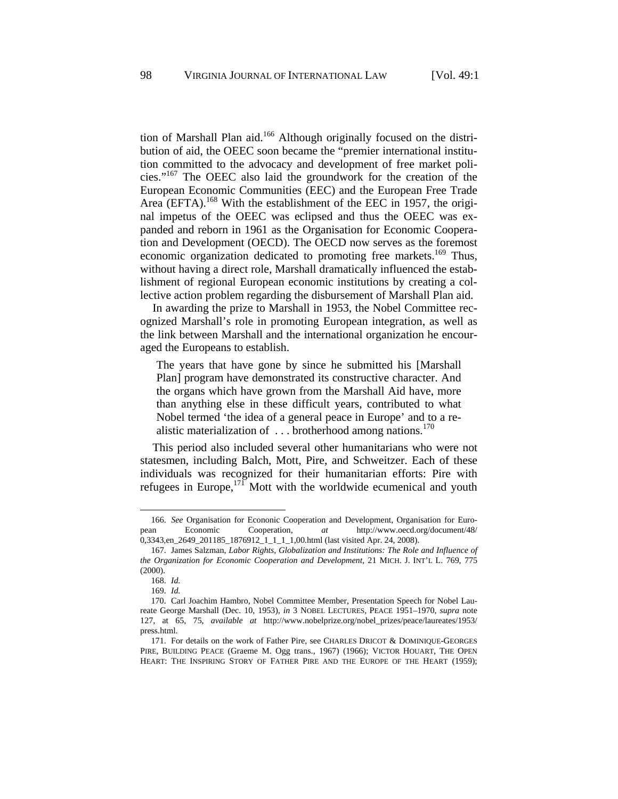tion of Marshall Plan aid.<sup>166</sup> Although originally focused on the distribution of aid, the OEEC soon became the "premier international institution committed to the advocacy and development of free market policies."167 The OEEC also laid the groundwork for the creation of the European Economic Communities (EEC) and the European Free Trade Area (EFTA).<sup>168</sup> With the establishment of the EEC in 1957, the original impetus of the OEEC was eclipsed and thus the OEEC was expanded and reborn in 1961 as the Organisation for Economic Cooperation and Development (OECD). The OECD now serves as the foremost economic organization dedicated to promoting free markets.<sup>169</sup> Thus, without having a direct role, Marshall dramatically influenced the establishment of regional European economic institutions by creating a collective action problem regarding the disbursement of Marshall Plan aid.

In awarding the prize to Marshall in 1953, the Nobel Committee recognized Marshall's role in promoting European integration, as well as the link between Marshall and the international organization he encouraged the Europeans to establish.

The years that have gone by since he submitted his [Marshall Plan] program have demonstrated its constructive character. And the organs which have grown from the Marshall Aid have, more than anything else in these difficult years, contributed to what Nobel termed 'the idea of a general peace in Europe' and to a realistic materialization of  $\ldots$  brotherhood among nations.<sup>170</sup>

This period also included several other humanitarians who were not statesmen, including Balch, Mott, Pire, and Schweitzer. Each of these individuals was recognized for their humanitarian efforts: Pire with refugees in Europe,<sup>171</sup> Mott with the worldwide ecumenical and youth

<sup>166.</sup> *See* Organisation for Econonic Cooperation and Development, Organisation for European Economic Cooperation, *at* http://www.oecd.org/document/48/ 0,3343,en\_2649\_201185\_1876912\_1\_1\_1\_1,00.html (last visited Apr. 24, 2008).

<sup>167.</sup> James Salzman, *Labor Rights, Globalization and Institutions: The Role and Influence of the Organization for Economic Cooperation and Development*, 21 MICH. J. INT'L L. 769, 775 (2000).

<sup>168.</sup> *Id.*

<sup>169.</sup> *Id.*

<sup>170.</sup> Carl Joachim Hambro, Nobel Committee Member, Presentation Speech for Nobel Laureate George Marshall (Dec. 10, 1953), *in* 3 NOBEL LECTURES, PEACE 1951–1970, *supra* note 127, at 65, 75, *available at* http://www.nobelprize.org/nobel\_prizes/peace/laureates/1953/ press.html.

<sup>171.</sup> For details on the work of Father Pire, see CHARLES DRICOT & DOMINIQUE-GEORGES PIRE, BUILDING PEACE (Graeme M. Ogg trans., 1967) (1966); VICTOR HOUART, THE OPEN HEART: THE INSPIRING STORY OF FATHER PIRE AND THE EUROPE OF THE HEART (1959);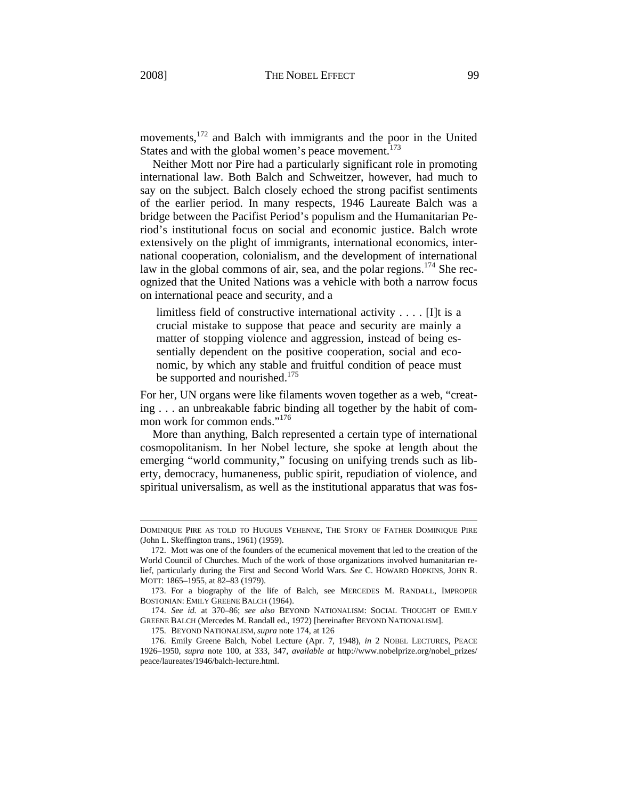l

movements,<sup>172</sup> and Balch with immigrants and the poor in the United States and with the global women's peace movement.<sup> $173$ </sup>

Neither Mott nor Pire had a particularly significant role in promoting international law. Both Balch and Schweitzer, however, had much to say on the subject. Balch closely echoed the strong pacifist sentiments of the earlier period. In many respects, 1946 Laureate Balch was a bridge between the Pacifist Period's populism and the Humanitarian Period's institutional focus on social and economic justice. Balch wrote extensively on the plight of immigrants, international economics, international cooperation, colonialism, and the development of international law in the global commons of air, sea, and the polar regions.<sup>174</sup> She recognized that the United Nations was a vehicle with both a narrow focus on international peace and security, and a

limitless field of constructive international activity . . . . [I]t is a crucial mistake to suppose that peace and security are mainly a matter of stopping violence and aggression, instead of being essentially dependent on the positive cooperation, social and economic, by which any stable and fruitful condition of peace must be supported and nourished.<sup>175</sup>

For her, UN organs were like filaments woven together as a web, "creating . . . an unbreakable fabric binding all together by the habit of common work for common ends."176

More than anything, Balch represented a certain type of international cosmopolitanism. In her Nobel lecture, she spoke at length about the emerging "world community," focusing on unifying trends such as liberty, democracy, humaneness, public spirit, repudiation of violence, and spiritual universalism, as well as the institutional apparatus that was fos-

DOMINIQUE PIRE AS TOLD TO HUGUES VEHENNE, THE STORY OF FATHER DOMINIQUE PIRE (John L. Skeffington trans., 1961) (1959).

<sup>172.</sup> Mott was one of the founders of the ecumenical movement that led to the creation of the World Council of Churches. Much of the work of those organizations involved humanitarian relief, particularly during the First and Second World Wars. *See* C. HOWARD HOPKINS, JOHN R. MOTT: 1865–1955, at 82–83 (1979).

<sup>173.</sup> For a biography of the life of Balch, see MERCEDES M. RANDALL, IMPROPER BOSTONIAN: EMILY GREENE BALCH (1964).

<sup>174.</sup> *See id.* at 370–86; *see also* BEYOND NATIONALISM: SOCIAL THOUGHT OF EMILY GREENE BALCH (Mercedes M. Randall ed., 1972) [hereinafter BEYOND NATIONALISM].

<sup>175.</sup> BEYOND NATIONALISM, *supra* note 174, at 126

<sup>176.</sup> Emily Greene Balch, Nobel Lecture (Apr. 7, 1948), *in* 2 NOBEL LECTURES, PEACE 1926–1950, *supra* note 100, at 333, 347, *available at* http://www.nobelprize.org/nobel\_prizes/ peace/laureates/1946/balch-lecture.html.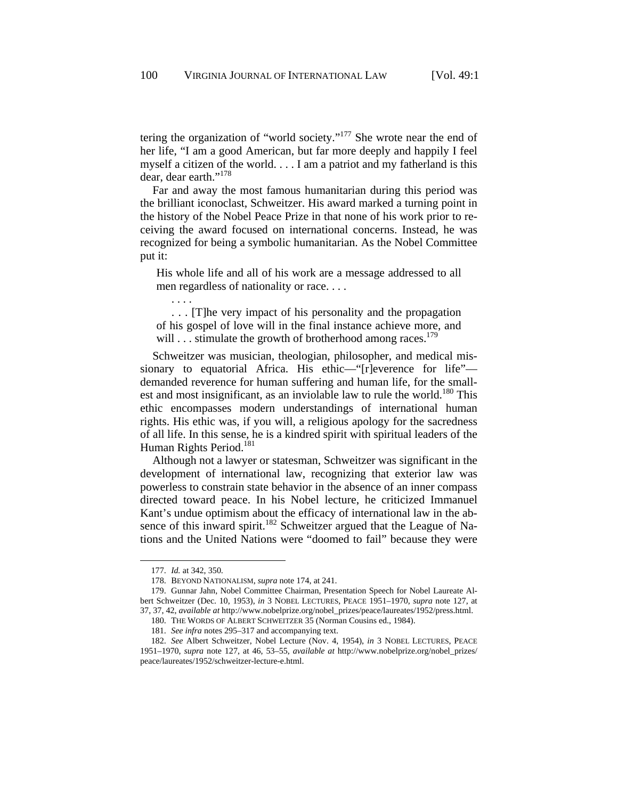tering the organization of "world society."<sup>177</sup> She wrote near the end of her life, "I am a good American, but far more deeply and happily I feel myself a citizen of the world. . . . I am a patriot and my fatherland is this dear, dear earth."<sup>178</sup>

Far and away the most famous humanitarian during this period was the brilliant iconoclast, Schweitzer. His award marked a turning point in the history of the Nobel Peace Prize in that none of his work prior to receiving the award focused on international concerns. Instead, he was recognized for being a symbolic humanitarian. As the Nobel Committee put it:

His whole life and all of his work are a message addressed to all men regardless of nationality or race. . . .

 . . . . . . . [T]he very impact of his personality and the propagation of his gospel of love will in the final instance achieve more, and will  $\ldots$  stimulate the growth of brotherhood among races.<sup>179</sup>

Schweitzer was musician, theologian, philosopher, and medical missionary to equatorial Africa. His ethic—"[r]everence for life" demanded reverence for human suffering and human life, for the smallest and most insignificant, as an inviolable law to rule the world.<sup>180</sup> This ethic encompasses modern understandings of international human rights. His ethic was, if you will, a religious apology for the sacredness of all life. In this sense, he is a kindred spirit with spiritual leaders of the Human Rights Period.<sup>181</sup>

Although not a lawyer or statesman, Schweitzer was significant in the development of international law, recognizing that exterior law was powerless to constrain state behavior in the absence of an inner compass directed toward peace. In his Nobel lecture, he criticized Immanuel Kant's undue optimism about the efficacy of international law in the absence of this inward spirit.<sup>182</sup> Schweitzer argued that the League of Nations and the United Nations were "doomed to fail" because they were

<sup>177.</sup> *Id.* at 342, 350.

<sup>178.</sup> BEYOND NATIONALISM, *supra* note 174, at 241.

<sup>179.</sup> Gunnar Jahn, Nobel Committee Chairman, Presentation Speech for Nobel Laureate Albert Schweitzer (Dec. 10, 1953), *in* 3 NOBEL LECTURES, PEACE 1951–1970, *supra* note 127, at 37, 37, 42, *available at* http://www.nobelprize.org/nobel\_prizes/peace/laureates/1952/press.html.

<sup>180.</sup> THE WORDS OF ALBERT SCHWEITZER 35 (Norman Cousins ed., 1984).

<sup>181.</sup> *See infra* notes 295–317 and accompanying text.

<sup>182.</sup> *See* Albert Schweitzer, Nobel Lecture (Nov. 4, 1954), *in* 3 NOBEL LECTURES, PEACE 1951–1970, *supra* note 127, at 46, 53–55, *available at* http://www.nobelprize.org/nobel\_prizes/ peace/laureates/1952/schweitzer-lecture-e.html.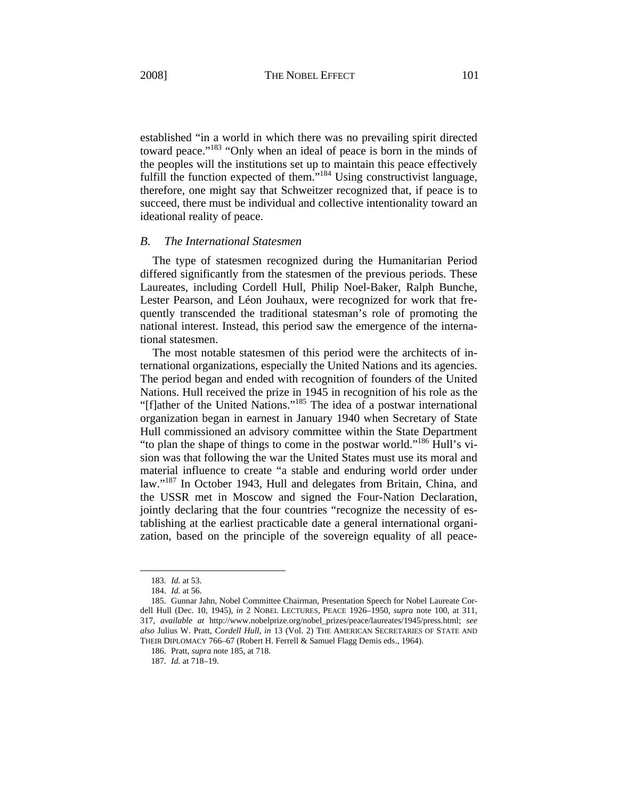established "in a world in which there was no prevailing spirit directed toward peace."183 "Only when an ideal of peace is born in the minds of the peoples will the institutions set up to maintain this peace effectively fulfill the function expected of them."<sup>184</sup> Using constructivist language, therefore, one might say that Schweitzer recognized that, if peace is to succeed, there must be individual and collective intentionality toward an ideational reality of peace.

# *B. The International Statesmen*

The type of statesmen recognized during the Humanitarian Period differed significantly from the statesmen of the previous periods. These Laureates, including Cordell Hull, Philip Noel-Baker, Ralph Bunche, Lester Pearson, and Léon Jouhaux, were recognized for work that frequently transcended the traditional statesman's role of promoting the national interest. Instead, this period saw the emergence of the international statesmen.

The most notable statesmen of this period were the architects of international organizations, especially the United Nations and its agencies. The period began and ended with recognition of founders of the United Nations. Hull received the prize in 1945 in recognition of his role as the "[f]ather of the United Nations."185 The idea of a postwar international organization began in earnest in January 1940 when Secretary of State Hull commissioned an advisory committee within the State Department "to plan the shape of things to come in the postwar world."186 Hull's vision was that following the war the United States must use its moral and material influence to create "a stable and enduring world order under law."<sup>187</sup> In October 1943, Hull and delegates from Britain, China, and the USSR met in Moscow and signed the Four-Nation Declaration, jointly declaring that the four countries "recognize the necessity of establishing at the earliest practicable date a general international organization, based on the principle of the sovereign equality of all peace-

<sup>183.</sup> *Id.* at 53.

<sup>184.</sup> *Id.* at 56.

<sup>185.</sup> Gunnar Jahn, Nobel Committee Chairman, Presentation Speech for Nobel Laureate Cordell Hull (Dec. 10, 1945), *in* 2 NOBEL LECTURES, PEACE 1926–1950, *supra* note 100, at 311, 317, *available at* http://www.nobelprize.org/nobel\_prizes/peace/laureates/1945/press.html; *see also* Julius W. Pratt, *Cordell Hull*, *in* 13 (Vol. 2) THE AMERICAN SECRETARIES OF STATE AND THEIR DIPLOMACY 766–67 (Robert H. Ferrell & Samuel Flagg Demis eds., 1964).

<sup>186.</sup> Pratt, *supra* note 185, at 718.

<sup>187.</sup> *Id.* at 718–19.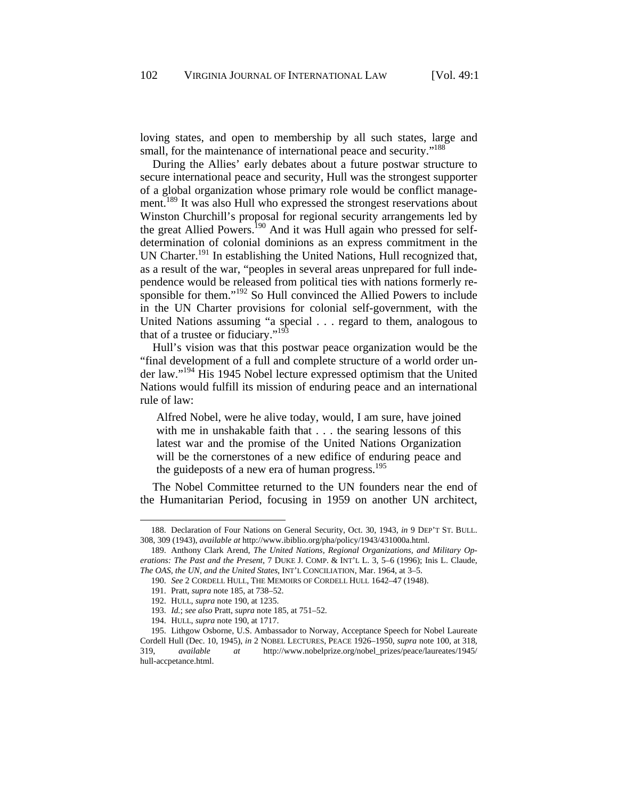loving states, and open to membership by all such states, large and small, for the maintenance of international peace and security."<sup>188</sup>

During the Allies' early debates about a future postwar structure to secure international peace and security, Hull was the strongest supporter of a global organization whose primary role would be conflict management.<sup>189</sup> It was also Hull who expressed the strongest reservations about Winston Churchill's proposal for regional security arrangements led by the great Allied Powers.<sup>190</sup> And it was Hull again who pressed for selfdetermination of colonial dominions as an express commitment in the UN Charter.<sup>191</sup> In establishing the United Nations, Hull recognized that, as a result of the war, "peoples in several areas unprepared for full independence would be released from political ties with nations formerly responsible for them."<sup>192</sup> So Hull convinced the Allied Powers to include in the UN Charter provisions for colonial self-government, with the United Nations assuming "a special . . . regard to them, analogous to that of a trustee or fiduciary."<sup>193</sup>

Hull's vision was that this postwar peace organization would be the "final development of a full and complete structure of a world order under law."194 His 1945 Nobel lecture expressed optimism that the United Nations would fulfill its mission of enduring peace and an international rule of law:

Alfred Nobel, were he alive today, would, I am sure, have joined with me in unshakable faith that . . . the searing lessons of this latest war and the promise of the United Nations Organization will be the cornerstones of a new edifice of enduring peace and the guideposts of a new era of human progress. $195$ 

The Nobel Committee returned to the UN founders near the end of the Humanitarian Period, focusing in 1959 on another UN architect,

<sup>188.</sup> Declaration of Four Nations on General Security, Oct. 30, 1943, *in* 9 DEP'T ST. BULL. 308, 309 (1943), *available at* http://www.ibiblio.org/pha/policy/1943/431000a.html.

<sup>189.</sup> Anthony Clark Arend, *The United Nations, Regional Organizations, and Military Operations: The Past and the Present*, 7 DUKE J. COMP. & INT'L L. 3, 5–6 (1996); Inis L. Claude, *The OAS, the UN, and the United States*, INT'L CONCILIATION, Mar. 1964, at 3–5.

<sup>190.</sup> *See* 2 CORDELL HULL, THE MEMOIRS OF CORDELL HULL 1642–47 (1948).

<sup>191.</sup> Pratt, *supra* note 185, at 738–52.

<sup>192.</sup> HULL, *supra* note 190, at 1235.

<sup>193.</sup> *Id.*; *see also* Pratt, *supra* note 185, at 751–52.

<sup>194.</sup> HULL, *supra* note 190, at 1717.

<sup>195.</sup> Lithgow Osborne, U.S. Ambassador to Norway, Acceptance Speech for Nobel Laureate Cordell Hull (Dec. 10, 1945), *in* 2 NOBEL LECTURES, PEACE 1926–1950, *supra* note 100, at 318, 319, *available at* http://www.nobelprize.org/nobel\_prizes/peace/laureates/1945/ hull-accpetance.html.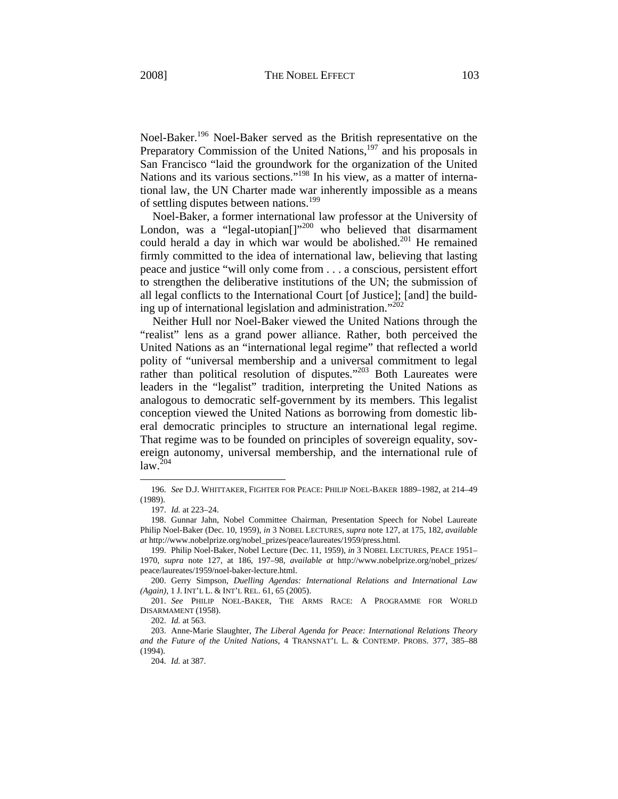Noel-Baker.<sup>196</sup> Noel-Baker served as the British representative on the Preparatory Commission of the United Nations,<sup>197</sup> and his proposals in San Francisco "laid the groundwork for the organization of the United Nations and its various sections."<sup>198</sup> In his view, as a matter of international law, the UN Charter made war inherently impossible as a means of settling disputes between nations.<sup>199</sup>

Noel-Baker, a former international law professor at the University of London, was a "legal-utopian $[$ "<sup>200</sup> who believed that disarmament could herald a day in which war would be abolished.<sup>201</sup> He remained firmly committed to the idea of international law, believing that lasting peace and justice "will only come from . . . a conscious, persistent effort to strengthen the deliberative institutions of the UN; the submission of all legal conflicts to the International Court [of Justice]; [and] the building up of international legislation and administration."202

Neither Hull nor Noel-Baker viewed the United Nations through the "realist" lens as a grand power alliance. Rather, both perceived the United Nations as an "international legal regime" that reflected a world polity of "universal membership and a universal commitment to legal rather than political resolution of disputes."<sup>203</sup> Both Laureates were leaders in the "legalist" tradition, interpreting the United Nations as analogous to democratic self-government by its members. This legalist conception viewed the United Nations as borrowing from domestic liberal democratic principles to structure an international legal regime. That regime was to be founded on principles of sovereign equality, sovereign autonomy, universal membership, and the international rule of  $law.<sup>204</sup>$ 

<sup>196.</sup> *See* D.J. WHITTAKER, FIGHTER FOR PEACE: PHILIP NOEL-BAKER 1889–1982, at 214–49 (1989).

<sup>197.</sup> *Id.* at 223–24.

<sup>198.</sup> Gunnar Jahn, Nobel Committee Chairman, Presentation Speech for Nobel Laureate Philip Noel-Baker (Dec. 10, 1959), *in* 3 NOBEL LECTURES, *supra* note 127, at 175, 182, *available at* http://www.nobelprize.org/nobel\_prizes/peace/laureates/1959/press.html.

<sup>199.</sup> Philip Noel-Baker, Nobel Lecture (Dec. 11, 1959), *in* 3 NOBEL LECTURES, PEACE 1951– 1970, *supra* note 127, at 186, 197–98, *available at* http://www.nobelprize.org/nobel\_prizes/ peace/laureates/1959/noel-baker-lecture.html.

<sup>200.</sup> Gerry Simpson, *Duelling Agendas: International Relations and International Law (Again)*, 1 J. INT'L L. & INT'L REL. 61, 65 (2005).

<sup>201.</sup> *See* PHILIP NOEL-BAKER, THE ARMS RACE: A PROGRAMME FOR WORLD DISARMAMENT (1958).

<sup>202.</sup> *Id.* at 563.

<sup>203.</sup> Anne-Marie Slaughter, *The Liberal Agenda for Peace: International Relations Theory and the Future of the United Nations*, 4 TRANSNAT'L L. & CONTEMP. PROBS. 377, 385–88 (1994).

<sup>204.</sup> *Id.* at 387.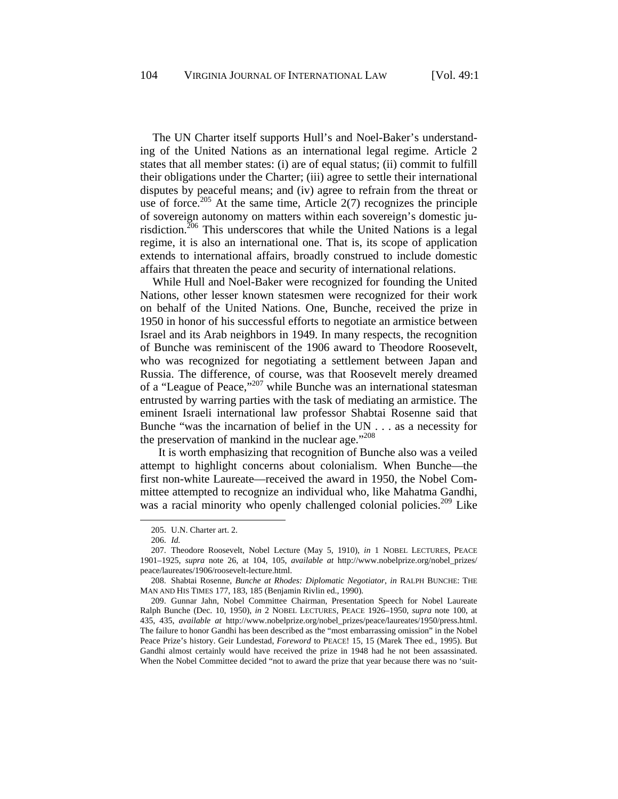The UN Charter itself supports Hull's and Noel-Baker's understanding of the United Nations as an international legal regime. Article 2 states that all member states: (i) are of equal status; (ii) commit to fulfill their obligations under the Charter; (iii) agree to settle their international disputes by peaceful means; and (iv) agree to refrain from the threat or use of force.<sup>205</sup> At the same time, Article 2(7) recognizes the principle of sovereign autonomy on matters within each sovereign's domestic jurisdiction.<sup> $206$ </sup> This underscores that while the United Nations is a legal regime, it is also an international one. That is, its scope of application extends to international affairs, broadly construed to include domestic affairs that threaten the peace and security of international relations.

While Hull and Noel-Baker were recognized for founding the United Nations, other lesser known statesmen were recognized for their work on behalf of the United Nations. One, Bunche, received the prize in 1950 in honor of his successful efforts to negotiate an armistice between Israel and its Arab neighbors in 1949. In many respects, the recognition of Bunche was reminiscent of the 1906 award to Theodore Roosevelt, who was recognized for negotiating a settlement between Japan and Russia. The difference, of course, was that Roosevelt merely dreamed of a "League of Peace,"207 while Bunche was an international statesman entrusted by warring parties with the task of mediating an armistice. The eminent Israeli international law professor Shabtai Rosenne said that Bunche "was the incarnation of belief in the UN . . . as a necessity for the preservation of mankind in the nuclear age."<sup>208</sup>

 It is worth emphasizing that recognition of Bunche also was a veiled attempt to highlight concerns about colonialism. When Bunche—the first non-white Laureate—received the award in 1950, the Nobel Committee attempted to recognize an individual who, like Mahatma Gandhi, was a racial minority who openly challenged colonial policies.<sup>209</sup> Like

<sup>205.</sup> U.N. Charter art. 2.

<sup>206.</sup> *Id.*

<sup>207.</sup> Theodore Roosevelt, Nobel Lecture (May 5, 1910), *in* 1 NOBEL LECTURES, PEACE 1901–1925, *supra* note 26, at 104, 105, *available at* http://www.nobelprize.org/nobel\_prizes/ peace/laureates/1906/roosevelt-lecture.html.

<sup>208.</sup> Shabtai Rosenne, *Bunche at Rhodes: Diplomatic Negotiator*, *in* RALPH BUNCHE: THE MAN AND HIS TIMES 177, 183, 185 (Benjamin Rivlin ed., 1990).

<sup>209.</sup> Gunnar Jahn, Nobel Committee Chairman, Presentation Speech for Nobel Laureate Ralph Bunche (Dec. 10, 1950), *in* 2 NOBEL LECTURES, PEACE 1926–1950, *supra* note 100, at 435, 435, *available at* http://www.nobelprize.org/nobel\_prizes/peace/laureates/1950/press.html. The failure to honor Gandhi has been described as the "most embarrassing omission" in the Nobel Peace Prize's history. Geir Lundestad, *Foreword* to PEACE! 15, 15 (Marek Thee ed., 1995). But Gandhi almost certainly would have received the prize in 1948 had he not been assassinated. When the Nobel Committee decided "not to award the prize that year because there was no 'suit-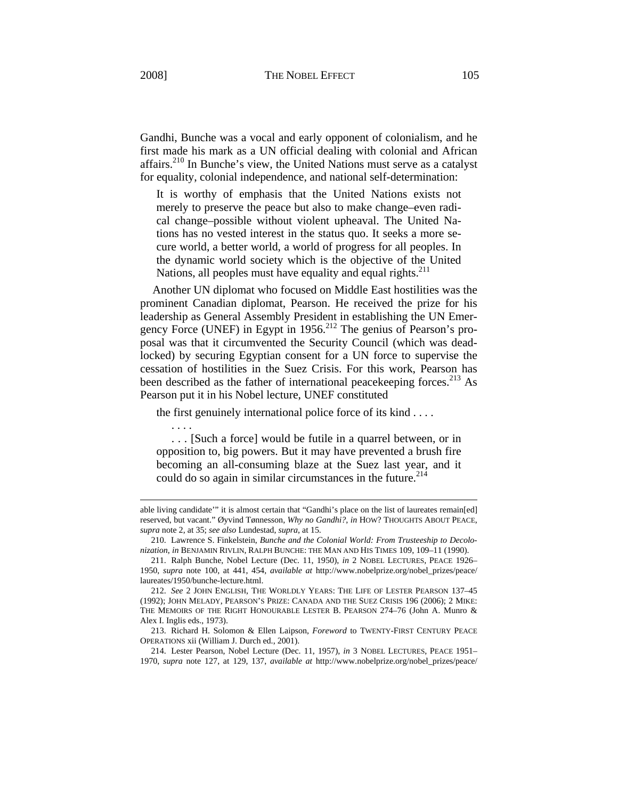. . . .

l

Gandhi, Bunche was a vocal and early opponent of colonialism, and he first made his mark as a UN official dealing with colonial and African affairs.210 In Bunche's view, the United Nations must serve as a catalyst for equality, colonial independence, and national self-determination:

It is worthy of emphasis that the United Nations exists not merely to preserve the peace but also to make change–even radical change–possible without violent upheaval. The United Nations has no vested interest in the status quo. It seeks a more secure world, a better world, a world of progress for all peoples. In the dynamic world society which is the objective of the United Nations, all peoples must have equality and equal rights. $^{211}$ 

Another UN diplomat who focused on Middle East hostilities was the prominent Canadian diplomat, Pearson. He received the prize for his leadership as General Assembly President in establishing the UN Emergency Force (UNEF) in Egypt in 1956.<sup>212</sup> The genius of Pearson's proposal was that it circumvented the Security Council (which was deadlocked) by securing Egyptian consent for a UN force to supervise the cessation of hostilities in the Suez Crisis. For this work, Pearson has been described as the father of international peacekeeping forces.<sup>213</sup> As Pearson put it in his Nobel lecture, UNEF constituted

the first genuinely international police force of its kind . . . .

 . . . [Such a force] would be futile in a quarrel between, or in opposition to, big powers. But it may have prevented a brush fire becoming an all-consuming blaze at the Suez last year, and it could do so again in similar circumstances in the future. $2^{14}$ 

214. Lester Pearson, Nobel Lecture (Dec. 11, 1957), *in* 3 NOBEL LECTURES, PEACE 1951– 1970, *supra* note 127, at 129, 137, *available at* http://www.nobelprize.org/nobel\_prizes/peace/

able living candidate'" it is almost certain that "Gandhi's place on the list of laureates remain[ed] reserved, but vacant." Øyvind Tønnesson, *Why no Gandhi?*, *in* HOW? THOUGHTS ABOUT PEACE, *supra* note 2, at 35; *see also* Lundestad, *supra*, at 15.

<sup>210.</sup> Lawrence S. Finkelstein, *Bunche and the Colonial World: From Trusteeship to Decolonization*, *in* BENJAMIN RIVLIN, RALPH BUNCHE: THE MAN AND HIS TIMES 109, 109–11 (1990).

<sup>211.</sup> Ralph Bunche, Nobel Lecture (Dec. 11, 1950), *in* 2 NOBEL LECTURES, PEACE 1926– 1950, *supra* note 100, at 441, 454, *available at* http://www.nobelprize.org/nobel\_prizes/peace/ laureates/1950/bunche-lecture.html.

<sup>212.</sup> *See* 2 JOHN ENGLISH, THE WORLDLY YEARS: THE LIFE OF LESTER PEARSON 137–45 (1992); JOHN MELADY, PEARSON'S PRIZE: CANADA AND THE SUEZ CRISIS 196 (2006); 2 MIKE: THE MEMOIRS OF THE RIGHT HONOURABLE LESTER B. PEARSON 274-76 (John A. Munro & Alex I. Inglis eds., 1973).

<sup>213.</sup> Richard H. Solomon & Ellen Laipson, *Foreword* to TWENTY-FIRST CENTURY PEACE OPERATIONS xii (William J. Durch ed., 2001).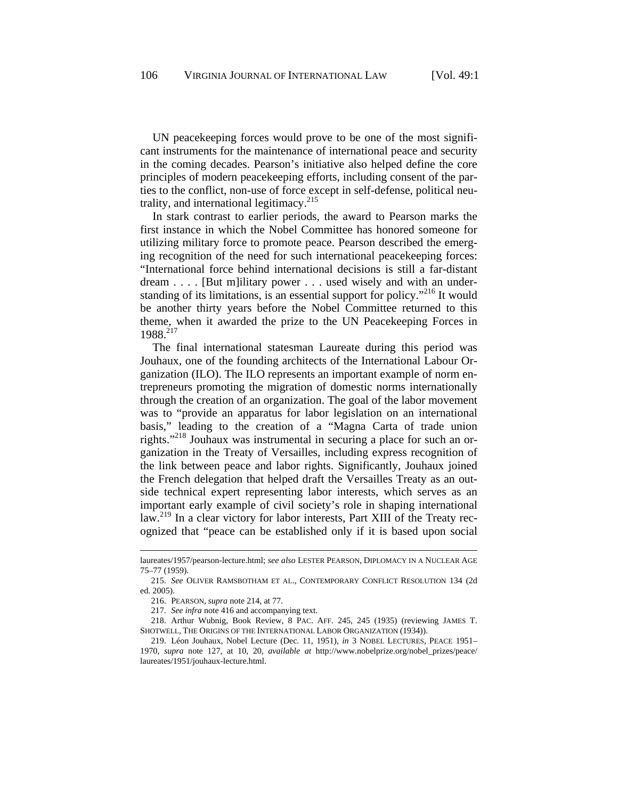UN peacekeeping forces would prove to be one of the most significant instruments for the maintenance of international peace and security in the coming decades. Pearson's initiative also helped define the core principles of modern peacekeeping efforts, including consent of the parties to the conflict, non-use of force except in self-defense, political neutrality, and international legitimacy.<sup>215</sup>

In stark contrast to earlier periods, the award to Pearson marks the first instance in which the Nobel Committee has honored someone for utilizing military force to promote peace. Pearson described the emerging recognition of the need for such international peacekeeping forces: "International force behind international decisions is still a far-distant dream . . . . [But m]ilitary power . . . used wisely and with an understanding of its limitations, is an essential support for policy."<sup>216</sup> It would be another thirty years before the Nobel Committee returned to this theme, when it awarded the prize to the UN Peacekeeping Forces in 1988.<sup>217</sup>

The final international statesman Laureate during this period was Jouhaux, one of the founding architects of the International Labour Organization (ILO). The ILO represents an important example of norm entrepreneurs promoting the migration of domestic norms internationally through the creation of an organization. The goal of the labor movement was to "provide an apparatus for labor legislation on an international basis," leading to the creation of a "Magna Carta of trade union rights."218 Jouhaux was instrumental in securing a place for such an organization in the Treaty of Versailles, including express recognition of the link between peace and labor rights. Significantly, Jouhaux joined the French delegation that helped draft the Versailles Treaty as an outside technical expert representing labor interests, which serves as an important early example of civil society's role in shaping international law.<sup>219</sup> In a clear victory for labor interests, Part XIII of the Treaty recognized that "peace can be established only if it is based upon social

l

217. *See infra* note 416 and accompanying text.

218. Arthur Wubnig, Book Review, 8 PAC. AFF. 245, 245 (1935) (reviewing JAMES T. SHOTWELL, THE ORIGINS OF THE INTERNATIONAL LABOR ORGANIZATION (1934)).

laureates/1957/pearson-lecture.html; *see also* LESTER PEARSON, DIPLOMACY IN A NUCLEAR AGE 75–77 (1959).

<sup>215.</sup> *See* OLIVER RAMSBOTHAM ET AL., CONTEMPORARY CONFLICT RESOLUTION 134 (2d ed. 2005).

<sup>216.</sup> PEARSON, *supra* note 214, at 77.

<sup>219.</sup> Léon Jouhaux, Nobel Lecture (Dec. 11, 1951), *in* 3 NOBEL LECTURES, PEACE 1951– 1970, *supra* note 127, at 10, 20, *available at* http://www.nobelprize.org/nobel\_prizes/peace/ laureates/1951/jouhaux-lecture.html.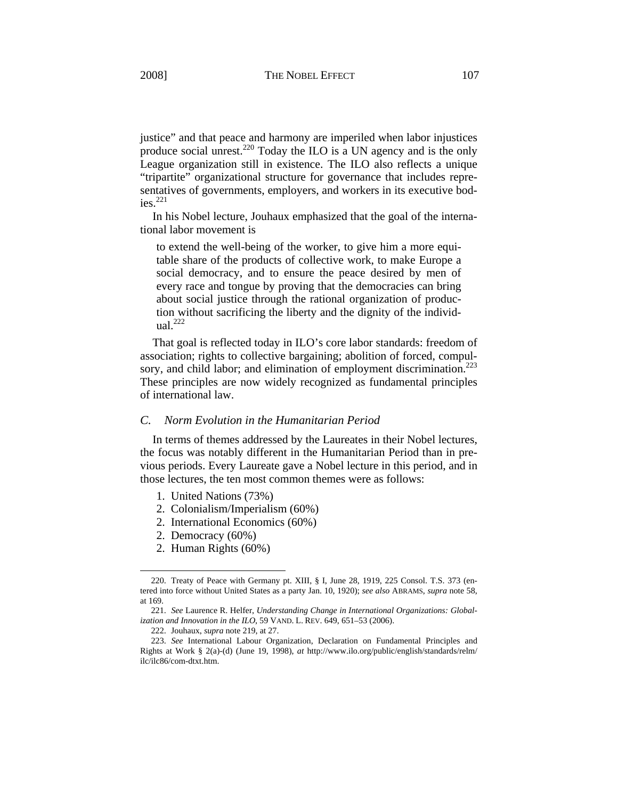justice" and that peace and harmony are imperiled when labor injustices produce social unrest.<sup>220</sup> Today the ILO is a UN agency and is the only League organization still in existence. The ILO also reflects a unique "tripartite" organizational structure for governance that includes representatives of governments, employers, and workers in its executive bodies. $221$ 

In his Nobel lecture, Jouhaux emphasized that the goal of the international labor movement is

to extend the well-being of the worker, to give him a more equitable share of the products of collective work, to make Europe a social democracy, and to ensure the peace desired by men of every race and tongue by proving that the democracies can bring about social justice through the rational organization of production without sacrificing the liberty and the dignity of the individ- $\mu$ al.<sup>222</sup>

That goal is reflected today in ILO's core labor standards: freedom of association; rights to collective bargaining; abolition of forced, compulsory, and child labor; and elimination of employment discrimination.<sup>223</sup> These principles are now widely recognized as fundamental principles of international law.

### *C. Norm Evolution in the Humanitarian Period*

In terms of themes addressed by the Laureates in their Nobel lectures, the focus was notably different in the Humanitarian Period than in previous periods. Every Laureate gave a Nobel lecture in this period, and in those lectures, the ten most common themes were as follows:

- 1. United Nations (73%)
- 2. Colonialism/Imperialism (60%)
- 2. International Economics (60%)
- 2. Democracy (60%)

1

2. Human Rights (60%)

<sup>220.</sup> Treaty of Peace with Germany pt. XIII, § I, June 28, 1919, 225 Consol. T.S. 373 (entered into force without United States as a party Jan. 10, 1920); *see also* ABRAMS, *supra* note 58, at 169.

<sup>221.</sup> *See* Laurence R. Helfer, *Understanding Change in International Organizations: Globalization and Innovation in the ILO*, 59 VAND. L. REV. 649, 651–53 (2006).

<sup>222.</sup> Jouhaux, *supra* note 219, at 27.

<sup>223.</sup> *See* International Labour Organization, Declaration on Fundamental Principles and Rights at Work § 2(a)-(d) (June 19, 1998), *at* http://www.ilo.org/public/english/standards/relm/ ilc/ilc86/com-dtxt.htm.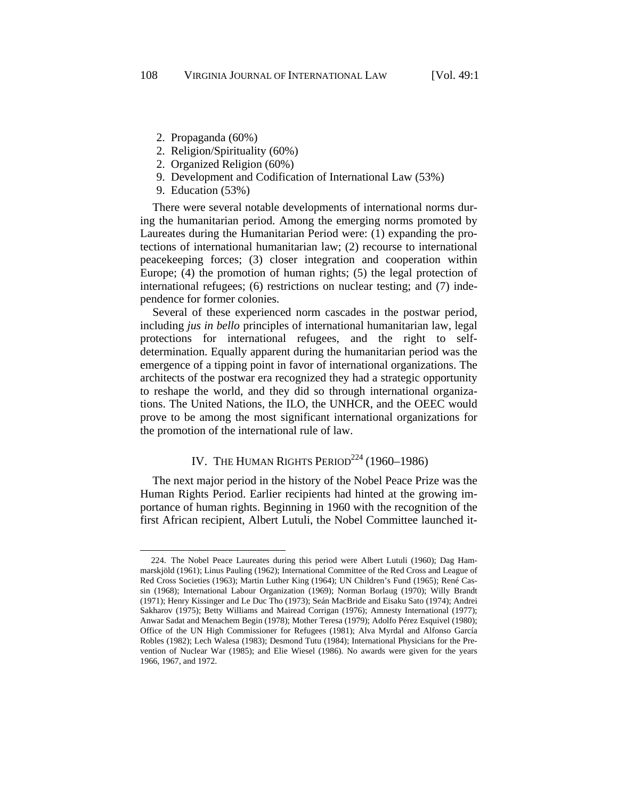- 2. Propaganda (60%)
- 2. Religion/Spirituality (60%)
- 2. Organized Religion (60%)
- 9. Development and Codification of International Law (53%)
- 9. Education (53%)

-

There were several notable developments of international norms during the humanitarian period. Among the emerging norms promoted by Laureates during the Humanitarian Period were: (1) expanding the protections of international humanitarian law; (2) recourse to international peacekeeping forces; (3) closer integration and cooperation within Europe; (4) the promotion of human rights; (5) the legal protection of international refugees; (6) restrictions on nuclear testing; and (7) independence for former colonies.

Several of these experienced norm cascades in the postwar period, including *jus in bello* principles of international humanitarian law, legal protections for international refugees, and the right to selfdetermination. Equally apparent during the humanitarian period was the emergence of a tipping point in favor of international organizations. The architects of the postwar era recognized they had a strategic opportunity to reshape the world, and they did so through international organizations. The United Nations, the ILO, the UNHCR, and the OEEC would prove to be among the most significant international organizations for the promotion of the international rule of law.

# IV. THE HUMAN RIGHTS PERIOD $^{224}$  (1960–1986)

The next major period in the history of the Nobel Peace Prize was the Human Rights Period. Earlier recipients had hinted at the growing importance of human rights. Beginning in 1960 with the recognition of the first African recipient, Albert Lutuli, the Nobel Committee launched it-

<sup>224.</sup> The Nobel Peace Laureates during this period were Albert Lutuli (1960); Dag Hammarskjöld (1961); Linus Pauling (1962); International Committee of the Red Cross and League of Red Cross Societies (1963); Martin Luther King (1964); UN Children's Fund (1965); René Cassin (1968); International Labour Organization (1969); Norman Borlaug (1970); Willy Brandt (1971); Henry Kissinger and Le Duc Tho (1973); Seán MacBride and Eisaku Sato (1974); Andrei Sakharov (1975); Betty Williams and Mairead Corrigan (1976); Amnesty International (1977); Anwar Sadat and Menachem Begin (1978); Mother Teresa (1979); Adolfo Pérez Esquivel (1980); Office of the UN High Commissioner for Refugees (1981); Alva Myrdal and Alfonso García Robles (1982); Lech Walesa (1983); Desmond Tutu (1984); International Physicians for the Prevention of Nuclear War (1985); and Elie Wiesel (1986). No awards were given for the years 1966, 1967, and 1972.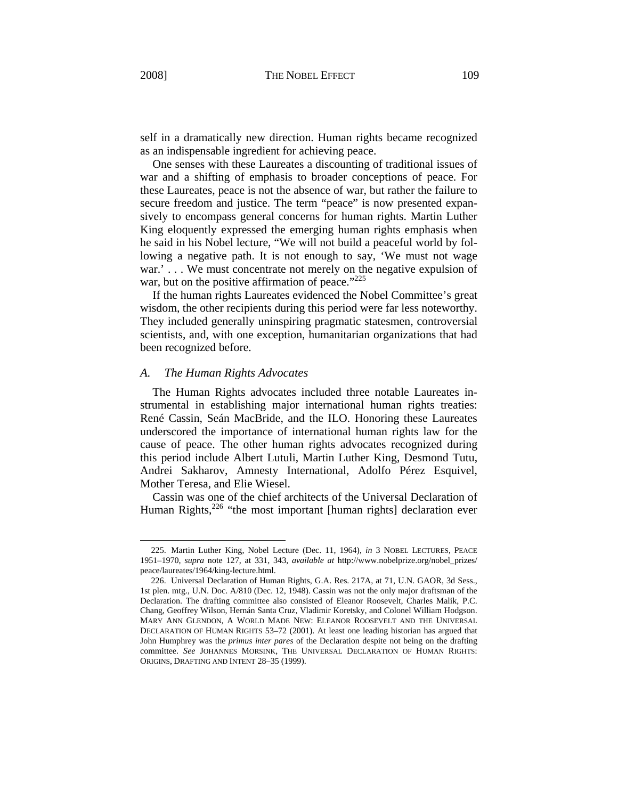1

self in a dramatically new direction. Human rights became recognized as an indispensable ingredient for achieving peace.

One senses with these Laureates a discounting of traditional issues of war and a shifting of emphasis to broader conceptions of peace. For these Laureates, peace is not the absence of war, but rather the failure to secure freedom and justice. The term "peace" is now presented expansively to encompass general concerns for human rights. Martin Luther King eloquently expressed the emerging human rights emphasis when he said in his Nobel lecture, "We will not build a peaceful world by following a negative path. It is not enough to say, 'We must not wage war.' . . . We must concentrate not merely on the negative expulsion of war, but on the positive affirmation of peace." $^{225}$ 

If the human rights Laureates evidenced the Nobel Committee's great wisdom, the other recipients during this period were far less noteworthy. They included generally uninspiring pragmatic statesmen, controversial scientists, and, with one exception, humanitarian organizations that had been recognized before.

# *A. The Human Rights Advocates*

The Human Rights advocates included three notable Laureates instrumental in establishing major international human rights treaties: René Cassin, Seán MacBride, and the ILO. Honoring these Laureates underscored the importance of international human rights law for the cause of peace. The other human rights advocates recognized during this period include Albert Lutuli, Martin Luther King, Desmond Tutu, Andrei Sakharov, Amnesty International, Adolfo Pérez Esquivel, Mother Teresa, and Elie Wiesel.

Cassin was one of the chief architects of the Universal Declaration of Human Rights, $226$  "the most important [human rights] declaration ever

<sup>225.</sup> Martin Luther King, Nobel Lecture (Dec. 11, 1964), *in* 3 NOBEL LECTURES, PEACE 1951–1970, *supra* note 127, at 331, 343, *available at* http://www.nobelprize.org/nobel\_prizes/ peace/laureates/1964/king-lecture.html.

<sup>226.</sup> Universal Declaration of Human Rights, G.A. Res. 217A, at 71, U.N. GAOR, 3d Sess., 1st plen. mtg., U.N. Doc. A/810 (Dec. 12, 1948). Cassin was not the only major draftsman of the Declaration. The drafting committee also consisted of Eleanor Roosevelt, Charles Malik, P.C. Chang, Geoffrey Wilson, Hernán Santa Cruz, Vladimir Koretsky, and Colonel William Hodgson. MARY ANN GLENDON, A WORLD MADE NEW: ELEANOR ROOSEVELT AND THE UNIVERSAL DECLARATION OF HUMAN RIGHTS 53–72 (2001). At least one leading historian has argued that John Humphrey was the *primus inter pares* of the Declaration despite not being on the drafting committee. *See* JOHANNES MORSINK, THE UNIVERSAL DECLARATION OF HUMAN RIGHTS: ORIGINS, DRAFTING AND INTENT 28–35 (1999).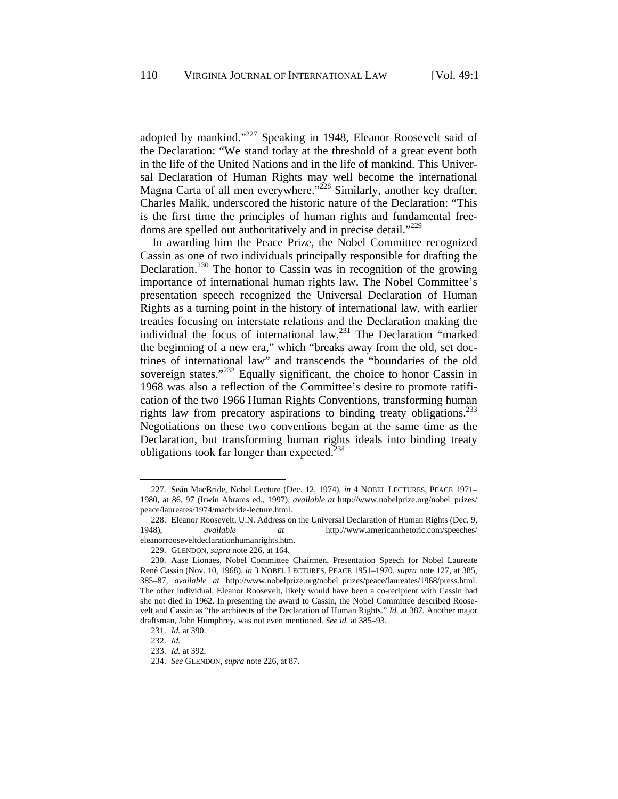adopted by mankind."<sup>227</sup> Speaking in 1948, Eleanor Roosevelt said of the Declaration: "We stand today at the threshold of a great event both in the life of the United Nations and in the life of mankind. This Universal Declaration of Human Rights may well become the international Magna Carta of all men everywhere."<sup>228</sup> Similarly, another key drafter, Charles Malik, underscored the historic nature of the Declaration: "This is the first time the principles of human rights and fundamental freedoms are spelled out authoritatively and in precise detail."<sup>229</sup>

In awarding him the Peace Prize, the Nobel Committee recognized Cassin as one of two individuals principally responsible for drafting the Declaration.<sup>230</sup> The honor to Cassin was in recognition of the growing importance of international human rights law. The Nobel Committee's presentation speech recognized the Universal Declaration of Human Rights as a turning point in the history of international law, with earlier treaties focusing on interstate relations and the Declaration making the individual the focus of international law.<sup>231</sup> The Declaration "marked" the beginning of a new era," which "breaks away from the old, set doctrines of international law" and transcends the "boundaries of the old sovereign states."<sup>232</sup> Equally significant, the choice to honor Cassin in 1968 was also a reflection of the Committee's desire to promote ratification of the two 1966 Human Rights Conventions, transforming human rights law from precatory aspirations to binding treaty obligations.<sup>233</sup> Negotiations on these two conventions began at the same time as the Declaration, but transforming human rights ideals into binding treaty obligations took far longer than expected.<sup>234</sup>

<sup>227.</sup> Seán MacBride, Nobel Lecture (Dec. 12, 1974), *in* 4 NOBEL LECTURES, PEACE 1971– 1980, at 86, 97 (Irwin Abrams ed., 1997), *available at* http://www.nobelprize.org/nobel\_prizes/ peace/laureates/1974/macbride-lecture.html.

<sup>228.</sup> Eleanor Roosevelt, U.N. Address on the Universal Declaration of Human Rights (Dec. 9, 1948), *available at* http://www.americanrhetoric.com/speeches/ eleanorrooseveltdeclarationhumanrights.htm.

<sup>229.</sup> GLENDON, *supra* note 226, at 164.

<sup>230.</sup> Aase Lionaes, Nobel Committee Chairmen, Presentation Speech for Nobel Laureate René Cassin (Nov. 10, 1968), *in* 3 NOBEL LECTURES, PEACE 1951–1970, *supra* note 127, at 385, 385–87, *available at* http://www.nobelprize.org/nobel\_prizes/peace/laureates/1968/press.html. The other individual, Eleanor Roosevelt, likely would have been a co-recipient with Cassin had she not died in 1962. In presenting the award to Cassin, the Nobel Committee described Roosevelt and Cassin as "the architects of the Declaration of Human Rights." *Id.* at 387. Another major draftsman, John Humphrey, was not even mentioned. *See id.* at 385–93.

<sup>231.</sup> *Id.* at 390.

<sup>232.</sup> *Id.*

<sup>233.</sup> *Id.* at 392.

<sup>234.</sup> *See* GLENDON, *supra* note 226, at 87.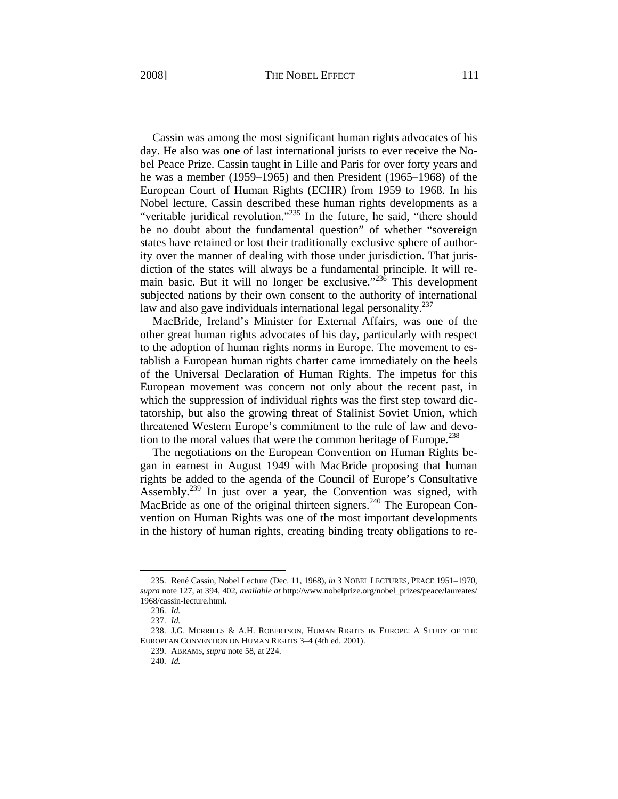Cassin was among the most significant human rights advocates of his day. He also was one of last international jurists to ever receive the Nobel Peace Prize. Cassin taught in Lille and Paris for over forty years and he was a member (1959–1965) and then President (1965–1968) of the European Court of Human Rights (ECHR) from 1959 to 1968. In his Nobel lecture, Cassin described these human rights developments as a "veritable juridical revolution."<sup>235</sup> In the future, he said, "there should be no doubt about the fundamental question" of whether "sovereign states have retained or lost their traditionally exclusive sphere of authority over the manner of dealing with those under jurisdiction. That jurisdiction of the states will always be a fundamental principle. It will remain basic. But it will no longer be exclusive." $23\delta$  This development subjected nations by their own consent to the authority of international law and also gave individuals international legal personality. $237$ 

MacBride, Ireland's Minister for External Affairs, was one of the other great human rights advocates of his day, particularly with respect to the adoption of human rights norms in Europe. The movement to establish a European human rights charter came immediately on the heels of the Universal Declaration of Human Rights. The impetus for this European movement was concern not only about the recent past, in which the suppression of individual rights was the first step toward dictatorship, but also the growing threat of Stalinist Soviet Union, which threatened Western Europe's commitment to the rule of law and devotion to the moral values that were the common heritage of Europe.<sup>238</sup>

The negotiations on the European Convention on Human Rights began in earnest in August 1949 with MacBride proposing that human rights be added to the agenda of the Council of Europe's Consultative Assembly.<sup>239</sup> In just over a year, the Convention was signed, with MacBride as one of the original thirteen signers.<sup>240</sup> The European Convention on Human Rights was one of the most important developments in the history of human rights, creating binding treaty obligations to re-

<sup>235.</sup> René Cassin, Nobel Lecture (Dec. 11, 1968), *in* 3 NOBEL LECTURES, PEACE 1951–1970, *supra* note 127, at 394, 402, *available at* http://www.nobelprize.org/nobel\_prizes/peace/laureates/ 1968/cassin-lecture.html.

<sup>236.</sup> *Id.*

<sup>237.</sup> *Id.*

<sup>238.</sup> J.G. MERRILLS & A.H. ROBERTSON, HUMAN RIGHTS IN EUROPE: A STUDY OF THE EUROPEAN CONVENTION ON HUMAN RIGHTS 3–4 (4th ed. 2001).

<sup>239.</sup> ABRAMS, *supra* note 58, at 224.

<sup>240.</sup> *Id.*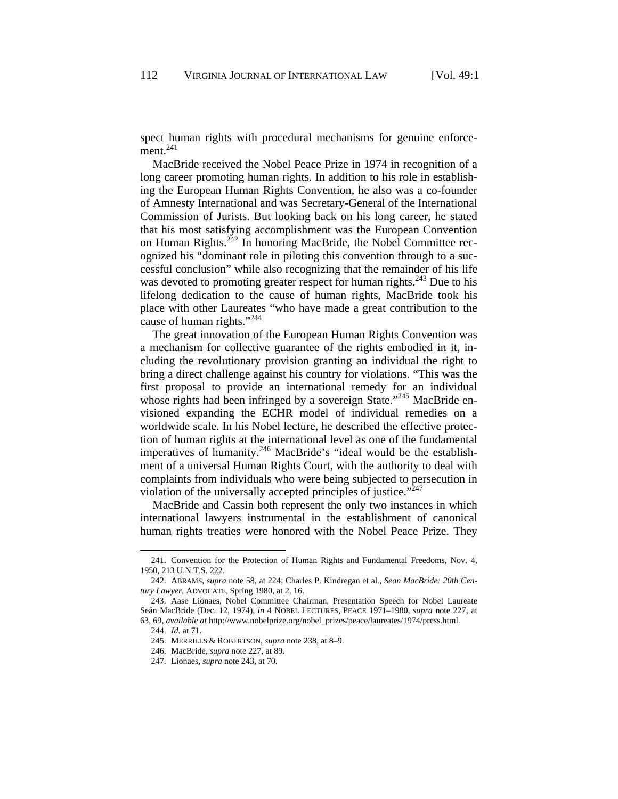spect human rights with procedural mechanisms for genuine enforce $ment.<sup>241</sup>$ 

MacBride received the Nobel Peace Prize in 1974 in recognition of a long career promoting human rights. In addition to his role in establishing the European Human Rights Convention, he also was a co-founder of Amnesty International and was Secretary-General of the International Commission of Jurists. But looking back on his long career, he stated that his most satisfying accomplishment was the European Convention on Human Rights.<sup>242</sup> In honoring MacBride, the Nobel Committee recognized his "dominant role in piloting this convention through to a successful conclusion" while also recognizing that the remainder of his life was devoted to promoting greater respect for human rights.<sup>243</sup> Due to his lifelong dedication to the cause of human rights, MacBride took his place with other Laureates "who have made a great contribution to the cause of human rights."<sup>244</sup>

The great innovation of the European Human Rights Convention was a mechanism for collective guarantee of the rights embodied in it, including the revolutionary provision granting an individual the right to bring a direct challenge against his country for violations. "This was the first proposal to provide an international remedy for an individual whose rights had been infringed by a sovereign State."<sup>245</sup> MacBride envisioned expanding the ECHR model of individual remedies on a worldwide scale. In his Nobel lecture, he described the effective protection of human rights at the international level as one of the fundamental imperatives of humanity.<sup>246</sup> MacBride's "ideal would be the establishment of a universal Human Rights Court, with the authority to deal with complaints from individuals who were being subjected to persecution in violation of the universally accepted principles of justice."<sup>247</sup>

MacBride and Cassin both represent the only two instances in which international lawyers instrumental in the establishment of canonical human rights treaties were honored with the Nobel Peace Prize. They

<sup>241.</sup> Convention for the Protection of Human Rights and Fundamental Freedoms, Nov. 4, 1950, 213 U.N.T.S. 222.

<sup>242.</sup> ABRAMS, *supra* note 58, at 224; Charles P. Kindregan et al., *Sean MacBride: 20th Century Lawyer*, ADVOCATE, Spring 1980, at 2, 16.

<sup>243.</sup> Aase Lionaes, Nobel Committee Chairman, Presentation Speech for Nobel Laureate Seán MacBride (Dec. 12, 1974), *in* 4 NOBEL LECTURES, PEACE 1971–1980, *supra* note 227, at 63, 69, *available at* http://www.nobelprize.org/nobel\_prizes/peace/laureates/1974/press.html.

<sup>244.</sup> *Id.* at 71.

<sup>245.</sup> MERRILLS & ROBERTSON, *supra* note 238, at 8–9.

<sup>246.</sup> MacBride, *supra* note 227, at 89.

<sup>247.</sup> Lionaes, *supra* note 243, at 70.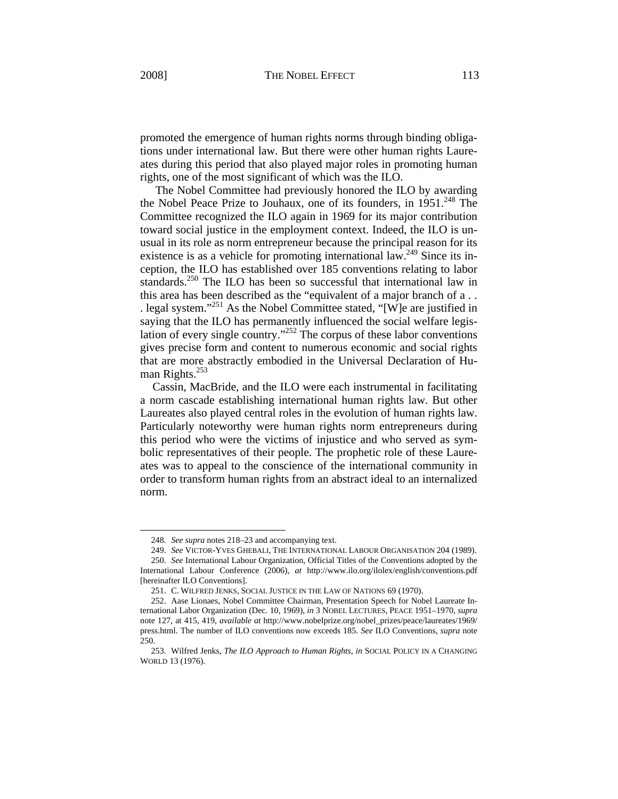-

promoted the emergence of human rights norms through binding obligations under international law. But there were other human rights Laureates during this period that also played major roles in promoting human rights, one of the most significant of which was the ILO.

 The Nobel Committee had previously honored the ILO by awarding the Nobel Peace Prize to Jouhaux, one of its founders, in 1951.<sup>248</sup> The Committee recognized the ILO again in 1969 for its major contribution toward social justice in the employment context. Indeed, the ILO is unusual in its role as norm entrepreneur because the principal reason for its existence is as a vehicle for promoting international law.<sup>249</sup> Since its inception, the ILO has established over 185 conventions relating to labor standards.<sup>250</sup> The ILO has been so successful that international law in this area has been described as the "equivalent of a major branch of a . . . legal system."251 As the Nobel Committee stated, "[W]e are justified in saying that the ILO has permanently influenced the social welfare legislation of every single country."252 The corpus of these labor conventions gives precise form and content to numerous economic and social rights that are more abstractly embodied in the Universal Declaration of Human Rights.<sup>253</sup>

Cassin, MacBride, and the ILO were each instrumental in facilitating a norm cascade establishing international human rights law. But other Laureates also played central roles in the evolution of human rights law. Particularly noteworthy were human rights norm entrepreneurs during this period who were the victims of injustice and who served as symbolic representatives of their people. The prophetic role of these Laureates was to appeal to the conscience of the international community in order to transform human rights from an abstract ideal to an internalized norm.

<sup>248.</sup> *See supra* notes 218–23 and accompanying text.

<sup>249.</sup> *See* VICTOR-YVES GHEBALI, THE INTERNATIONAL LABOUR ORGANISATION 204 (1989).

<sup>250.</sup> *See* International Labour Organization, Official Titles of the Conventions adopted by the International Labour Conference (2006), *at* http://www.ilo.org/ilolex/english/conventions.pdf [hereinafter ILO Conventions].

<sup>251.</sup> C. WILFRED JENKS, SOCIAL JUSTICE IN THE LAW OF NATIONS 69 (1970).

<sup>252.</sup> Aase Lionaes, Nobel Committee Chairman, Presentation Speech for Nobel Laureate International Labor Organization (Dec. 10, 1969), *in* 3 NOBEL LECTURES, PEACE 1951–1970, *supra* note 127, at 415, 419, *available at* http://www.nobelprize.org/nobel\_prizes/peace/laureates/1969/ press.html. The number of ILO conventions now exceeds 185. *See* ILO Conventions, *supra* note 250.

<sup>253.</sup> Wilfred Jenks, *The ILO Approach to Human Rights*, *in* SOCIAL POLICY IN A CHANGING WORLD 13 (1976).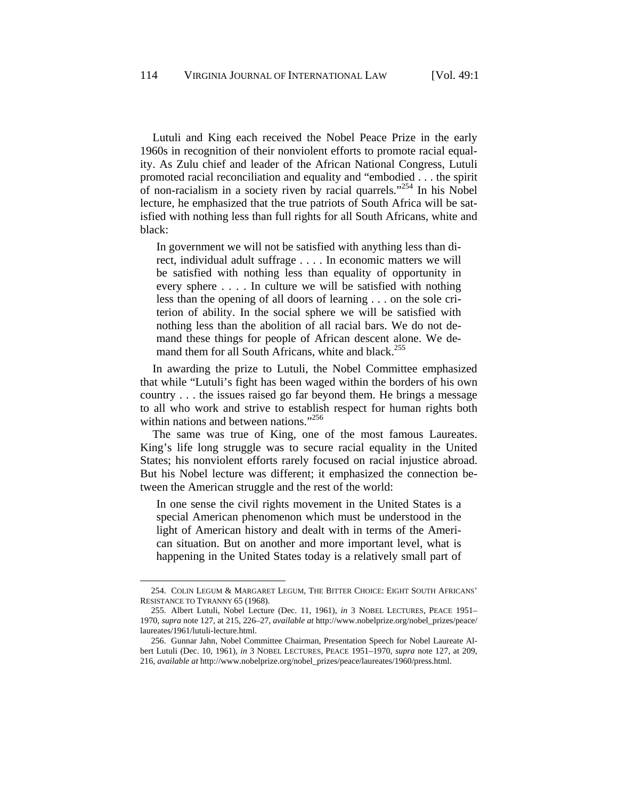Lutuli and King each received the Nobel Peace Prize in the early 1960s in recognition of their nonviolent efforts to promote racial equality. As Zulu chief and leader of the African National Congress, Lutuli promoted racial reconciliation and equality and "embodied . . . the spirit of non-racialism in a society riven by racial quarrels."<sup>254</sup> In his Nobel lecture, he emphasized that the true patriots of South Africa will be satisfied with nothing less than full rights for all South Africans, white and black:

In government we will not be satisfied with anything less than direct, individual adult suffrage . . . . In economic matters we will be satisfied with nothing less than equality of opportunity in every sphere . . . . In culture we will be satisfied with nothing less than the opening of all doors of learning . . . on the sole criterion of ability. In the social sphere we will be satisfied with nothing less than the abolition of all racial bars. We do not demand these things for people of African descent alone. We demand them for all South Africans, white and black.<sup>255</sup>

In awarding the prize to Lutuli, the Nobel Committee emphasized that while "Lutuli's fight has been waged within the borders of his own country . . . the issues raised go far beyond them. He brings a message to all who work and strive to establish respect for human rights both within nations and between nations."<sup>256</sup>

The same was true of King, one of the most famous Laureates. King's life long struggle was to secure racial equality in the United States; his nonviolent efforts rarely focused on racial injustice abroad. But his Nobel lecture was different; it emphasized the connection between the American struggle and the rest of the world:

In one sense the civil rights movement in the United States is a special American phenomenon which must be understood in the light of American history and dealt with in terms of the American situation. But on another and more important level, what is happening in the United States today is a relatively small part of

<sup>254.</sup> COLIN LEGUM & MARGARET LEGUM, THE BITTER CHOICE: EIGHT SOUTH AFRICANS' RESISTANCE TO TYRANNY 65 (1968).

<sup>255.</sup> Albert Lutuli, Nobel Lecture (Dec. 11, 1961), *in* 3 NOBEL LECTURES, PEACE 1951– 1970, *supra* note 127, at 215, 226–27, *available at* http://www.nobelprize.org/nobel\_prizes/peace/ laureates/1961/lutuli-lecture.html.

<sup>256.</sup> Gunnar Jahn, Nobel Committee Chairman, Presentation Speech for Nobel Laureate Albert Lutuli (Dec. 10, 1961), *in* 3 NOBEL LECTURES, PEACE 1951–1970, *supra* note 127, at 209, 216, *available at* http://www.nobelprize.org/nobel\_prizes/peace/laureates/1960/press.html.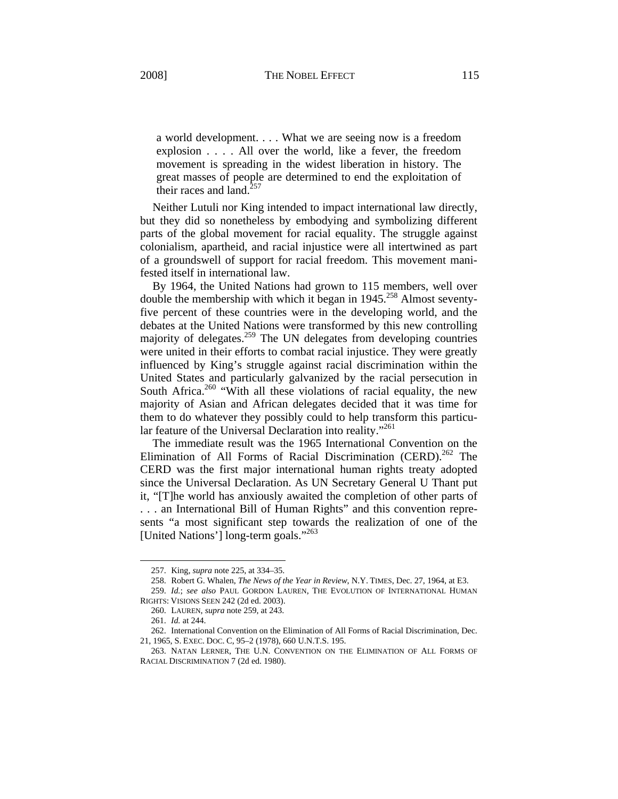a world development. . . . What we are seeing now is a freedom explosion . . . . All over the world, like a fever, the freedom movement is spreading in the widest liberation in history. The great masses of people are determined to end the exploitation of their races and land  $^{257}$ 

Neither Lutuli nor King intended to impact international law directly, but they did so nonetheless by embodying and symbolizing different parts of the global movement for racial equality. The struggle against colonialism, apartheid, and racial injustice were all intertwined as part of a groundswell of support for racial freedom. This movement manifested itself in international law.

By 1964, the United Nations had grown to 115 members, well over double the membership with which it began in  $1945$ <sup>258</sup> Almost seventyfive percent of these countries were in the developing world, and the debates at the United Nations were transformed by this new controlling majority of delegates.<sup>259</sup> The UN delegates from developing countries were united in their efforts to combat racial injustice. They were greatly influenced by King's struggle against racial discrimination within the United States and particularly galvanized by the racial persecution in South Africa.<sup>260</sup> "With all these violations of racial equality, the new majority of Asian and African delegates decided that it was time for them to do whatever they possibly could to help transform this particular feature of the Universal Declaration into reality."<sup>261</sup>

The immediate result was the 1965 International Convention on the Elimination of All Forms of Racial Discrimination (CERD).<sup>262</sup> The CERD was the first major international human rights treaty adopted since the Universal Declaration. As UN Secretary General U Thant put it, "[T]he world has anxiously awaited the completion of other parts of . . . an International Bill of Human Rights" and this convention represents "a most significant step towards the realization of one of the [United Nations'] long-term goals."<sup>263</sup>

<sup>257.</sup> King, *supra* note 225, at 334–35.

<sup>258.</sup> Robert G. Whalen, *The News of the Year in Review*, N.Y. TIMES, Dec. 27, 1964, at E3.

<sup>259.</sup> *Id.*; *see also* PAUL GORDON LAUREN, THE EVOLUTION OF INTERNATIONAL HUMAN RIGHTS: VISIONS SEEN 242 (2d ed. 2003).

<sup>260.</sup> LAUREN, *supra* note 259, at 243.

<sup>261.</sup> *Id.* at 244.

<sup>262.</sup> International Convention on the Elimination of All Forms of Racial Discrimination, Dec. 21, 1965, S. EXEC. DOC. C, 95–2 (1978), 660 U.N.T.S. 195.

<sup>263.</sup> NATAN LERNER, THE U.N. CONVENTION ON THE ELIMINATION OF ALL FORMS OF RACIAL DISCRIMINATION 7 (2d ed. 1980).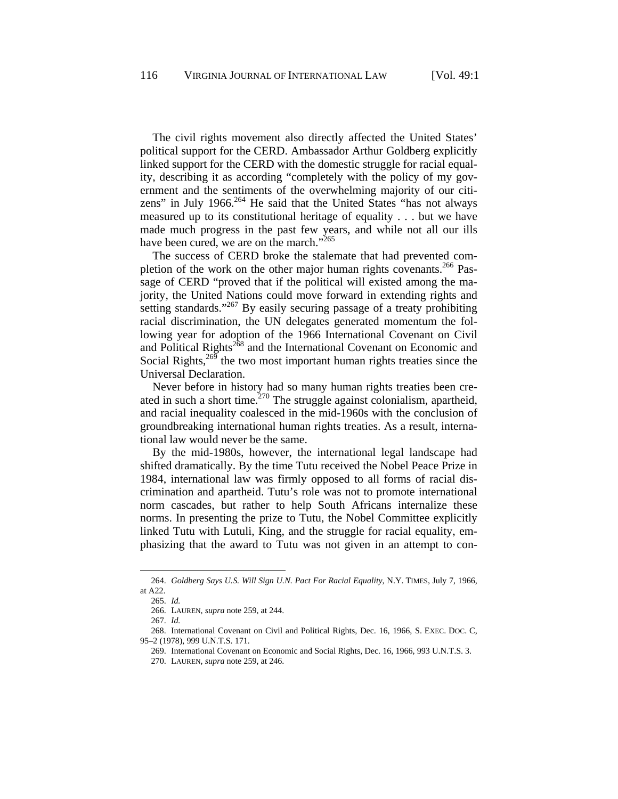The civil rights movement also directly affected the United States' political support for the CERD. Ambassador Arthur Goldberg explicitly linked support for the CERD with the domestic struggle for racial equality, describing it as according "completely with the policy of my government and the sentiments of the overwhelming majority of our citizens" in July 1966. $264$  He said that the United States "has not always" measured up to its constitutional heritage of equality . . . but we have made much progress in the past few years, and while not all our ills have been cured, we are on the march."<sup>265</sup>

The success of CERD broke the stalemate that had prevented completion of the work on the other major human rights covenants.<sup>266</sup> Passage of CERD "proved that if the political will existed among the majority, the United Nations could move forward in extending rights and setting standards."<sup>267</sup> By easily securing passage of a treaty prohibiting racial discrimination, the UN delegates generated momentum the following year for adoption of the 1966 International Covenant on Civil and Political Rights<sup>268</sup> and the International Covenant on Economic and Social Rights, $26\frac{3}{9}$  the two most important human rights treaties since the Universal Declaration.

Never before in history had so many human rights treaties been created in such a short time.<sup>270</sup> The struggle against colonialism, apartheid, and racial inequality coalesced in the mid-1960s with the conclusion of groundbreaking international human rights treaties. As a result, international law would never be the same.

By the mid-1980s, however, the international legal landscape had shifted dramatically. By the time Tutu received the Nobel Peace Prize in 1984, international law was firmly opposed to all forms of racial discrimination and apartheid. Tutu's role was not to promote international norm cascades, but rather to help South Africans internalize these norms. In presenting the prize to Tutu, the Nobel Committee explicitly linked Tutu with Lutuli, King, and the struggle for racial equality, emphasizing that the award to Tutu was not given in an attempt to con-

<sup>264.</sup> *Goldberg Says U.S. Will Sign U.N. Pact For Racial Equality*, N.Y. TIMES, July 7, 1966, at A22.

<sup>265.</sup> *Id.*

<sup>266.</sup> LAUREN, *supra* note 259, at 244.

<sup>267.</sup> *Id.*

<sup>268.</sup> International Covenant on Civil and Political Rights, Dec. 16, 1966, S. EXEC. DOC. C, 95–2 (1978), 999 U.N.T.S. 171.

<sup>269.</sup> International Covenant on Economic and Social Rights, Dec. 16, 1966, 993 U.N.T.S. 3.

<sup>270.</sup> LAUREN, *supra* note 259, at 246.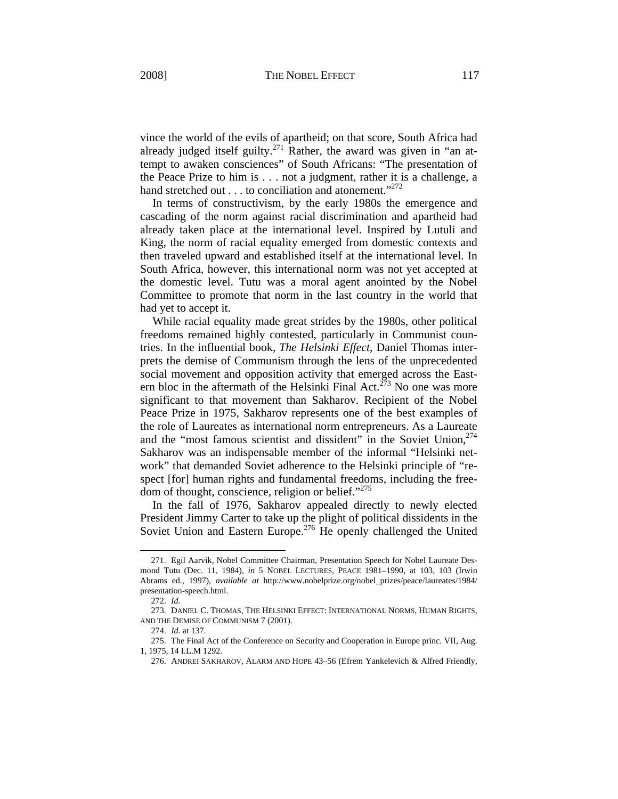vince the world of the evils of apartheid; on that score, South Africa had already judged itself guilty.<sup>271</sup> Rather, the award was given in "an attempt to awaken consciences" of South Africans: "The presentation of the Peace Prize to him is . . . not a judgment, rather it is a challenge, a hand stretched out  $\dots$  to conciliation and atonement."<sup>272</sup>

In terms of constructivism, by the early 1980s the emergence and cascading of the norm against racial discrimination and apartheid had already taken place at the international level. Inspired by Lutuli and King, the norm of racial equality emerged from domestic contexts and then traveled upward and established itself at the international level. In South Africa, however, this international norm was not yet accepted at the domestic level. Tutu was a moral agent anointed by the Nobel Committee to promote that norm in the last country in the world that had yet to accept it.

While racial equality made great strides by the 1980s, other political freedoms remained highly contested, particularly in Communist countries. In the influential book, *The Helsinki Effect*, Daniel Thomas interprets the demise of Communism through the lens of the unprecedented social movement and opposition activity that emerged across the Eastern bloc in the aftermath of the Helsinki Final Act.<sup> $273$ </sup> No one was more significant to that movement than Sakharov. Recipient of the Nobel Peace Prize in 1975, Sakharov represents one of the best examples of the role of Laureates as international norm entrepreneurs. As a Laureate and the "most famous scientist and dissident" in the Soviet Union.<sup>274</sup> Sakharov was an indispensable member of the informal "Helsinki network" that demanded Soviet adherence to the Helsinki principle of "respect [for] human rights and fundamental freedoms, including the freedom of thought, conscience, religion or belief."<sup>275</sup>

In the fall of 1976, Sakharov appealed directly to newly elected President Jimmy Carter to take up the plight of political dissidents in the Soviet Union and Eastern Europe.<sup>276</sup> He openly challenged the United

<sup>271.</sup> Egil Aarvik, Nobel Committee Chairman, Presentation Speech for Nobel Laureate Desmond Tutu (Dec. 11, 1984), *in* 5 NOBEL LECTURES, PEACE 1981–1990, at 103, 103 (Irwin Abrams ed., 1997), *available at* http://www.nobelprize.org/nobel\_prizes/peace/laureates/1984/ presentation-speech.html.

<sup>272.</sup> *Id.*

<sup>273.</sup> DANIEL C. THOMAS, THE HELSINKI EFFECT: INTERNATIONAL NORMS, HUMAN RIGHTS, AND THE DEMISE OF COMMUNISM 7 (2001).

<sup>274.</sup> *Id.* at 137.

<sup>275.</sup> The Final Act of the Conference on Security and Cooperation in Europe princ. VII, Aug. 1, 1975, 14 I.L.M 1292.

<sup>276.</sup> ANDREI SAKHAROV, ALARM AND HOPE 43–56 (Efrem Yankelevich & Alfred Friendly,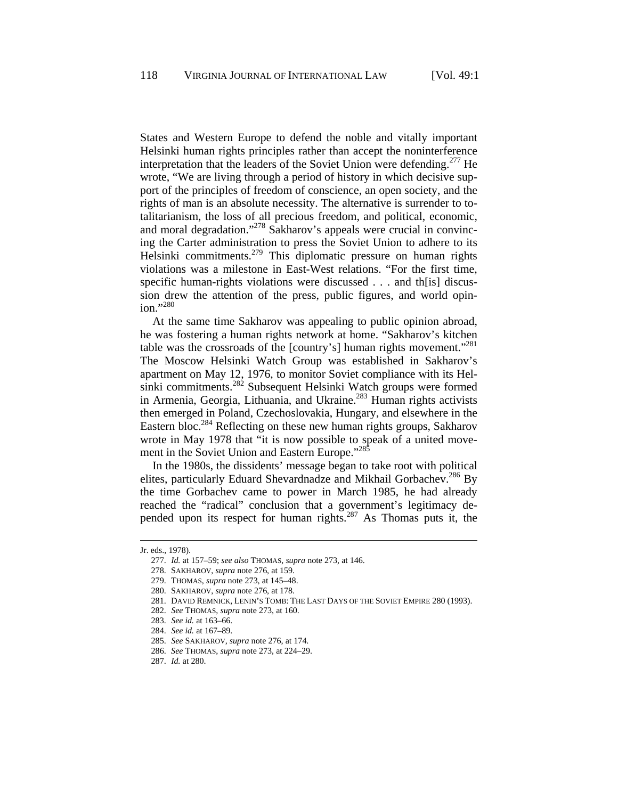States and Western Europe to defend the noble and vitally important Helsinki human rights principles rather than accept the noninterference interpretation that the leaders of the Soviet Union were defending.<sup>277</sup> He wrote, "We are living through a period of history in which decisive support of the principles of freedom of conscience, an open society, and the rights of man is an absolute necessity. The alternative is surrender to totalitarianism, the loss of all precious freedom, and political, economic, and moral degradation."278 Sakharov's appeals were crucial in convincing the Carter administration to press the Soviet Union to adhere to its Helsinki commitments.<sup>279</sup> This diplomatic pressure on human rights violations was a milestone in East-West relations. "For the first time, specific human-rights violations were discussed . . . and th[is] discussion drew the attention of the press, public figures, and world opin- $\frac{1}{100}$ .  $\frac{1}{280}$ 

At the same time Sakharov was appealing to public opinion abroad, he was fostering a human rights network at home. "Sakharov's kitchen table was the crossroads of the [country's] human rights movement."<sup>281</sup> The Moscow Helsinki Watch Group was established in Sakharov's apartment on May 12, 1976, to monitor Soviet compliance with its Helsinki commitments.<sup>282</sup> Subsequent Helsinki Watch groups were formed in Armenia, Georgia, Lithuania, and Ukraine.<sup>283</sup> Human rights activists then emerged in Poland, Czechoslovakia, Hungary, and elsewhere in the Eastern bloc.<sup>284</sup> Reflecting on these new human rights groups, Sakharov wrote in May 1978 that "it is now possible to speak of a united movement in the Soviet Union and Eastern Europe."<sup>285</sup>

In the 1980s, the dissidents' message began to take root with political elites, particularly Eduard Shevardnadze and Mikhail Gorbachev.<sup>286</sup> By the time Gorbachev came to power in March 1985, he had already reached the "radical" conclusion that a government's legitimacy depended upon its respect for human rights.<sup>287</sup> As Thomas puts it, the

l

Jr. eds., 1978).

<sup>277.</sup> *Id.* at 157–59; *see also* THOMAS, *supra* note 273, at 146.

<sup>278.</sup> SAKHAROV, *supra* note 276, at 159.

<sup>279.</sup> THOMAS, *supra* note 273, at 145–48.

<sup>280.</sup> SAKHAROV, *supra* note 276, at 178.

<sup>281.</sup> DAVID REMNICK, LENIN'S TOMB: THE LAST DAYS OF THE SOVIET EMPIRE 280 (1993).

<sup>282.</sup> *See* THOMAS, *supra* note 273, at 160.

<sup>283.</sup> *See id.* at 163–66.

<sup>284.</sup> *See id.* at 167–89.

<sup>285.</sup> *See* SAKHAROV, *supra* note 276, at 174.

<sup>286.</sup> *See* THOMAS, *supra* note 273, at 224–29.

<sup>287.</sup> *Id.* at 280.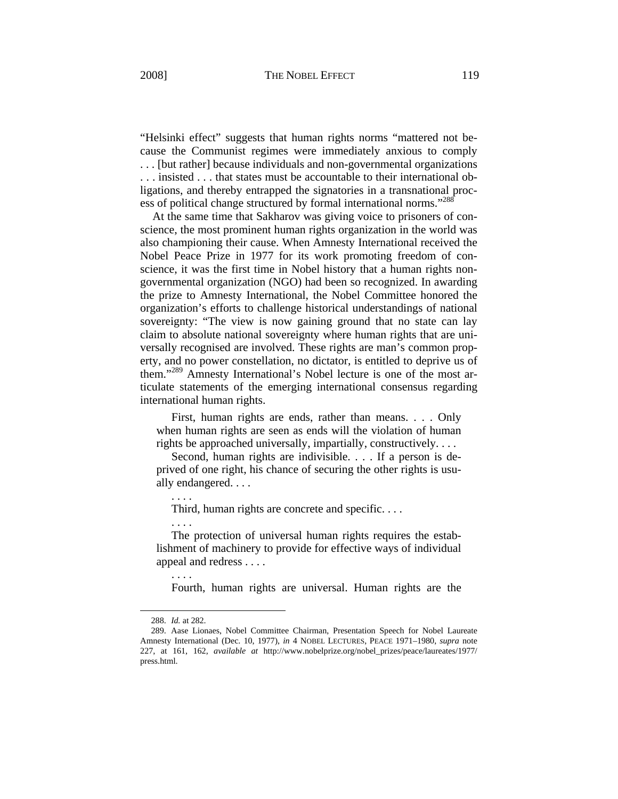"Helsinki effect" suggests that human rights norms "mattered not because the Communist regimes were immediately anxious to comply . . . [but rather] because individuals and non-governmental organizations . . . insisted . . . that states must be accountable to their international obligations, and thereby entrapped the signatories in a transnational process of political change structured by formal international norms."<sup>288</sup>

At the same time that Sakharov was giving voice to prisoners of conscience, the most prominent human rights organization in the world was also championing their cause. When Amnesty International received the Nobel Peace Prize in 1977 for its work promoting freedom of conscience, it was the first time in Nobel history that a human rights nongovernmental organization (NGO) had been so recognized. In awarding the prize to Amnesty International, the Nobel Committee honored the organization's efforts to challenge historical understandings of national sovereignty: "The view is now gaining ground that no state can lay claim to absolute national sovereignty where human rights that are universally recognised are involved. These rights are man's common property, and no power constellation, no dictator, is entitled to deprive us of them."289 Amnesty International's Nobel lecture is one of the most articulate statements of the emerging international consensus regarding international human rights.

 First, human rights are ends, rather than means. . . . Only when human rights are seen as ends will the violation of human rights be approached universally, impartially, constructively. . . .

 Second, human rights are indivisible. . . . If a person is deprived of one right, his chance of securing the other rights is usually endangered. . . .

Third, human rights are concrete and specific. . . .

 The protection of universal human rights requires the establishment of machinery to provide for effective ways of individual appeal and redress . . . .

Fourth, human rights are universal. Human rights are the

-

. . . .

. . . .

. . . .

<sup>288.</sup> *Id.* at 282.

<sup>289.</sup> Aase Lionaes, Nobel Committee Chairman, Presentation Speech for Nobel Laureate Amnesty International (Dec. 10, 1977), *in* 4 NOBEL LECTURES, PEACE 1971–1980, *supra* note 227, at 161, 162, *available at* http://www.nobelprize.org/nobel\_prizes/peace/laureates/1977/ press.html.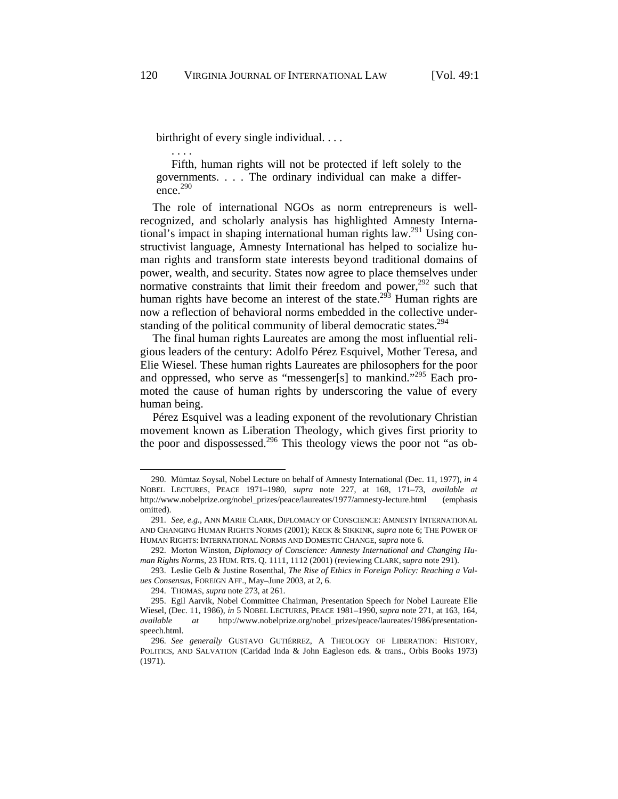birthright of every single individual. . . .

. . . .

-

 Fifth, human rights will not be protected if left solely to the governments. . . . The ordinary individual can make a differ $e$ <sub>ence</sub> $290$ 

The role of international NGOs as norm entrepreneurs is wellrecognized, and scholarly analysis has highlighted Amnesty International's impact in shaping international human rights law.<sup>291</sup> Using constructivist language, Amnesty International has helped to socialize human rights and transform state interests beyond traditional domains of power, wealth, and security. States now agree to place themselves under normative constraints that limit their freedom and power, $292$  such that human rights have become an interest of the state.<sup>293</sup> Human rights are now a reflection of behavioral norms embedded in the collective understanding of the political community of liberal democratic states.<sup>294</sup>

The final human rights Laureates are among the most influential religious leaders of the century: Adolfo Pérez Esquivel, Mother Teresa, and Elie Wiesel. These human rights Laureates are philosophers for the poor and oppressed, who serve as "messenger[s] to mankind."<sup>295</sup> Each promoted the cause of human rights by underscoring the value of every human being.

Pérez Esquivel was a leading exponent of the revolutionary Christian movement known as Liberation Theology, which gives first priority to the poor and dispossessed.<sup>296</sup> This theology views the poor not "as ob-

<sup>290.</sup> Mümtaz Soysal, Nobel Lecture on behalf of Amnesty International (Dec. 11, 1977), *in* 4 NOBEL LECTURES, PEACE 1971–1980, *supra* note 227, at 168, 171–73, *available at* http://www.nobelprize.org/nobel\_prizes/peace/laureates/1977/amnesty-lecture.html (emphasis omitted).

<sup>291.</sup> *See, e.g.*, ANN MARIE CLARK, DIPLOMACY OF CONSCIENCE: AMNESTY INTERNATIONAL AND CHANGING HUMAN RIGHTS NORMS (2001); KECK & SIKKINK, *supra* note 6; THE POWER OF HUMAN RIGHTS: INTERNATIONAL NORMS AND DOMESTIC CHANGE, *supra* note 6.

<sup>292.</sup> Morton Winston, *Diplomacy of Conscience: Amnesty International and Changing Human Rights Norms*, 23 HUM. RTS. Q. 1111, 1112 (2001) (reviewing CLARK, *supra* note 291).

<sup>293.</sup> Leslie Gelb & Justine Rosenthal, *The Rise of Ethics in Foreign Policy: Reaching a Values Consensus*, FOREIGN AFF., May–June 2003, at 2, 6.

<sup>294.</sup> THOMAS, *supra* note 273, at 261.

<sup>295.</sup> Egil Aarvik, Nobel Committee Chairman, Presentation Speech for Nobel Laureate Elie Wiesel, (Dec. 11, 1986), *in* 5 NOBEL LECTURES, PEACE 1981–1990, *supra* note 271, at 163, 164, *available at* http://www.nobelprize.org/nobel\_prizes/peace/laureates/1986/presentationspeech.html.

<sup>296.</sup> *See generally* GUSTAVO GUTIÉRREZ, A THEOLOGY OF LIBERATION: HISTORY, POLITICS, AND SALVATION (Caridad Inda & John Eagleson eds. & trans., Orbis Books 1973) (1971).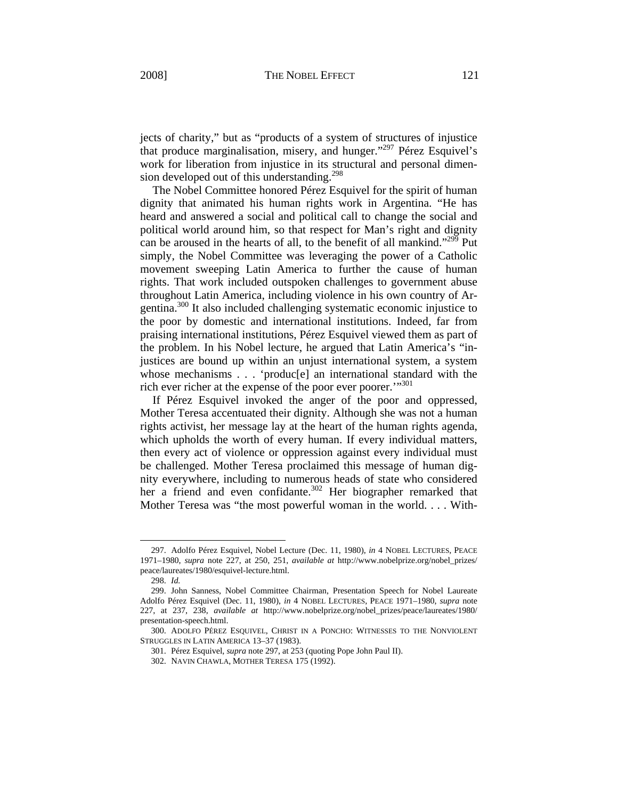jects of charity," but as "products of a system of structures of injustice that produce marginalisation, misery, and hunger."297 Pérez Esquivel's work for liberation from injustice in its structural and personal dimension developed out of this understanding.<sup>298</sup>

The Nobel Committee honored Pérez Esquivel for the spirit of human dignity that animated his human rights work in Argentina. "He has heard and answered a social and political call to change the social and political world around him, so that respect for Man's right and dignity can be aroused in the hearts of all, to the benefit of all mankind."<sup>299</sup> Put simply, the Nobel Committee was leveraging the power of a Catholic movement sweeping Latin America to further the cause of human rights. That work included outspoken challenges to government abuse throughout Latin America, including violence in his own country of Argentina.300 It also included challenging systematic economic injustice to the poor by domestic and international institutions. Indeed, far from praising international institutions, Pérez Esquivel viewed them as part of the problem. In his Nobel lecture, he argued that Latin America's "injustices are bound up within an unjust international system, a system whose mechanisms . . . 'produc[e] an international standard with the rich ever richer at the expense of the poor ever poorer.'"<sup>301</sup>

If Pérez Esquivel invoked the anger of the poor and oppressed, Mother Teresa accentuated their dignity. Although she was not a human rights activist, her message lay at the heart of the human rights agenda, which upholds the worth of every human. If every individual matters, then every act of violence or oppression against every individual must be challenged. Mother Teresa proclaimed this message of human dignity everywhere, including to numerous heads of state who considered her a friend and even confidante.<sup>302</sup> Her biographer remarked that Mother Teresa was "the most powerful woman in the world. . . . With-

<sup>297.</sup> Adolfo Pérez Esquivel, Nobel Lecture (Dec. 11, 1980), *in* 4 NOBEL LECTURES, PEACE 1971–1980, *supra* note 227, at 250, 251, *available at* http://www.nobelprize.org/nobel\_prizes/ peace/laureates/1980/esquivel-lecture.html.

<sup>298.</sup> *Id.*

<sup>299.</sup> John Sanness, Nobel Committee Chairman, Presentation Speech for Nobel Laureate Adolfo Pérez Esquivel (Dec. 11, 1980), *in* 4 NOBEL LECTURES, PEACE 1971–1980, *supra* note 227, at 237, 238, *available at* http://www.nobelprize.org/nobel\_prizes/peace/laureates/1980/ presentation-speech.html.

<sup>300.</sup> ADOLFO PÉREZ ESQUIVEL, CHRIST IN A PONCHO: WITNESSES TO THE NONVIOLENT STRUGGLES IN LATIN AMERICA 13–37 (1983).

<sup>301.</sup> Pérez Esquivel, *supra* note 297, at 253 (quoting Pope John Paul II).

<sup>302.</sup> NAVIN CHAWLA, MOTHER TERESA 175 (1992).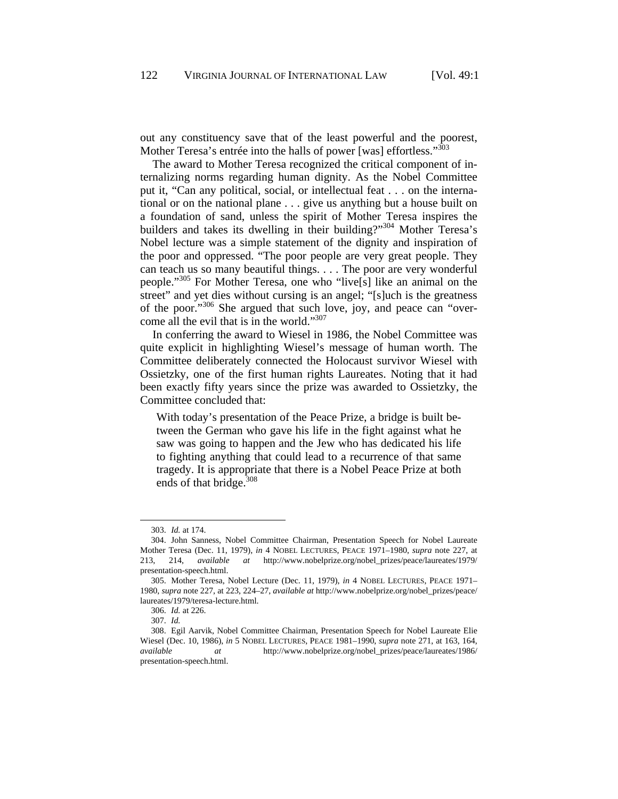out any constituency save that of the least powerful and the poorest, Mother Teresa's entrée into the halls of power [was] effortless."<sup>303</sup>

The award to Mother Teresa recognized the critical component of internalizing norms regarding human dignity. As the Nobel Committee put it, "Can any political, social, or intellectual feat . . . on the international or on the national plane . . . give us anything but a house built on a foundation of sand, unless the spirit of Mother Teresa inspires the builders and takes its dwelling in their building?"<sup>304</sup> Mother Teresa's Nobel lecture was a simple statement of the dignity and inspiration of the poor and oppressed. "The poor people are very great people. They can teach us so many beautiful things. . . . The poor are very wonderful people."305 For Mother Teresa, one who "live[s] like an animal on the street" and yet dies without cursing is an angel; "[s]uch is the greatness of the poor."306 She argued that such love, joy, and peace can "overcome all the evil that is in the world."<sup>307</sup>

In conferring the award to Wiesel in 1986, the Nobel Committee was quite explicit in highlighting Wiesel's message of human worth. The Committee deliberately connected the Holocaust survivor Wiesel with Ossietzky, one of the first human rights Laureates. Noting that it had been exactly fifty years since the prize was awarded to Ossietzky, the Committee concluded that:

With today's presentation of the Peace Prize, a bridge is built between the German who gave his life in the fight against what he saw was going to happen and the Jew who has dedicated his life to fighting anything that could lead to a recurrence of that same tragedy. It is appropriate that there is a Nobel Peace Prize at both ends of that bridge.<sup>308</sup>

<sup>303.</sup> *Id.* at 174.

<sup>304.</sup> John Sanness, Nobel Committee Chairman, Presentation Speech for Nobel Laureate Mother Teresa (Dec. 11, 1979), *in* 4 NOBEL LECTURES, PEACE 1971–1980, *supra* note 227, at 213, 214, *available at* http://www.nobelprize.org/nobel\_prizes/peace/laureates/1979/ presentation-speech.html.

<sup>305.</sup> Mother Teresa, Nobel Lecture (Dec. 11, 1979), *in* 4 NOBEL LECTURES, PEACE 1971– 1980, *supra* note 227, at 223, 224–27, *available at* http://www.nobelprize.org/nobel\_prizes/peace/ laureates/1979/teresa-lecture.html.

<sup>306.</sup> *Id.* at 226.

<sup>307.</sup> *Id.*

<sup>308.</sup> Egil Aarvik, Nobel Committee Chairman, Presentation Speech for Nobel Laureate Elie Wiesel (Dec. 10, 1986), *in* 5 NOBEL LECTURES, PEACE 1981–1990, *supra* note 271, at 163, 164, *available at* http://www.nobelprize.org/nobel\_prizes/peace/laureates/1986/ presentation-speech.html.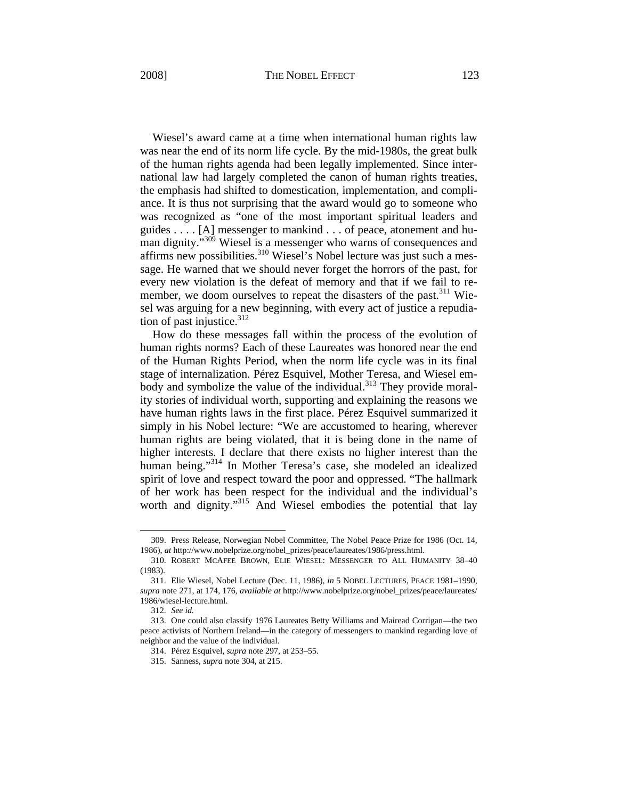Wiesel's award came at a time when international human rights law was near the end of its norm life cycle. By the mid-1980s, the great bulk of the human rights agenda had been legally implemented. Since international law had largely completed the canon of human rights treaties, the emphasis had shifted to domestication, implementation, and compliance. It is thus not surprising that the award would go to someone who was recognized as "one of the most important spiritual leaders and guides . . . . [A] messenger to mankind . . . of peace, atonement and human dignity. $\frac{1}{100}$  Wiesel is a messenger who warns of consequences and affirms new possibilities.<sup>310</sup> Wiesel's Nobel lecture was just such a message. He warned that we should never forget the horrors of the past, for every new violation is the defeat of memory and that if we fail to remember, we doom ourselves to repeat the disasters of the past.  $311$  Wiesel was arguing for a new beginning, with every act of justice a repudiation of past injustice. $312$ 

How do these messages fall within the process of the evolution of human rights norms? Each of these Laureates was honored near the end of the Human Rights Period, when the norm life cycle was in its final stage of internalization. Pérez Esquivel, Mother Teresa, and Wiesel embody and symbolize the value of the individual.<sup>313</sup> They provide morality stories of individual worth, supporting and explaining the reasons we have human rights laws in the first place. Pérez Esquivel summarized it simply in his Nobel lecture: "We are accustomed to hearing, wherever human rights are being violated, that it is being done in the name of higher interests. I declare that there exists no higher interest than the human being."<sup>314</sup> In Mother Teresa's case, she modeled an idealized spirit of love and respect toward the poor and oppressed. "The hallmark of her work has been respect for the individual and the individual's worth and dignity."<sup>315</sup> And Wiesel embodies the potential that lay

<sup>309.</sup> Press Release, Norwegian Nobel Committee, The Nobel Peace Prize for 1986 (Oct. 14, 1986), *at* http://www.nobelprize.org/nobel\_prizes/peace/laureates/1986/press.html.

<sup>310.</sup> ROBERT MCAFEE BROWN, ELIE WIESEL: MESSENGER TO ALL HUMANITY 38–40 (1983).

<sup>311.</sup> Elie Wiesel, Nobel Lecture (Dec. 11, 1986), *in* 5 NOBEL LECTURES, PEACE 1981–1990, *supra* note 271, at 174, 176, *available at* http://www.nobelprize.org/nobel\_prizes/peace/laureates/ 1986/wiesel-lecture.html.

<sup>312.</sup> *See id.*

<sup>313.</sup> One could also classify 1976 Laureates Betty Williams and Mairead Corrigan—the two peace activists of Northern Ireland—in the category of messengers to mankind regarding love of neighbor and the value of the individual.

<sup>314.</sup> Pérez Esquivel, *supra* note 297, at 253–55.

<sup>315.</sup> Sanness, *supra* note 304, at 215.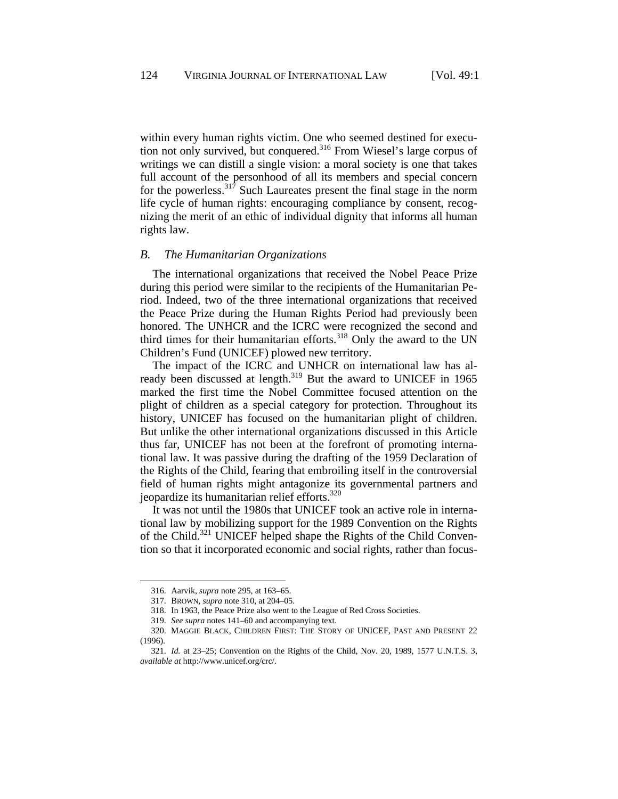within every human rights victim. One who seemed destined for execution not only survived, but conquered.<sup>316</sup> From Wiesel's large corpus of writings we can distill a single vision: a moral society is one that takes full account of the personhood of all its members and special concern for the powerless.<sup>317</sup> Such Laureates present the final stage in the norm life cycle of human rights: encouraging compliance by consent, recognizing the merit of an ethic of individual dignity that informs all human rights law.

#### *B. The Humanitarian Organizations*

The international organizations that received the Nobel Peace Prize during this period were similar to the recipients of the Humanitarian Period. Indeed, two of the three international organizations that received the Peace Prize during the Human Rights Period had previously been honored. The UNHCR and the ICRC were recognized the second and third times for their humanitarian efforts. $318$  Only the award to the UN Children's Fund (UNICEF) plowed new territory.

The impact of the ICRC and UNHCR on international law has already been discussed at length.<sup>319</sup> But the award to UNICEF in 1965 marked the first time the Nobel Committee focused attention on the plight of children as a special category for protection. Throughout its history, UNICEF has focused on the humanitarian plight of children. But unlike the other international organizations discussed in this Article thus far, UNICEF has not been at the forefront of promoting international law. It was passive during the drafting of the 1959 Declaration of the Rights of the Child, fearing that embroiling itself in the controversial field of human rights might antagonize its governmental partners and jeopardize its humanitarian relief efforts.<sup>320</sup>

It was not until the 1980s that UNICEF took an active role in international law by mobilizing support for the 1989 Convention on the Rights of the Child.321 UNICEF helped shape the Rights of the Child Convention so that it incorporated economic and social rights, rather than focus-

<sup>316.</sup> Aarvik, *supra* note 295, at 163–65.

<sup>317.</sup> BROWN, *supra* note 310, at 204–05.

<sup>318.</sup> In 1963, the Peace Prize also went to the League of Red Cross Societies.

<sup>319.</sup> *See supra* notes 141–60 and accompanying text.

<sup>320.</sup> MAGGIE BLACK, CHILDREN FIRST: THE STORY OF UNICEF, PAST AND PRESENT 22 (1996).

<sup>321.</sup> *Id.* at 23–25; Convention on the Rights of the Child, Nov. 20, 1989, 1577 U.N.T.S. 3, *available at* http://www.unicef.org/crc/.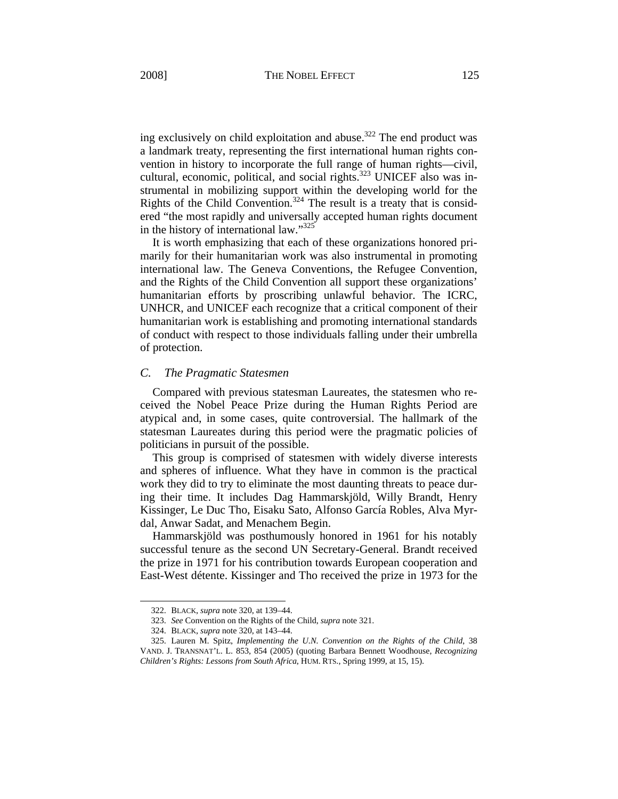ing exclusively on child exploitation and abuse.<sup>322</sup> The end product was a landmark treaty, representing the first international human rights convention in history to incorporate the full range of human rights—civil, cultural, economic, political, and social rights.<sup>323</sup> UNICEF also was instrumental in mobilizing support within the developing world for the Rights of the Child Convention.<sup>324</sup> The result is a treaty that is considered "the most rapidly and universally accepted human rights document in the history of international law."<sup>325</sup>

It is worth emphasizing that each of these organizations honored primarily for their humanitarian work was also instrumental in promoting international law. The Geneva Conventions, the Refugee Convention, and the Rights of the Child Convention all support these organizations' humanitarian efforts by proscribing unlawful behavior. The ICRC, UNHCR, and UNICEF each recognize that a critical component of their humanitarian work is establishing and promoting international standards of conduct with respect to those individuals falling under their umbrella of protection.

#### *C. The Pragmatic Statesmen*

Compared with previous statesman Laureates, the statesmen who received the Nobel Peace Prize during the Human Rights Period are atypical and, in some cases, quite controversial. The hallmark of the statesman Laureates during this period were the pragmatic policies of politicians in pursuit of the possible.

This group is comprised of statesmen with widely diverse interests and spheres of influence. What they have in common is the practical work they did to try to eliminate the most daunting threats to peace during their time. It includes Dag Hammarskjöld, Willy Brandt, Henry Kissinger, Le Duc Tho, Eisaku Sato, Alfonso García Robles, Alva Myrdal, Anwar Sadat, and Menachem Begin.

Hammarskjöld was posthumously honored in 1961 for his notably successful tenure as the second UN Secretary-General. Brandt received the prize in 1971 for his contribution towards European cooperation and East-West détente. Kissinger and Tho received the prize in 1973 for the

<sup>322.</sup> BLACK, *supra* note 320, at 139–44.

<sup>323.</sup> *See* Convention on the Rights of the Child, *supra* note 321.

<sup>324.</sup> BLACK, *supra* note 320, at 143–44.

<sup>325.</sup> Lauren M. Spitz, *Implementing the U.N. Convention on the Rights of the Child*, 38 VAND. J. TRANSNAT'L. L. 853, 854 (2005) (quoting Barbara Bennett Woodhouse, *Recognizing Children's Rights: Lessons from South Africa*, HUM. RTS., Spring 1999, at 15, 15).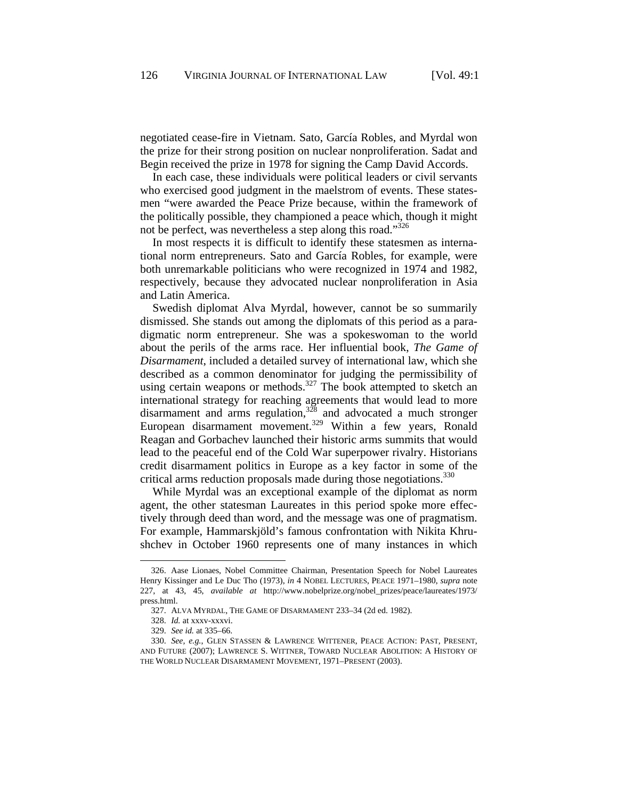negotiated cease-fire in Vietnam. Sato, García Robles, and Myrdal won the prize for their strong position on nuclear nonproliferation. Sadat and Begin received the prize in 1978 for signing the Camp David Accords.

In each case, these individuals were political leaders or civil servants who exercised good judgment in the maelstrom of events. These statesmen "were awarded the Peace Prize because, within the framework of the politically possible, they championed a peace which, though it might not be perfect, was nevertheless a step along this road."<sup>326</sup>

In most respects it is difficult to identify these statesmen as international norm entrepreneurs. Sato and García Robles, for example, were both unremarkable politicians who were recognized in 1974 and 1982, respectively, because they advocated nuclear nonproliferation in Asia and Latin America.

Swedish diplomat Alva Myrdal, however, cannot be so summarily dismissed. She stands out among the diplomats of this period as a paradigmatic norm entrepreneur. She was a spokeswoman to the world about the perils of the arms race. Her influential book, *The Game of Disarmament*, included a detailed survey of international law, which she described as a common denominator for judging the permissibility of using certain weapons or methods.<sup>327</sup> The book attempted to sketch an international strategy for reaching agreements that would lead to more disarmament and arms regulation,  $3\overline{28}$  and advocated a much stronger European disarmament movement.<sup>329</sup> Within a few years, Ronald Reagan and Gorbachev launched their historic arms summits that would lead to the peaceful end of the Cold War superpower rivalry. Historians credit disarmament politics in Europe as a key factor in some of the critical arms reduction proposals made during those negotiations.  $330$ 

While Myrdal was an exceptional example of the diplomat as norm agent, the other statesman Laureates in this period spoke more effectively through deed than word, and the message was one of pragmatism. For example, Hammarskjöld's famous confrontation with Nikita Khrushchev in October 1960 represents one of many instances in which

<sup>326.</sup> Aase Lionaes, Nobel Committee Chairman, Presentation Speech for Nobel Laureates Henry Kissinger and Le Duc Tho (1973), *in* 4 NOBEL LECTURES, PEACE 1971–1980, *supra* note 227, at 43, 45, *available at* http://www.nobelprize.org/nobel\_prizes/peace/laureates/1973/ press.html.

<sup>327.</sup> ALVA MYRDAL, THE GAME OF DISARMAMENT 233–34 (2d ed. 1982).

<sup>328.</sup> *Id.* at xxxv-xxxvi.

<sup>329.</sup> *See id.* at 335–66.

<sup>330.</sup> *See, e.g.*, GLEN STASSEN & LAWRENCE WITTENER, PEACE ACTION: PAST, PRESENT, AND FUTURE (2007); LAWRENCE S. WITTNER, TOWARD NUCLEAR ABOLITION: A HISTORY OF THE WORLD NUCLEAR DISARMAMENT MOVEMENT, 1971–PRESENT (2003).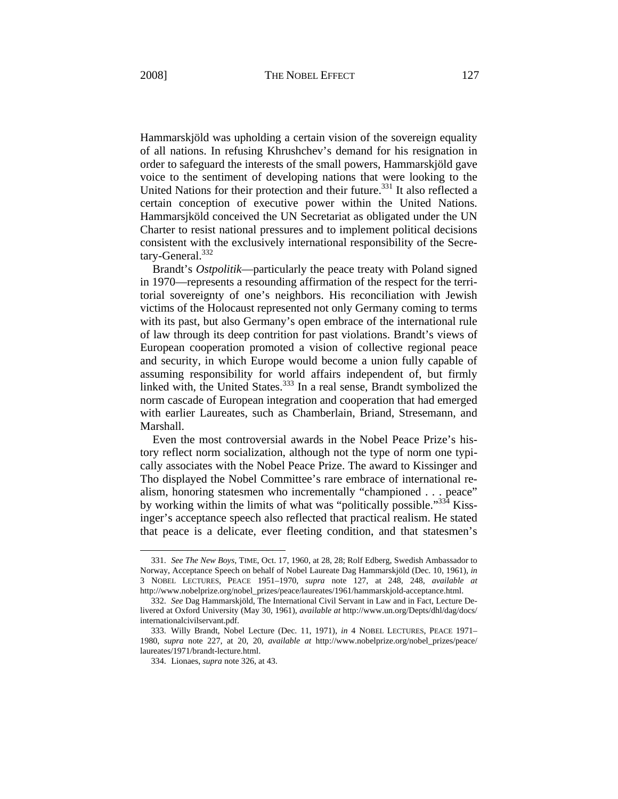Hammarskjöld was upholding a certain vision of the sovereign equality of all nations. In refusing Khrushchev's demand for his resignation in order to safeguard the interests of the small powers, Hammarskjöld gave voice to the sentiment of developing nations that were looking to the United Nations for their protection and their future.<sup>331</sup> It also reflected a certain conception of executive power within the United Nations. Hammarsjköld conceived the UN Secretariat as obligated under the UN Charter to resist national pressures and to implement political decisions consistent with the exclusively international responsibility of the Secretary-General.<sup>332</sup>

Brandt's *Ostpolitik*—particularly the peace treaty with Poland signed in 1970—represents a resounding affirmation of the respect for the territorial sovereignty of one's neighbors. His reconciliation with Jewish victims of the Holocaust represented not only Germany coming to terms with its past, but also Germany's open embrace of the international rule of law through its deep contrition for past violations. Brandt's views of European cooperation promoted a vision of collective regional peace and security, in which Europe would become a union fully capable of assuming responsibility for world affairs independent of, but firmly linked with, the United States.<sup>333</sup> In a real sense, Brandt symbolized the norm cascade of European integration and cooperation that had emerged with earlier Laureates, such as Chamberlain, Briand, Stresemann, and Marshall.

Even the most controversial awards in the Nobel Peace Prize's history reflect norm socialization, although not the type of norm one typically associates with the Nobel Peace Prize. The award to Kissinger and Tho displayed the Nobel Committee's rare embrace of international realism, honoring statesmen who incrementally "championed . . . peace" by working within the limits of what was "politically possible." $33\overline{4}$  Kissinger's acceptance speech also reflected that practical realism. He stated that peace is a delicate, ever fleeting condition, and that statesmen's

<sup>331.</sup> *See The New Boys*, TIME, Oct. 17, 1960, at 28, 28; Rolf Edberg, Swedish Ambassador to Norway, Acceptance Speech on behalf of Nobel Laureate Dag Hammarskjöld (Dec. 10, 1961), *in* 3 NOBEL LECTURES, PEACE 1951–1970, *supra* note 127, at 248, 248, *available at* http://www.nobelprize.org/nobel\_prizes/peace/laureates/1961/hammarskjold-acceptance.html.

<sup>332.</sup> *See* Dag Hammarskjöld, The International Civil Servant in Law and in Fact, Lecture Delivered at Oxford University (May 30, 1961), *available at* http://www.un.org/Depts/dhl/dag/docs/ internationalcivilservant.pdf.

<sup>333.</sup> Willy Brandt, Nobel Lecture (Dec. 11, 1971), *in* 4 NOBEL LECTURES, PEACE 1971– 1980, *supra* note 227, at 20, 20, *available at* http://www.nobelprize.org/nobel\_prizes/peace/ laureates/1971/brandt-lecture.html.

<sup>334.</sup> Lionaes, *supra* note 326, at 43.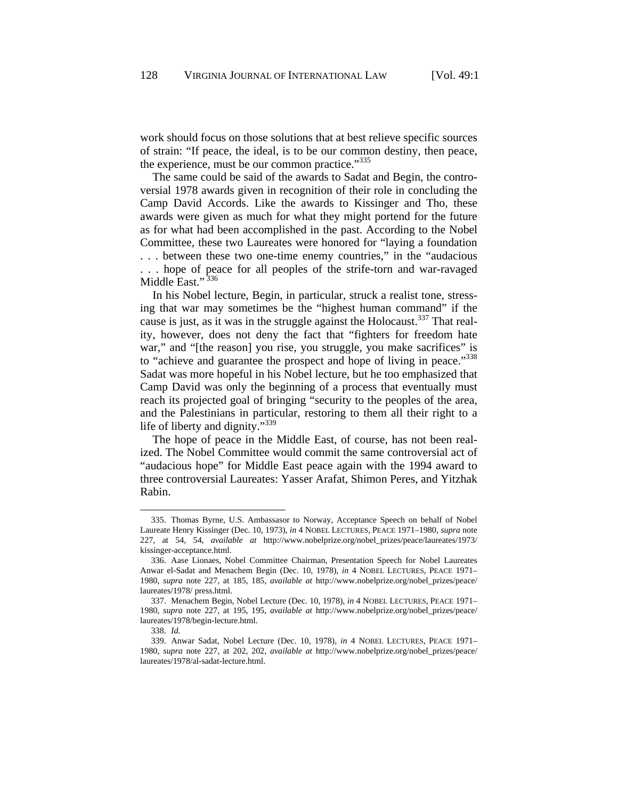work should focus on those solutions that at best relieve specific sources of strain: "If peace, the ideal, is to be our common destiny, then peace, the experience, must be our common practice."<sup>335</sup>

The same could be said of the awards to Sadat and Begin, the controversial 1978 awards given in recognition of their role in concluding the Camp David Accords. Like the awards to Kissinger and Tho, these awards were given as much for what they might portend for the future as for what had been accomplished in the past. According to the Nobel Committee, these two Laureates were honored for "laying a foundation . . . between these two one-time enemy countries," in the "audacious . . . hope of peace for all peoples of the strife-torn and war-ravaged Middle East." 336

In his Nobel lecture, Begin, in particular, struck a realist tone, stressing that war may sometimes be the "highest human command" if the cause is just, as it was in the struggle against the Holocaust.<sup>337</sup> That reality, however, does not deny the fact that "fighters for freedom hate war," and "[the reason] you rise, you struggle, you make sacrifices" is to "achieve and guarantee the prospect and hope of living in peace."<sup>338</sup> Sadat was more hopeful in his Nobel lecture, but he too emphasized that Camp David was only the beginning of a process that eventually must reach its projected goal of bringing "security to the peoples of the area, and the Palestinians in particular, restoring to them all their right to a life of liberty and dignity."<sup>339</sup>

The hope of peace in the Middle East, of course, has not been realized. The Nobel Committee would commit the same controversial act of "audacious hope" for Middle East peace again with the 1994 award to three controversial Laureates: Yasser Arafat, Shimon Peres, and Yitzhak Rabin.

<sup>335.</sup> Thomas Byrne, U.S. Ambassasor to Norway, Acceptance Speech on behalf of Nobel Laureate Henry Kissinger (Dec. 10, 1973), *in* 4 NOBEL LECTURES, PEACE 1971–1980, *supra* note 227, at 54, 54, *available at* http://www.nobelprize.org/nobel\_prizes/peace/laureates/1973/ kissinger-acceptance.html.

<sup>336.</sup> Aase Lionaes, Nobel Committee Chairman, Presentation Speech for Nobel Laureates Anwar el-Sadat and Menachem Begin (Dec. 10, 1978), *in* 4 NOBEL LECTURES, PEACE 1971– 1980, *supra* note 227, at 185, 185, *available at* http://www.nobelprize.org/nobel\_prizes/peace/ laureates/1978/ press.html.

<sup>337.</sup> Menachem Begin, Nobel Lecture (Dec. 10, 1978), *in* 4 NOBEL LECTURES, PEACE 1971– 1980, *supra* note 227, at 195, 195, *available at* http://www.nobelprize.org/nobel\_prizes/peace/ laureates/1978/begin-lecture.html.

<sup>338.</sup> *Id.*

<sup>339.</sup> Anwar Sadat, Nobel Lecture (Dec. 10, 1978), *in* 4 NOBEL LECTURES, PEACE 1971– 1980, *supra* note 227, at 202, 202, *available at* http://www.nobelprize.org/nobel\_prizes/peace/ laureates/1978/al-sadat-lecture.html.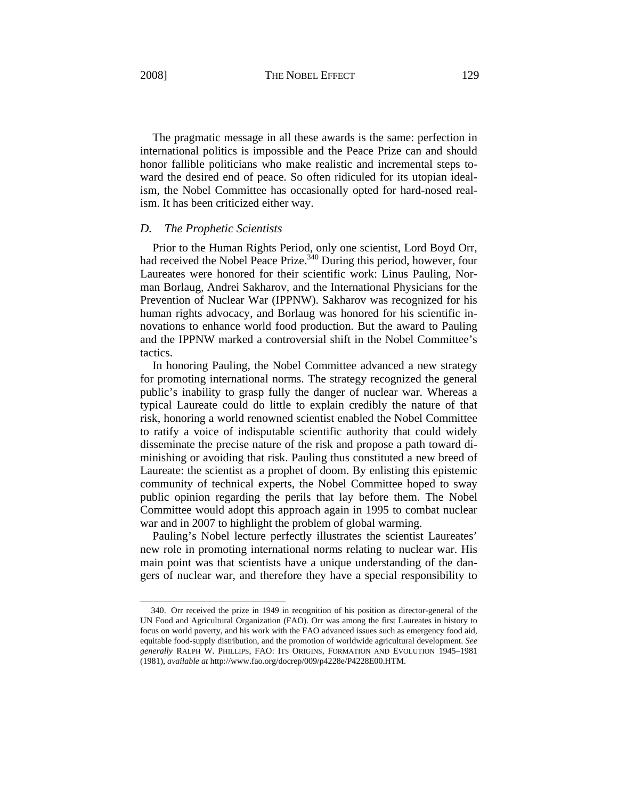The pragmatic message in all these awards is the same: perfection in international politics is impossible and the Peace Prize can and should honor fallible politicians who make realistic and incremental steps toward the desired end of peace. So often ridiculed for its utopian idealism, the Nobel Committee has occasionally opted for hard-nosed realism. It has been criticized either way.

#### *D. The Prophetic Scientists*

Prior to the Human Rights Period, only one scientist, Lord Boyd Orr, had received the Nobel Peace Prize.<sup>340</sup> During this period, however, four Laureates were honored for their scientific work: Linus Pauling, Norman Borlaug, Andrei Sakharov, and the International Physicians for the Prevention of Nuclear War (IPPNW). Sakharov was recognized for his human rights advocacy, and Borlaug was honored for his scientific innovations to enhance world food production. But the award to Pauling and the IPPNW marked a controversial shift in the Nobel Committee's tactics.

In honoring Pauling, the Nobel Committee advanced a new strategy for promoting international norms. The strategy recognized the general public's inability to grasp fully the danger of nuclear war. Whereas a typical Laureate could do little to explain credibly the nature of that risk, honoring a world renowned scientist enabled the Nobel Committee to ratify a voice of indisputable scientific authority that could widely disseminate the precise nature of the risk and propose a path toward diminishing or avoiding that risk. Pauling thus constituted a new breed of Laureate: the scientist as a prophet of doom. By enlisting this epistemic community of technical experts, the Nobel Committee hoped to sway public opinion regarding the perils that lay before them. The Nobel Committee would adopt this approach again in 1995 to combat nuclear war and in 2007 to highlight the problem of global warming.

Pauling's Nobel lecture perfectly illustrates the scientist Laureates' new role in promoting international norms relating to nuclear war. His main point was that scientists have a unique understanding of the dangers of nuclear war, and therefore they have a special responsibility to

<sup>340.</sup> Orr received the prize in 1949 in recognition of his position as director-general of the UN Food and Agricultural Organization (FAO). Orr was among the first Laureates in history to focus on world poverty, and his work with the FAO advanced issues such as emergency food aid, equitable food-supply distribution, and the promotion of worldwide agricultural development. *See generally* RALPH W. PHILLIPS, FAO: ITS ORIGINS, FORMATION AND EVOLUTION 1945–1981 (1981), *available at* http://www.fao.org/docrep/009/p4228e/P4228E00.HTM.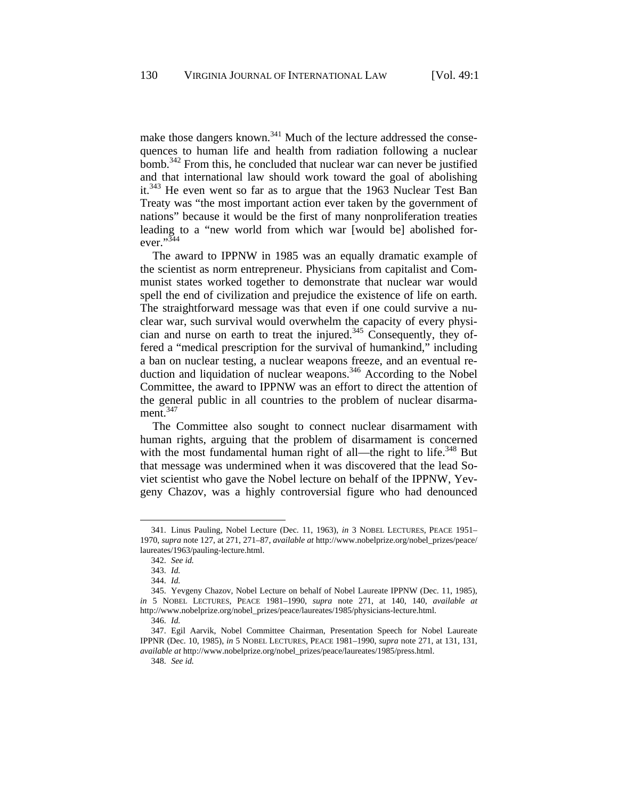make those dangers known.<sup>341</sup> Much of the lecture addressed the consequences to human life and health from radiation following a nuclear bomb.<sup>342</sup> From this, he concluded that nuclear war can never be justified and that international law should work toward the goal of abolishing it.<sup>343</sup> He even went so far as to argue that the 1963 Nuclear Test Ban Treaty was "the most important action ever taken by the government of nations" because it would be the first of many nonproliferation treaties leading to a "new world from which war [would be] abolished forever." $344$ 

The award to IPPNW in 1985 was an equally dramatic example of the scientist as norm entrepreneur. Physicians from capitalist and Communist states worked together to demonstrate that nuclear war would spell the end of civilization and prejudice the existence of life on earth. The straightforward message was that even if one could survive a nuclear war, such survival would overwhelm the capacity of every physician and nurse on earth to treat the injured.<sup>345</sup> Consequently, they offered a "medical prescription for the survival of humankind," including a ban on nuclear testing, a nuclear weapons freeze, and an eventual reduction and liquidation of nuclear weapons.<sup>346</sup> According to the Nobel Committee, the award to IPPNW was an effort to direct the attention of the general public in all countries to the problem of nuclear disarma $ment.<sup>347</sup>$ 

The Committee also sought to connect nuclear disarmament with human rights, arguing that the problem of disarmament is concerned with the most fundamental human right of all—the right to life.<sup>348</sup> But that message was undermined when it was discovered that the lead Soviet scientist who gave the Nobel lecture on behalf of the IPPNW, Yevgeny Chazov, was a highly controversial figure who had denounced

<sup>341.</sup> Linus Pauling, Nobel Lecture (Dec. 11, 1963), *in* 3 NOBEL LECTURES, PEACE 1951– 1970, *supra* note 127, at 271, 271–87, *available at* http://www.nobelprize.org/nobel\_prizes/peace/ laureates/1963/pauling-lecture.html.

<sup>342.</sup> *See id.*

<sup>343.</sup> *Id.*

<sup>344.</sup> *Id.*

<sup>345.</sup> Yevgeny Chazov, Nobel Lecture on behalf of Nobel Laureate IPPNW (Dec. 11, 1985), *in* 5 NOBEL LECTURES, PEACE 1981–1990, *supra* note 271, at 140, 140, *available at* http://www.nobelprize.org/nobel\_prizes/peace/laureates/1985/physicians-lecture.html.

<sup>346.</sup> *Id.*

<sup>347.</sup> Egil Aarvik, Nobel Committee Chairman, Presentation Speech for Nobel Laureate IPPNR (Dec. 10, 1985), *in* 5 NOBEL LECTURES, PEACE 1981–1990, *supra* note 271, at 131, 131, *available at* http://www.nobelprize.org/nobel\_prizes/peace/laureates/1985/press.html.

<sup>348.</sup> *See id.*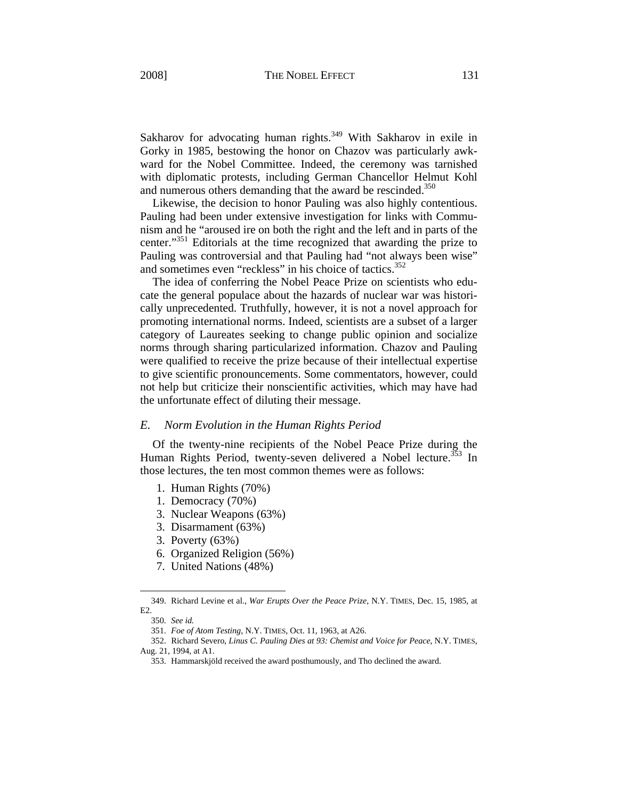Sakharov for advocating human rights.<sup>349</sup> With Sakharov in exile in Gorky in 1985, bestowing the honor on Chazov was particularly awkward for the Nobel Committee. Indeed, the ceremony was tarnished with diplomatic protests, including German Chancellor Helmut Kohl and numerous others demanding that the award be rescinded.<sup>350</sup>

Likewise, the decision to honor Pauling was also highly contentious. Pauling had been under extensive investigation for links with Communism and he "aroused ire on both the right and the left and in parts of the center."351 Editorials at the time recognized that awarding the prize to Pauling was controversial and that Pauling had "not always been wise" and sometimes even "reckless" in his choice of tactics.<sup>352</sup>

The idea of conferring the Nobel Peace Prize on scientists who educate the general populace about the hazards of nuclear war was historically unprecedented. Truthfully, however, it is not a novel approach for promoting international norms. Indeed, scientists are a subset of a larger category of Laureates seeking to change public opinion and socialize norms through sharing particularized information. Chazov and Pauling were qualified to receive the prize because of their intellectual expertise to give scientific pronouncements. Some commentators, however, could not help but criticize their nonscientific activities, which may have had the unfortunate effect of diluting their message.

#### *E. Norm Evolution in the Human Rights Period*

Of the twenty-nine recipients of the Nobel Peace Prize during the Human Rights Period, twenty-seven delivered a Nobel lecture.<sup>353</sup> In those lectures, the ten most common themes were as follows:

- 1. Human Rights (70%)
- 1. Democracy (70%)
- 3. Nuclear Weapons (63%)
- 3. Disarmament (63%)
- 3. Poverty (63%)
- 6. Organized Religion (56%)
- 7. United Nations (48%)

<sup>349.</sup> Richard Levine et al., *War Erupts Over the Peace Prize*, N.Y. TIMES, Dec. 15, 1985, at E2.

<sup>350.</sup> *See id.*

<sup>351.</sup> *Foe of Atom Testing*, N.Y. TIMES, Oct. 11, 1963, at A26.

<sup>352.</sup> Richard Severo, *Linus C. Pauling Dies at 93: Chemist and Voice for Peace*, N.Y. TIMES, Aug. 21, 1994, at A1.

<sup>353.</sup> Hammarskjöld received the award posthumously, and Tho declined the award.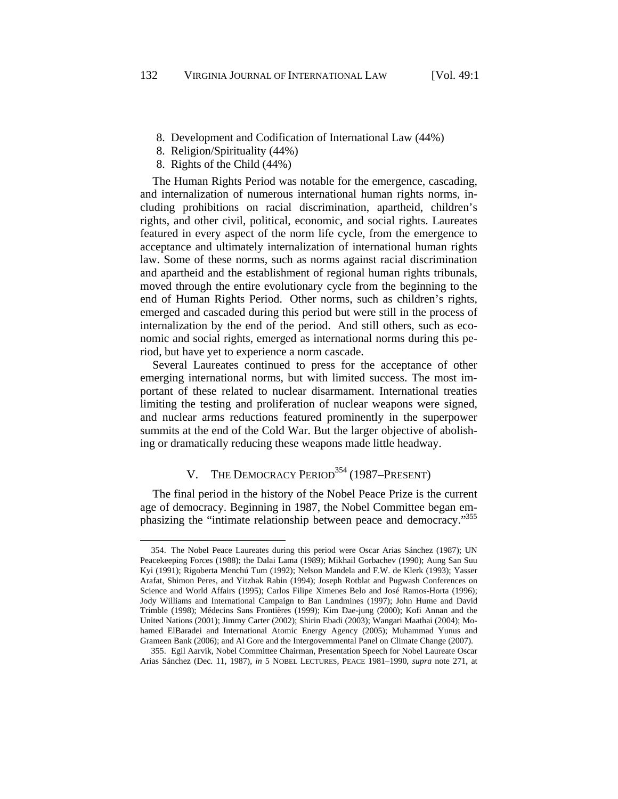- 8. Development and Codification of International Law (44%)
- 8. Religion/Spirituality (44%)
- 8. Rights of the Child (44%)

1

The Human Rights Period was notable for the emergence, cascading, and internalization of numerous international human rights norms, including prohibitions on racial discrimination, apartheid, children's rights, and other civil, political, economic, and social rights. Laureates featured in every aspect of the norm life cycle, from the emergence to acceptance and ultimately internalization of international human rights law. Some of these norms, such as norms against racial discrimination and apartheid and the establishment of regional human rights tribunals, moved through the entire evolutionary cycle from the beginning to the end of Human Rights Period. Other norms, such as children's rights, emerged and cascaded during this period but were still in the process of internalization by the end of the period. And still others, such as economic and social rights, emerged as international norms during this period, but have yet to experience a norm cascade.

Several Laureates continued to press for the acceptance of other emerging international norms, but with limited success. The most important of these related to nuclear disarmament. International treaties limiting the testing and proliferation of nuclear weapons were signed, and nuclear arms reductions featured prominently in the superpower summits at the end of the Cold War. But the larger objective of abolishing or dramatically reducing these weapons made little headway.

# V. THE DEMOCRACY PERIOD<sup>354</sup> (1987–PRESENT)

The final period in the history of the Nobel Peace Prize is the current age of democracy. Beginning in 1987, the Nobel Committee began emphasizing the "intimate relationship between peace and democracy."355

<sup>354.</sup> The Nobel Peace Laureates during this period were Oscar Arias Sánchez (1987); UN Peacekeeping Forces (1988); the Dalai Lama (1989); Mikhail Gorbachev (1990); Aung San Suu Kyi (1991); Rigoberta Menchú Tum (1992); Nelson Mandela and F.W. de Klerk (1993); Yasser Arafat, Shimon Peres, and Yitzhak Rabin (1994); Joseph Rotblat and Pugwash Conferences on Science and World Affairs (1995); Carlos Filipe Ximenes Belo and José Ramos-Horta (1996); Jody Williams and International Campaign to Ban Landmines (1997); John Hume and David Trimble (1998); Médecins Sans Frontières (1999); Kim Dae-jung (2000); Kofi Annan and the United Nations (2001); Jimmy Carter (2002); Shirin Ebadi (2003); Wangari Maathai (2004); Mohamed ElBaradei and International Atomic Energy Agency (2005); Muhammad Yunus and Grameen Bank (2006); and Al Gore and the Intergovernmental Panel on Climate Change (2007).

<sup>355.</sup> Egil Aarvik, Nobel Committee Chairman, Presentation Speech for Nobel Laureate Oscar Arias Sánchez (Dec. 11, 1987), *in* 5 NOBEL LECTURES, PEACE 1981–1990, *supra* note 271, at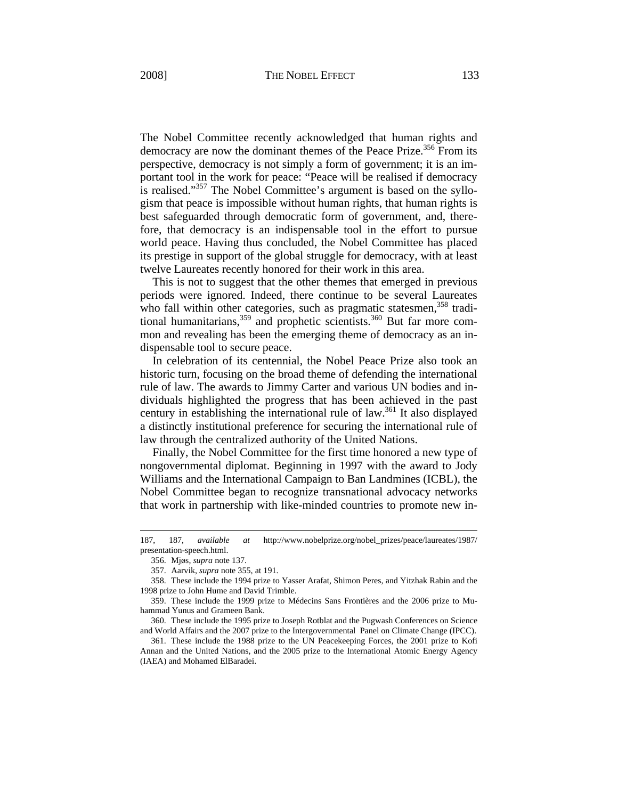The Nobel Committee recently acknowledged that human rights and democracy are now the dominant themes of the Peace Prize.<sup>356</sup> From its perspective, democracy is not simply a form of government; it is an important tool in the work for peace: "Peace will be realised if democracy is realised."<sup>357</sup> The Nobel Committee's argument is based on the syllogism that peace is impossible without human rights, that human rights is best safeguarded through democratic form of government, and, therefore, that democracy is an indispensable tool in the effort to pursue world peace. Having thus concluded, the Nobel Committee has placed its prestige in support of the global struggle for democracy, with at least twelve Laureates recently honored for their work in this area.

This is not to suggest that the other themes that emerged in previous periods were ignored. Indeed, there continue to be several Laureates who fall within other categories, such as pragmatic statesmen,  $358$  traditional humanitarians,359 and prophetic scientists.360 But far more common and revealing has been the emerging theme of democracy as an indispensable tool to secure peace.

In celebration of its centennial, the Nobel Peace Prize also took an historic turn, focusing on the broad theme of defending the international rule of law. The awards to Jimmy Carter and various UN bodies and individuals highlighted the progress that has been achieved in the past century in establishing the international rule of law.<sup>361</sup> It also displayed a distinctly institutional preference for securing the international rule of law through the centralized authority of the United Nations.

Finally, the Nobel Committee for the first time honored a new type of nongovernmental diplomat. Beginning in 1997 with the award to Jody Williams and the International Campaign to Ban Landmines (ICBL), the Nobel Committee began to recognize transnational advocacy networks that work in partnership with like-minded countries to promote new in-

l

<sup>187, 187,</sup> *available at* http://www.nobelprize.org/nobel\_prizes/peace/laureates/1987/ presentation-speech.html.

<sup>356.</sup> Mjøs, *supra* note 137.

<sup>357.</sup> Aarvik, *supra* note 355, at 191.

<sup>358.</sup> These include the 1994 prize to Yasser Arafat, Shimon Peres, and Yitzhak Rabin and the 1998 prize to John Hume and David Trimble.

<sup>359.</sup> These include the 1999 prize to Médecins Sans Frontières and the 2006 prize to Muhammad Yunus and Grameen Bank.

<sup>360.</sup> These include the 1995 prize to Joseph Rotblat and the Pugwash Conferences on Science and World Affairs and the 2007 prize to the Intergovernmental Panel on Climate Change (IPCC).

<sup>361.</sup> These include the 1988 prize to the UN Peacekeeping Forces, the 2001 prize to Kofi Annan and the United Nations, and the 2005 prize to the International Atomic Energy Agency (IAEA) and Mohamed ElBaradei.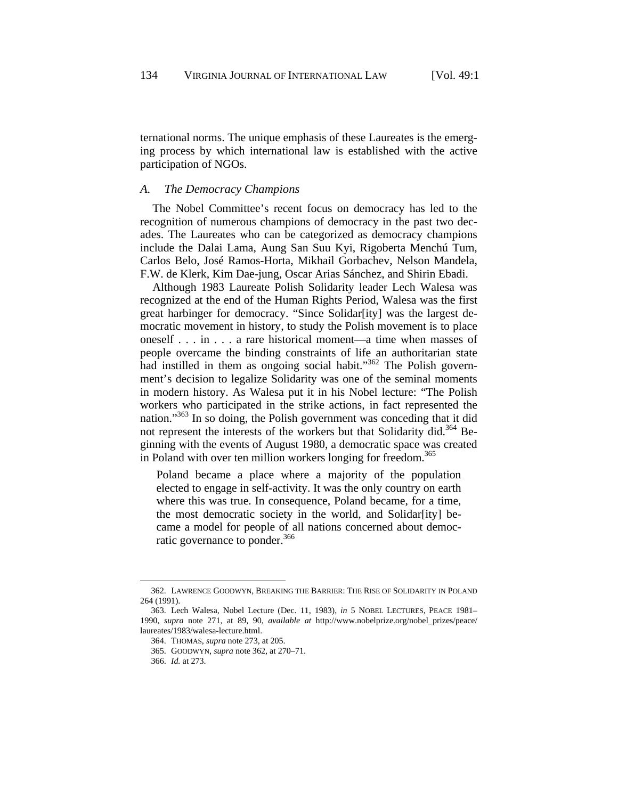ternational norms. The unique emphasis of these Laureates is the emerging process by which international law is established with the active participation of NGOs.

# *A. The Democracy Champions*

The Nobel Committee's recent focus on democracy has led to the recognition of numerous champions of democracy in the past two decades. The Laureates who can be categorized as democracy champions include the Dalai Lama, Aung San Suu Kyi, Rigoberta Menchú Tum, Carlos Belo, José Ramos-Horta, Mikhail Gorbachev, Nelson Mandela, F.W. de Klerk, Kim Dae-jung, Oscar Arias Sánchez, and Shirin Ebadi.

Although 1983 Laureate Polish Solidarity leader Lech Walesa was recognized at the end of the Human Rights Period, Walesa was the first great harbinger for democracy. "Since Solidar[ity] was the largest democratic movement in history, to study the Polish movement is to place oneself . . . in . . . a rare historical moment—a time when masses of people overcame the binding constraints of life an authoritarian state had instilled in them as ongoing social habit."<sup>362</sup> The Polish government's decision to legalize Solidarity was one of the seminal moments in modern history. As Walesa put it in his Nobel lecture: "The Polish workers who participated in the strike actions, in fact represented the nation."<sup>363</sup> In so doing, the Polish government was conceding that it did not represent the interests of the workers but that Solidarity did.<sup>364</sup> Beginning with the events of August 1980, a democratic space was created in Poland with over ten million workers longing for freedom.<sup>365</sup>

Poland became a place where a majority of the population elected to engage in self-activity. It was the only country on earth where this was true. In consequence, Poland became, for a time, the most democratic society in the world, and Solidar[ity] became a model for people of all nations concerned about democratic governance to ponder.<sup>366</sup>

<sup>362.</sup> LAWRENCE GOODWYN, BREAKING THE BARRIER: THE RISE OF SOLIDARITY IN POLAND 264 (1991).

<sup>363.</sup> Lech Walesa, Nobel Lecture (Dec. 11, 1983), *in* 5 NOBEL LECTURES, PEACE 1981– 1990, *supra* note 271, at 89, 90, *available at* http://www.nobelprize.org/nobel\_prizes/peace/ laureates/1983/walesa-lecture.html.

<sup>364.</sup> THOMAS, *supra* note 273, at 205.

<sup>365.</sup> GOODWYN, *supra* note 362, at 270–71.

<sup>366.</sup> *Id.* at 273.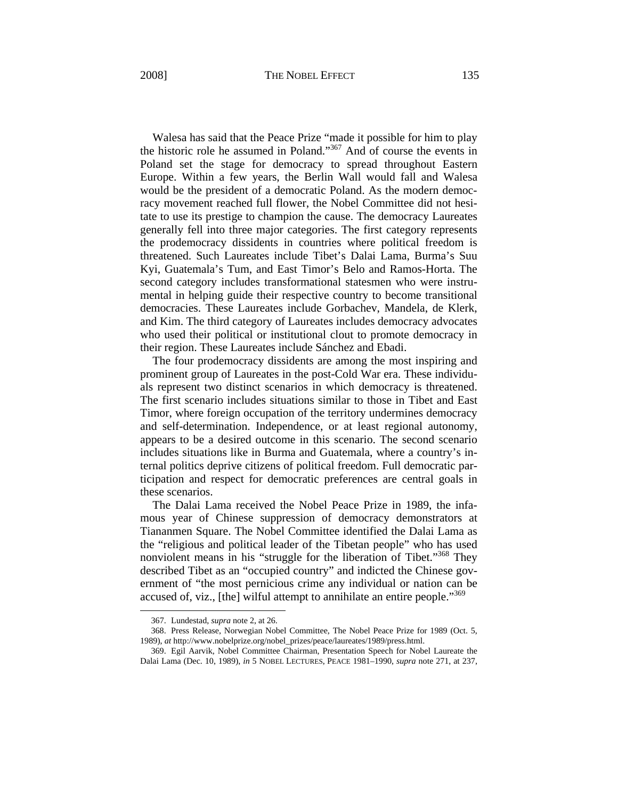Walesa has said that the Peace Prize "made it possible for him to play the historic role he assumed in Poland."367 And of course the events in Poland set the stage for democracy to spread throughout Eastern Europe. Within a few years, the Berlin Wall would fall and Walesa would be the president of a democratic Poland. As the modern democracy movement reached full flower, the Nobel Committee did not hesitate to use its prestige to champion the cause. The democracy Laureates generally fell into three major categories. The first category represents the prodemocracy dissidents in countries where political freedom is threatened. Such Laureates include Tibet's Dalai Lama, Burma's Suu Kyi, Guatemala's Tum, and East Timor's Belo and Ramos-Horta. The second category includes transformational statesmen who were instrumental in helping guide their respective country to become transitional democracies. These Laureates include Gorbachev, Mandela, de Klerk, and Kim. The third category of Laureates includes democracy advocates who used their political or institutional clout to promote democracy in their region. These Laureates include Sánchez and Ebadi.

The four prodemocracy dissidents are among the most inspiring and prominent group of Laureates in the post-Cold War era. These individuals represent two distinct scenarios in which democracy is threatened. The first scenario includes situations similar to those in Tibet and East Timor, where foreign occupation of the territory undermines democracy and self-determination. Independence, or at least regional autonomy, appears to be a desired outcome in this scenario. The second scenario includes situations like in Burma and Guatemala, where a country's internal politics deprive citizens of political freedom. Full democratic participation and respect for democratic preferences are central goals in these scenarios.

The Dalai Lama received the Nobel Peace Prize in 1989, the infamous year of Chinese suppression of democracy demonstrators at Tiananmen Square. The Nobel Committee identified the Dalai Lama as the "religious and political leader of the Tibetan people" who has used nonviolent means in his "struggle for the liberation of Tibet."<sup>368</sup> They described Tibet as an "occupied country" and indicted the Chinese government of "the most pernicious crime any individual or nation can be accused of, viz., [the] wilful attempt to annihilate an entire people."<sup>369</sup>

<sup>367.</sup> Lundestad, *supra* note 2, at 26.

<sup>368.</sup> Press Release, Norwegian Nobel Committee, The Nobel Peace Prize for 1989 (Oct. 5, 1989), *at* http://www.nobelprize.org/nobel\_prizes/peace/laureates/1989/press.html.

<sup>369.</sup> Egil Aarvik, Nobel Committee Chairman, Presentation Speech for Nobel Laureate the Dalai Lama (Dec. 10, 1989), *in* 5 NOBEL LECTURES, PEACE 1981–1990, *supra* note 271, at 237,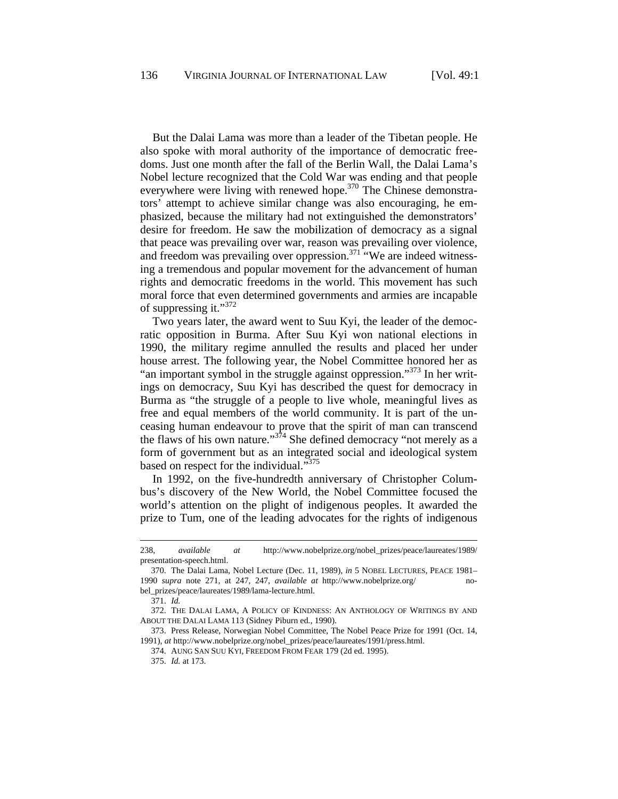But the Dalai Lama was more than a leader of the Tibetan people. He also spoke with moral authority of the importance of democratic freedoms. Just one month after the fall of the Berlin Wall, the Dalai Lama's Nobel lecture recognized that the Cold War was ending and that people everywhere were living with renewed hope.<sup>370</sup> The Chinese demonstrators' attempt to achieve similar change was also encouraging, he emphasized, because the military had not extinguished the demonstrators' desire for freedom. He saw the mobilization of democracy as a signal that peace was prevailing over war, reason was prevailing over violence, and freedom was prevailing over oppression.<sup>371</sup> "We are indeed witnessing a tremendous and popular movement for the advancement of human rights and democratic freedoms in the world. This movement has such moral force that even determined governments and armies are incapable of suppressing it." $372$ 

Two years later, the award went to Suu Kyi, the leader of the democratic opposition in Burma. After Suu Kyi won national elections in 1990, the military regime annulled the results and placed her under house arrest. The following year, the Nobel Committee honored her as "an important symbol in the struggle against oppression."<sup>373</sup> In her writings on democracy, Suu Kyi has described the quest for democracy in Burma as "the struggle of a people to live whole, meaningful lives as free and equal members of the world community. It is part of the unceasing human endeavour to prove that the spirit of man can transcend the flaws of his own nature." $3<sup>74</sup>$  She defined democracy "not merely as a form of government but as an integrated social and ideological system based on respect for the individual."<sup>375</sup>

In 1992, on the five-hundredth anniversary of Christopher Columbus's discovery of the New World, the Nobel Committee focused the world's attention on the plight of indigenous peoples. It awarded the prize to Tum, one of the leading advocates for the rights of indigenous

l

<sup>238,</sup> *available at* http://www.nobelprize.org/nobel\_prizes/peace/laureates/1989/ presentation-speech.html.

<sup>370.</sup> The Dalai Lama, Nobel Lecture (Dec. 11, 1989), *in* 5 NOBEL LECTURES, PEACE 1981– 1990 *supra* note 271, at 247, 247, *available at* http://www.nobelprize.org/ nobel\_prizes/peace/laureates/1989/lama-lecture.html.

<sup>371.</sup> *Id.*

<sup>372.</sup> THE DALAI LAMA, A POLICY OF KINDNESS: AN ANTHOLOGY OF WRITINGS BY AND ABOUT THE DALAI LAMA 113 (Sidney Piburn ed., 1990).

<sup>373.</sup> Press Release, Norwegian Nobel Committee, The Nobel Peace Prize for 1991 (Oct. 14, 1991), *at* http://www.nobelprize.org/nobel\_prizes/peace/laureates/1991/press.html.

<sup>374.</sup> AUNG SAN SUU KYI, FREEDOM FROM FEAR 179 (2d ed. 1995).

<sup>375.</sup> *Id.* at 173.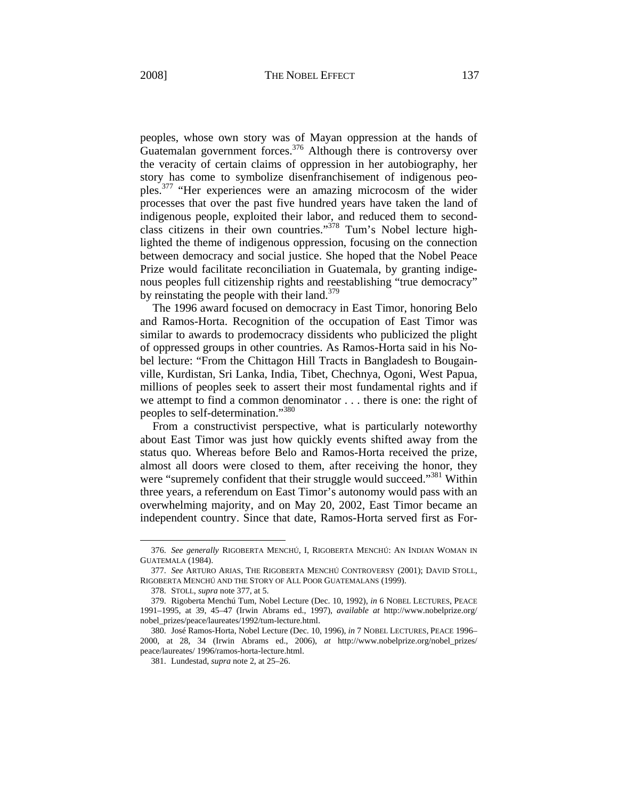peoples, whose own story was of Mayan oppression at the hands of Guatemalan government forces.<sup>376</sup> Although there is controversy over the veracity of certain claims of oppression in her autobiography, her story has come to symbolize disenfranchisement of indigenous peoples.<sup>377</sup> "Her experiences were an amazing microcosm of the wider processes that over the past five hundred years have taken the land of indigenous people, exploited their labor, and reduced them to secondclass citizens in their own countries."378 Tum's Nobel lecture highlighted the theme of indigenous oppression, focusing on the connection between democracy and social justice. She hoped that the Nobel Peace Prize would facilitate reconciliation in Guatemala, by granting indigenous peoples full citizenship rights and reestablishing "true democracy" by reinstating the people with their land. $379$ 

The 1996 award focused on democracy in East Timor, honoring Belo and Ramos-Horta. Recognition of the occupation of East Timor was similar to awards to prodemocracy dissidents who publicized the plight of oppressed groups in other countries. As Ramos-Horta said in his Nobel lecture: "From the Chittagon Hill Tracts in Bangladesh to Bougainville, Kurdistan, Sri Lanka, India, Tibet, Chechnya, Ogoni, West Papua, millions of peoples seek to assert their most fundamental rights and if we attempt to find a common denominator . . . there is one: the right of peoples to self-determination."<sup>380</sup>

From a constructivist perspective, what is particularly noteworthy about East Timor was just how quickly events shifted away from the status quo. Whereas before Belo and Ramos-Horta received the prize, almost all doors were closed to them, after receiving the honor, they were "supremely confident that their struggle would succeed."<sup>381</sup> Within three years, a referendum on East Timor's autonomy would pass with an overwhelming majority, and on May 20, 2002, East Timor became an independent country. Since that date, Ramos-Horta served first as For-

1

<sup>376.</sup> *See generally* RIGOBERTA MENCHÚ, I, RIGOBERTA MENCHÚ: AN INDIAN WOMAN IN GUATEMALA (1984).

<sup>377.</sup> *See* ARTURO ARIAS, THE RIGOBERTA MENCHÚ CONTROVERSY (2001); DAVID STOLL, RIGOBERTA MENCHÚ AND THE STORY OF ALL POOR GUATEMALANS (1999).

<sup>378.</sup> STOLL, *supra* note 377, at 5.

<sup>379.</sup> Rigoberta Menchú Tum, Nobel Lecture (Dec. 10, 1992), *in* 6 NOBEL LECTURES, PEACE 1991–1995, at 39, 45–47 (Irwin Abrams ed., 1997), *available at* http://www.nobelprize.org/ nobel\_prizes/peace/laureates/1992/tum-lecture.html.

<sup>380.</sup> José Ramos-Horta, Nobel Lecture (Dec. 10, 1996), *in* 7 NOBEL LECTURES, PEACE 1996– 2000, at 28, 34 (Irwin Abrams ed., 2006), *at* http://www.nobelprize.org/nobel\_prizes/ peace/laureates/ 1996/ramos-horta-lecture.html.

<sup>381.</sup> Lundestad, *supra* note 2, at 25–26.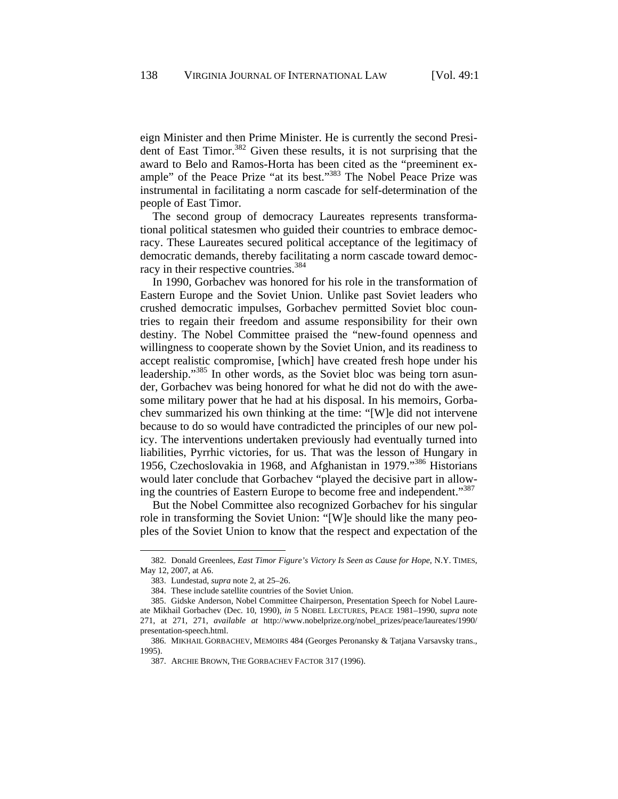eign Minister and then Prime Minister. He is currently the second President of East Timor.<sup>382</sup> Given these results, it is not surprising that the award to Belo and Ramos-Horta has been cited as the "preeminent example" of the Peace Prize "at its best."<sup>383</sup> The Nobel Peace Prize was instrumental in facilitating a norm cascade for self-determination of the people of East Timor.

The second group of democracy Laureates represents transformational political statesmen who guided their countries to embrace democracy. These Laureates secured political acceptance of the legitimacy of democratic demands, thereby facilitating a norm cascade toward democracy in their respective countries.<sup>384</sup>

In 1990, Gorbachev was honored for his role in the transformation of Eastern Europe and the Soviet Union. Unlike past Soviet leaders who crushed democratic impulses, Gorbachev permitted Soviet bloc countries to regain their freedom and assume responsibility for their own destiny. The Nobel Committee praised the "new-found openness and willingness to cooperate shown by the Soviet Union, and its readiness to accept realistic compromise, [which] have created fresh hope under his leadership."<sup>385</sup> In other words, as the Soviet bloc was being torn asunder, Gorbachev was being honored for what he did not do with the awesome military power that he had at his disposal. In his memoirs, Gorbachev summarized his own thinking at the time: "[W]e did not intervene because to do so would have contradicted the principles of our new policy. The interventions undertaken previously had eventually turned into liabilities, Pyrrhic victories, for us. That was the lesson of Hungary in 1956, Czechoslovakia in 1968, and Afghanistan in 1979."386 Historians would later conclude that Gorbachev "played the decisive part in allowing the countries of Eastern Europe to become free and independent."<sup>387</sup>

But the Nobel Committee also recognized Gorbachev for his singular role in transforming the Soviet Union: "[W]e should like the many peoples of the Soviet Union to know that the respect and expectation of the

<sup>382.</sup> Donald Greenlees, *East Timor Figure's Victory Is Seen as Cause for Hope*, N.Y. TIMES, May 12, 2007, at A6.

<sup>383.</sup> Lundestad, *supra* note 2, at 25–26.

<sup>384.</sup> These include satellite countries of the Soviet Union.

<sup>385.</sup> Gidske Anderson, Nobel Committee Chairperson, Presentation Speech for Nobel Laureate Mikhail Gorbachev (Dec. 10, 1990), *in* 5 NOBEL LECTURES, PEACE 1981–1990, *supra* note 271, at 271, 271, *available at* http://www.nobelprize.org/nobel\_prizes/peace/laureates/1990/ presentation-speech.html.

<sup>386.</sup> MIKHAIL GORBACHEV, MEMOIRS 484 (Georges Peronansky & Tatjana Varsavsky trans., 1995).

<sup>387.</sup> ARCHIE BROWN, THE GORBACHEV FACTOR 317 (1996).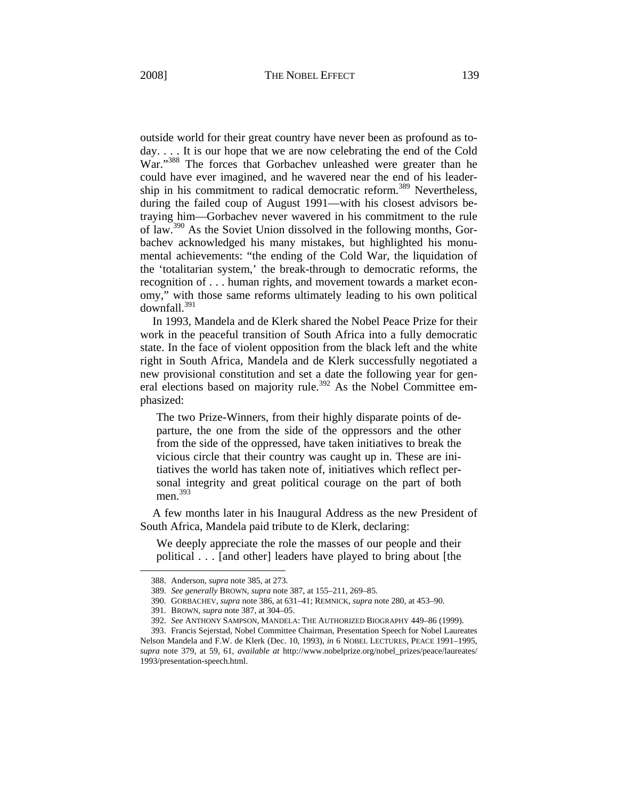outside world for their great country have never been as profound as today. . . . It is our hope that we are now celebrating the end of the Cold War."<sup>388</sup> The forces that Gorbachev unleashed were greater than he could have ever imagined, and he wavered near the end of his leadership in his commitment to radical democratic reform.<sup>389</sup> Nevertheless, during the failed coup of August 1991—with his closest advisors betraying him—Gorbachev never wavered in his commitment to the rule of law.<sup>390</sup> As the Soviet Union dissolved in the following months, Gorbachev acknowledged his many mistakes, but highlighted his monumental achievements: "the ending of the Cold War, the liquidation of the 'totalitarian system,' the break-through to democratic reforms, the recognition of . . . human rights, and movement towards a market economy," with those same reforms ultimately leading to his own political  $downfall<sup>391</sup>$ 

In 1993, Mandela and de Klerk shared the Nobel Peace Prize for their work in the peaceful transition of South Africa into a fully democratic state. In the face of violent opposition from the black left and the white right in South Africa, Mandela and de Klerk successfully negotiated a new provisional constitution and set a date the following year for general elections based on majority rule.<sup>392</sup> As the Nobel Committee emphasized:

The two Prize-Winners, from their highly disparate points of departure, the one from the side of the oppressors and the other from the side of the oppressed, have taken initiatives to break the vicious circle that their country was caught up in. These are initiatives the world has taken note of, initiatives which reflect personal integrity and great political courage on the part of both men.<sup>393</sup>

A few months later in his Inaugural Address as the new President of South Africa, Mandela paid tribute to de Klerk, declaring:

We deeply appreciate the role the masses of our people and their political . . . [and other] leaders have played to bring about [the

1

<sup>388.</sup> Anderson, *supra* note 385, at 273.

<sup>389.</sup> *See generally* BROWN, *supra* note 387, at 155–211, 269–85.

<sup>390.</sup> GORBACHEV, *supra* note 386, at 631–41; REMNICK, *supra* note 280, at 453–90.

<sup>391.</sup> BROWN, *supra* note 387, at 304–05.

<sup>392.</sup> *See* ANTHONY SAMPSON, MANDELA: THE AUTHORIZED BIOGRAPHY 449–86 (1999).

<sup>393.</sup> Francis Sejerstad, Nobel Committee Chairman, Presentation Speech for Nobel Laureates Nelson Mandela and F.W. de Klerk (Dec. 10, 1993), *in* 6 NOBEL LECTURES, PEACE 1991–1995, *supra* note 379, at 59, 61, *available at* http://www.nobelprize.org/nobel\_prizes/peace/laureates/ 1993/presentation-speech.html.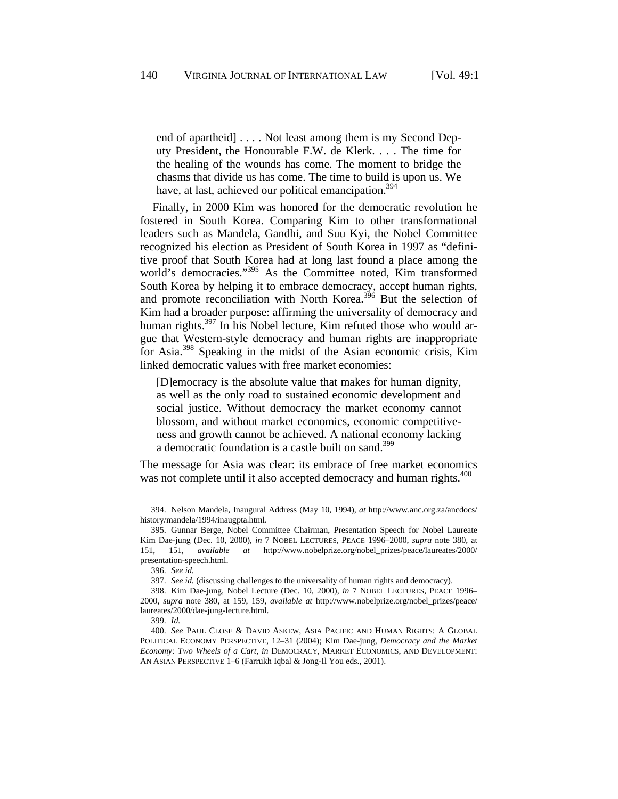end of apartheid] . . . . Not least among them is my Second Deputy President, the Honourable F.W. de Klerk. . . . The time for the healing of the wounds has come. The moment to bridge the chasms that divide us has come. The time to build is upon us. We have, at last, achieved our political emancipation.<sup>394</sup>

Finally, in 2000 Kim was honored for the democratic revolution he fostered in South Korea. Comparing Kim to other transformational leaders such as Mandela, Gandhi, and Suu Kyi, the Nobel Committee recognized his election as President of South Korea in 1997 as "definitive proof that South Korea had at long last found a place among the world's democracies."<sup>395</sup> As the Committee noted, Kim transformed South Korea by helping it to embrace democracy, accept human rights, and promote reconciliation with North Korea.<sup>396</sup> But the selection of Kim had a broader purpose: affirming the universality of democracy and human rights.<sup>397</sup> In his Nobel lecture, Kim refuted those who would argue that Western-style democracy and human rights are inappropriate for Asia.398 Speaking in the midst of the Asian economic crisis, Kim linked democratic values with free market economies:

[D]emocracy is the absolute value that makes for human dignity, as well as the only road to sustained economic development and social justice. Without democracy the market economy cannot blossom, and without market economics, economic competitiveness and growth cannot be achieved. A national economy lacking a democratic foundation is a castle built on sand.<sup>399</sup>

The message for Asia was clear: its embrace of free market economics was not complete until it also accepted democracy and human rights.<sup>400</sup>

<sup>394.</sup> Nelson Mandela, Inaugural Address (May 10, 1994), *at* http://www.anc.org.za/ancdocs/ history/mandela/1994/inaugpta.html.

<sup>395.</sup> Gunnar Berge, Nobel Committee Chairman, Presentation Speech for Nobel Laureate Kim Dae-jung (Dec. 10, 2000), *in* 7 NOBEL LECTURES, PEACE 1996–2000, *supra* note 380, at 151, 151, *available at* http://www.nobelprize.org/nobel\_prizes/peace/laureates/2000/ presentation-speech.html.

<sup>396.</sup> *See id.*

<sup>397.</sup> *See id.* (discussing challenges to the universality of human rights and democracy).

<sup>398.</sup> Kim Dae-jung, Nobel Lecture (Dec. 10, 2000), *in* 7 NOBEL LECTURES, PEACE 1996– 2000, *supra* note 380, at 159, 159, *available at* http://www.nobelprize.org/nobel\_prizes/peace/ laureates/2000/dae-jung-lecture.html.

<sup>399.</sup> *Id.*

<sup>400.</sup> *See* PAUL CLOSE & DAVID ASKEW, ASIA PACIFIC AND HUMAN RIGHTS: A GLOBAL POLITICAL ECONOMY PERSPECTIVE, 12–31 (2004); Kim Dae-jung, *Democracy and the Market Economy: Two Wheels of a Cart*, *in* DEMOCRACY, MARKET ECONOMICS, AND DEVELOPMENT: AN ASIAN PERSPECTIVE 1–6 (Farrukh Iqbal & Jong-Il You eds., 2001).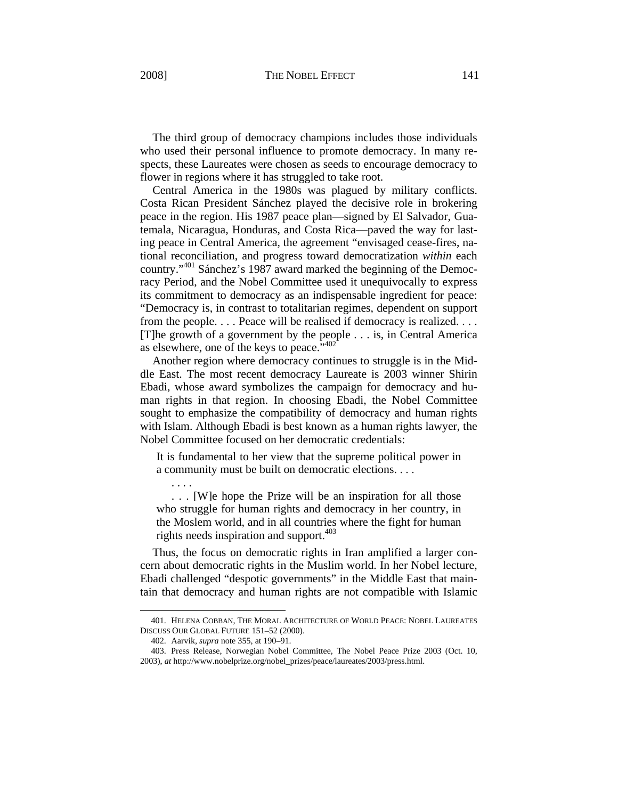The third group of democracy champions includes those individuals who used their personal influence to promote democracy. In many respects, these Laureates were chosen as seeds to encourage democracy to flower in regions where it has struggled to take root.

Central America in the 1980s was plagued by military conflicts. Costa Rican President Sánchez played the decisive role in brokering peace in the region. His 1987 peace plan—signed by El Salvador, Guatemala, Nicaragua, Honduras, and Costa Rica—paved the way for lasting peace in Central America, the agreement "envisaged cease-fires, national reconciliation, and progress toward democratization *within* each country."401 Sánchez's 1987 award marked the beginning of the Democracy Period, and the Nobel Committee used it unequivocally to express its commitment to democracy as an indispensable ingredient for peace: "Democracy is, in contrast to totalitarian regimes, dependent on support from the people. . . . Peace will be realised if democracy is realized. . . . [T]he growth of a government by the people . . . is, in Central America as elsewhere, one of the keys to peace." $402$ 

Another region where democracy continues to struggle is in the Middle East. The most recent democracy Laureate is 2003 winner Shirin Ebadi, whose award symbolizes the campaign for democracy and human rights in that region. In choosing Ebadi, the Nobel Committee sought to emphasize the compatibility of democracy and human rights with Islam. Although Ebadi is best known as a human rights lawyer, the Nobel Committee focused on her democratic credentials:

It is fundamental to her view that the supreme political power in a community must be built on democratic elections. . . .

 . . . . . . . [W]e hope the Prize will be an inspiration for all those who struggle for human rights and democracy in her country, in the Moslem world, and in all countries where the fight for human rights needs inspiration and support.  $403$ 

Thus, the focus on democratic rights in Iran amplified a larger concern about democratic rights in the Muslim world. In her Nobel lecture, Ebadi challenged "despotic governments" in the Middle East that maintain that democracy and human rights are not compatible with Islamic

<sup>401.</sup> HELENA COBBAN, THE MORAL ARCHITECTURE OF WORLD PEACE: NOBEL LAUREATES DISCUSS OUR GLOBAL FUTURE 151–52 (2000).

<sup>402.</sup> Aarvik, *supra* note 355, at 190–91.

<sup>403.</sup> Press Release, Norwegian Nobel Committee, The Nobel Peace Prize 2003 (Oct. 10, 2003), *at* http://www.nobelprize.org/nobel\_prizes/peace/laureates/2003/press.html.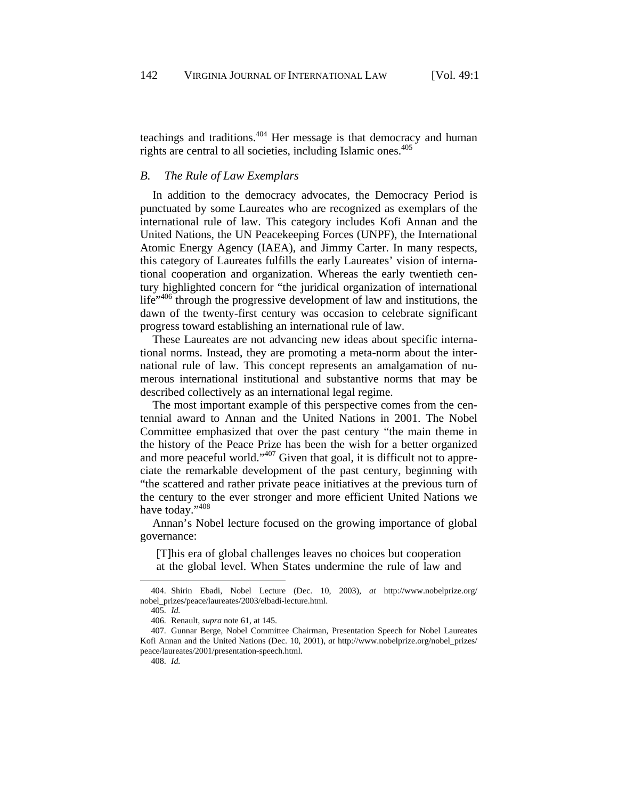teachings and traditions.<sup> $404$ </sup> Her message is that democracy and human rights are central to all societies, including Islamic ones.<sup>405</sup>

### *B. The Rule of Law Exemplars*

In addition to the democracy advocates, the Democracy Period is punctuated by some Laureates who are recognized as exemplars of the international rule of law. This category includes Kofi Annan and the United Nations, the UN Peacekeeping Forces (UNPF), the International Atomic Energy Agency (IAEA), and Jimmy Carter. In many respects, this category of Laureates fulfills the early Laureates' vision of international cooperation and organization. Whereas the early twentieth century highlighted concern for "the juridical organization of international life<sup>"406</sup> through the progressive development of law and institutions, the dawn of the twenty-first century was occasion to celebrate significant progress toward establishing an international rule of law.

These Laureates are not advancing new ideas about specific international norms. Instead, they are promoting a meta-norm about the international rule of law. This concept represents an amalgamation of numerous international institutional and substantive norms that may be described collectively as an international legal regime.

The most important example of this perspective comes from the centennial award to Annan and the United Nations in 2001. The Nobel Committee emphasized that over the past century "the main theme in the history of the Peace Prize has been the wish for a better organized and more peaceful world." $407$  Given that goal, it is difficult not to appreciate the remarkable development of the past century, beginning with "the scattered and rather private peace initiatives at the previous turn of the century to the ever stronger and more efficient United Nations we have today."<sup>408</sup>

Annan's Nobel lecture focused on the growing importance of global governance:

[T]his era of global challenges leaves no choices but cooperation at the global level. When States undermine the rule of law and

<sup>404.</sup> Shirin Ebadi, Nobel Lecture (Dec. 10, 2003), *at* http://www.nobelprize.org/ nobel\_prizes/peace/laureates/2003/elbadi-lecture.html.

<sup>405.</sup> *Id.*

<sup>406.</sup> Renault, *supra* note 61, at 145.

<sup>407.</sup> Gunnar Berge, Nobel Committee Chairman, Presentation Speech for Nobel Laureates Kofi Annan and the United Nations (Dec. 10, 2001), *at* http://www.nobelprize.org/nobel\_prizes/ peace/laureates/2001/presentation-speech.html.

<sup>408.</sup> *Id.*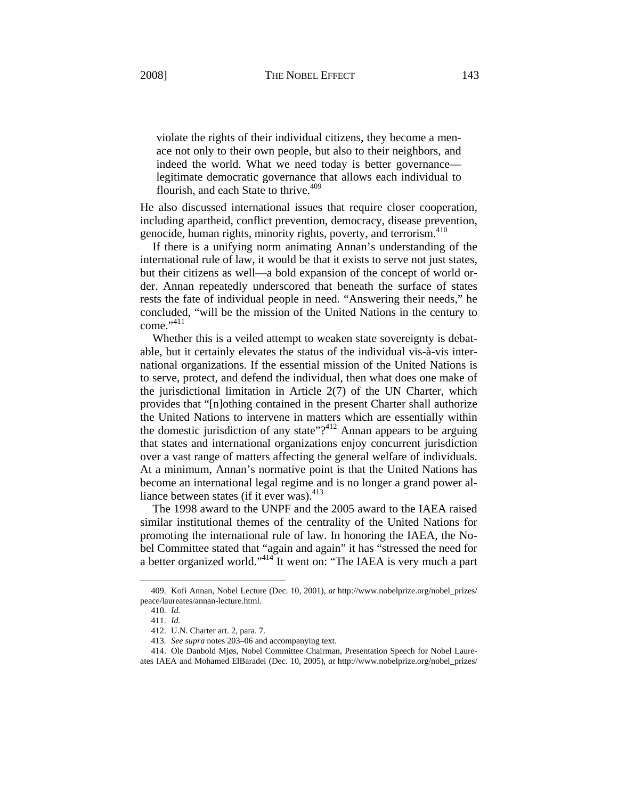violate the rights of their individual citizens, they become a menace not only to their own people, but also to their neighbors, and indeed the world. What we need today is better governance legitimate democratic governance that allows each individual to flourish, and each State to thrive.<sup>409</sup>

He also discussed international issues that require closer cooperation, including apartheid, conflict prevention, democracy, disease prevention, genocide, human rights, minority rights, poverty, and terrorism.<sup>410</sup>

If there is a unifying norm animating Annan's understanding of the international rule of law, it would be that it exists to serve not just states, but their citizens as well—a bold expansion of the concept of world order. Annan repeatedly underscored that beneath the surface of states rests the fate of individual people in need. "Answering their needs," he concluded, "will be the mission of the United Nations in the century to come."411

Whether this is a veiled attempt to weaken state sovereignty is debatable, but it certainly elevates the status of the individual vis-à-vis international organizations. If the essential mission of the United Nations is to serve, protect, and defend the individual, then what does one make of the jurisdictional limitation in Article 2(7) of the UN Charter, which provides that "[n]othing contained in the present Charter shall authorize the United Nations to intervene in matters which are essentially within the domestic jurisdiction of any state" $?$ <sup>412</sup> Annan appears to be arguing that states and international organizations enjoy concurrent jurisdiction over a vast range of matters affecting the general welfare of individuals. At a minimum, Annan's normative point is that the United Nations has become an international legal regime and is no longer a grand power alliance between states (if it ever was).<sup>413</sup>

The 1998 award to the UNPF and the 2005 award to the IAEA raised similar institutional themes of the centrality of the United Nations for promoting the international rule of law. In honoring the IAEA, the Nobel Committee stated that "again and again" it has "stressed the need for a better organized world."<sup>414</sup> It went on: "The IAEA is very much a part

<sup>409.</sup> Kofi Annan, Nobel Lecture (Dec. 10, 2001), *at* http://www.nobelprize.org/nobel\_prizes/ peace/laureates/annan-lecture.html.

<sup>410.</sup> *Id.*

<sup>411.</sup> *Id.*

<sup>412.</sup> U.N. Charter art. 2, para. 7.

<sup>413.</sup> *See supra* notes 203–06 and accompanying text.

<sup>414.</sup> Ole Danbold Mjøs, Nobel Committee Chairman, Presentation Speech for Nobel Laureates IAEA and Mohamed ElBaradei (Dec. 10, 2005), *at* http://www.nobelprize.org/nobel\_prizes/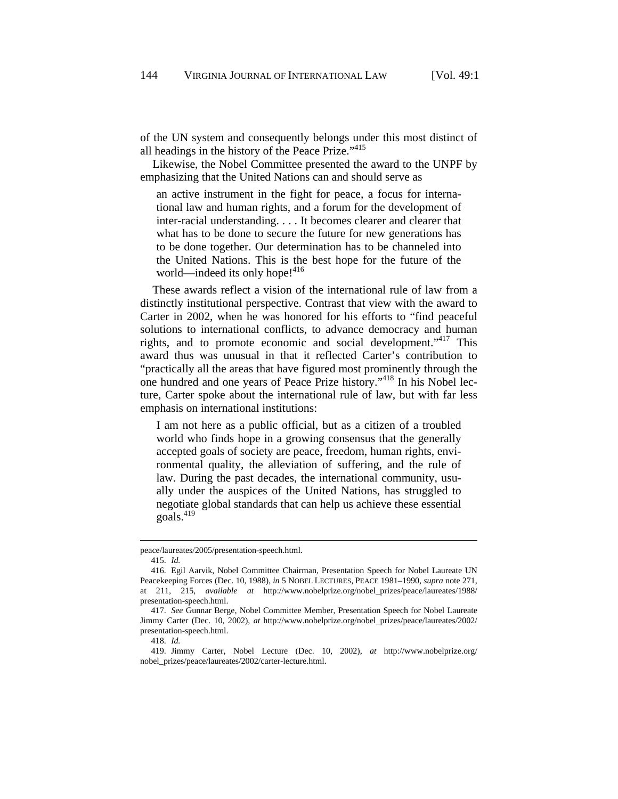of the UN system and consequently belongs under this most distinct of all headings in the history of the Peace Prize."415

Likewise, the Nobel Committee presented the award to the UNPF by emphasizing that the United Nations can and should serve as

an active instrument in the fight for peace, a focus for international law and human rights, and a forum for the development of inter-racial understanding. . . . It becomes clearer and clearer that what has to be done to secure the future for new generations has to be done together. Our determination has to be channeled into the United Nations. This is the best hope for the future of the world—indeed its only hope!<sup>416</sup>

These awards reflect a vision of the international rule of law from a distinctly institutional perspective. Contrast that view with the award to Carter in 2002, when he was honored for his efforts to "find peaceful solutions to international conflicts, to advance democracy and human rights, and to promote economic and social development."<sup>417</sup> This award thus was unusual in that it reflected Carter's contribution to "practically all the areas that have figured most prominently through the one hundred and one years of Peace Prize history."418 In his Nobel lecture, Carter spoke about the international rule of law, but with far less emphasis on international institutions:

I am not here as a public official, but as a citizen of a troubled world who finds hope in a growing consensus that the generally accepted goals of society are peace, freedom, human rights, environmental quality, the alleviation of suffering, and the rule of law. During the past decades, the international community, usually under the auspices of the United Nations, has struggled to negotiate global standards that can help us achieve these essential goals.419

l

peace/laureates/2005/presentation-speech.html. 415. *Id.*

<sup>416.</sup> Egil Aarvik, Nobel Committee Chairman, Presentation Speech for Nobel Laureate UN Peacekeeping Forces (Dec. 10, 1988), *in* 5 NOBEL LECTURES, PEACE 1981–1990, *supra* note 271, at 211, 215, *available at* http://www.nobelprize.org/nobel\_prizes/peace/laureates/1988/ presentation-speech.html.

<sup>417.</sup> *See* Gunnar Berge, Nobel Committee Member, Presentation Speech for Nobel Laureate Jimmy Carter (Dec. 10, 2002), *at* http://www.nobelprize.org/nobel\_prizes/peace/laureates/2002/ presentation-speech.html.

<sup>418.</sup> *Id.*

<sup>419.</sup> Jimmy Carter, Nobel Lecture (Dec. 10, 2002), *at* http://www.nobelprize.org/ nobel\_prizes/peace/laureates/2002/carter-lecture.html.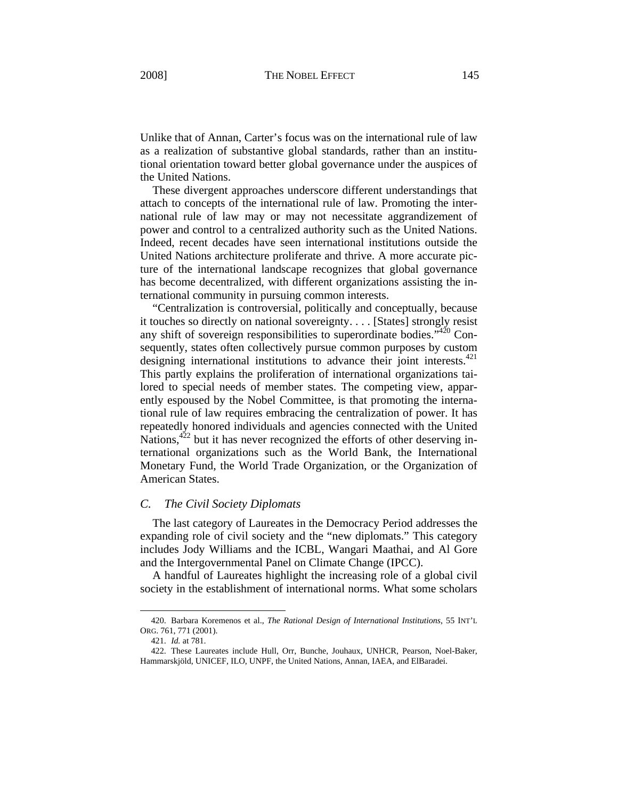Unlike that of Annan, Carter's focus was on the international rule of law as a realization of substantive global standards, rather than an institutional orientation toward better global governance under the auspices of the United Nations.

These divergent approaches underscore different understandings that attach to concepts of the international rule of law. Promoting the international rule of law may or may not necessitate aggrandizement of power and control to a centralized authority such as the United Nations. Indeed, recent decades have seen international institutions outside the United Nations architecture proliferate and thrive. A more accurate picture of the international landscape recognizes that global governance has become decentralized, with different organizations assisting the international community in pursuing common interests.

"Centralization is controversial, politically and conceptually, because it touches so directly on national sovereignty. . . . [States] strongly resist any shift of sovereign responsibilities to superordinate bodies.<sup> $420$ </sup> Consequently, states often collectively pursue common purposes by custom designing international institutions to advance their joint interests. $421$ This partly explains the proliferation of international organizations tailored to special needs of member states. The competing view, apparently espoused by the Nobel Committee, is that promoting the international rule of law requires embracing the centralization of power. It has repeatedly honored individuals and agencies connected with the United Nations,  $422$  but it has never recognized the efforts of other deserving international organizations such as the World Bank, the International Monetary Fund, the World Trade Organization, or the Organization of American States.

## *C. The Civil Society Diplomats*

The last category of Laureates in the Democracy Period addresses the expanding role of civil society and the "new diplomats." This category includes Jody Williams and the ICBL, Wangari Maathai, and Al Gore and the Intergovernmental Panel on Climate Change (IPCC).

A handful of Laureates highlight the increasing role of a global civil society in the establishment of international norms. What some scholars

<sup>420.</sup> Barbara Koremenos et al., *The Rational Design of International Institutions*, 55 INT'L ORG. 761, 771 (2001).

<sup>421.</sup> *Id.* at 781.

<sup>422.</sup> These Laureates include Hull, Orr, Bunche, Jouhaux, UNHCR, Pearson, Noel-Baker, Hammarskjöld, UNICEF, ILO, UNPF, the United Nations, Annan, IAEA, and ElBaradei.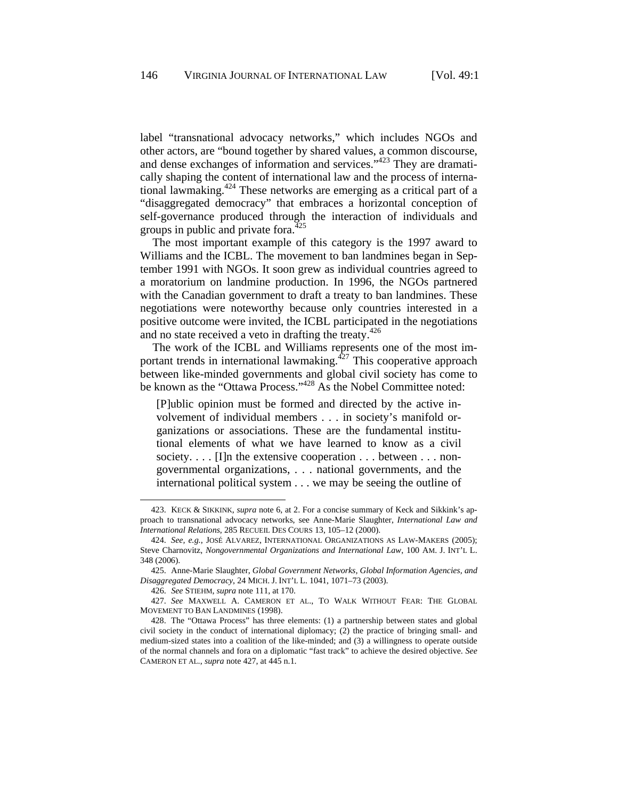label "transnational advocacy networks," which includes NGOs and other actors, are "bound together by shared values, a common discourse, and dense exchanges of information and services.<sup>"423</sup> They are dramatically shaping the content of international law and the process of international lawmaking.<sup>424</sup> These networks are emerging as a critical part of a "disaggregated democracy" that embraces a horizontal conception of self-governance produced through the interaction of individuals and groups in public and private fora.<sup>425</sup>

The most important example of this category is the 1997 award to Williams and the ICBL. The movement to ban landmines began in September 1991 with NGOs. It soon grew as individual countries agreed to a moratorium on landmine production. In 1996, the NGOs partnered with the Canadian government to draft a treaty to ban landmines. These negotiations were noteworthy because only countries interested in a positive outcome were invited, the ICBL participated in the negotiations and no state received a veto in drafting the treaty. $426$ 

The work of the ICBL and Williams represents one of the most important trends in international lawmaking.<sup> $427$ </sup> This cooperative approach between like-minded governments and global civil society has come to be known as the "Ottawa Process."<sup>428</sup> As the Nobel Committee noted:

[P]ublic opinion must be formed and directed by the active involvement of individual members . . . in society's manifold organizations or associations. These are the fundamental institutional elements of what we have learned to know as a civil society. . . . [I]n the extensive cooperation . . . between . . . nongovernmental organizations, . . . national governments, and the international political system . . . we may be seeing the outline of

<sup>423.</sup> KECK & SIKKINK, *supra* note 6, at 2. For a concise summary of Keck and Sikkink's approach to transnational advocacy networks, see Anne-Marie Slaughter, *International Law and International Relations*, 285 RECUEIL DES COURS 13, 105–12 (2000).

<sup>424.</sup> *See, e.g.*, JOSÉ ALVAREZ, INTERNATIONAL ORGANIZATIONS AS LAW-MAKERS (2005); Steve Charnovitz, *Nongovernmental Organizations and International Law*, 100 AM. J. INT'L L. 348 (2006).

<sup>425.</sup> Anne-Marie Slaughter, *Global Government Networks, Global Information Agencies, and Disaggregated Democracy*, 24 MICH. J. INT'L L. 1041, 1071–73 (2003).

<sup>426.</sup> *See* STIEHM, *supra* note 111, at 170.

<sup>427.</sup> *See* MAXWELL A. CAMERON ET AL., TO WALK WITHOUT FEAR: THE GLOBAL MOVEMENT TO BAN LANDMINES (1998).

<sup>428.</sup> The "Ottawa Process" has three elements: (1) a partnership between states and global civil society in the conduct of international diplomacy; (2) the practice of bringing small- and medium-sized states into a coalition of the like-minded; and (3) a willingness to operate outside of the normal channels and fora on a diplomatic "fast track" to achieve the desired objective. *See* CAMERON ET AL., *supra* note 427, at 445 n.1.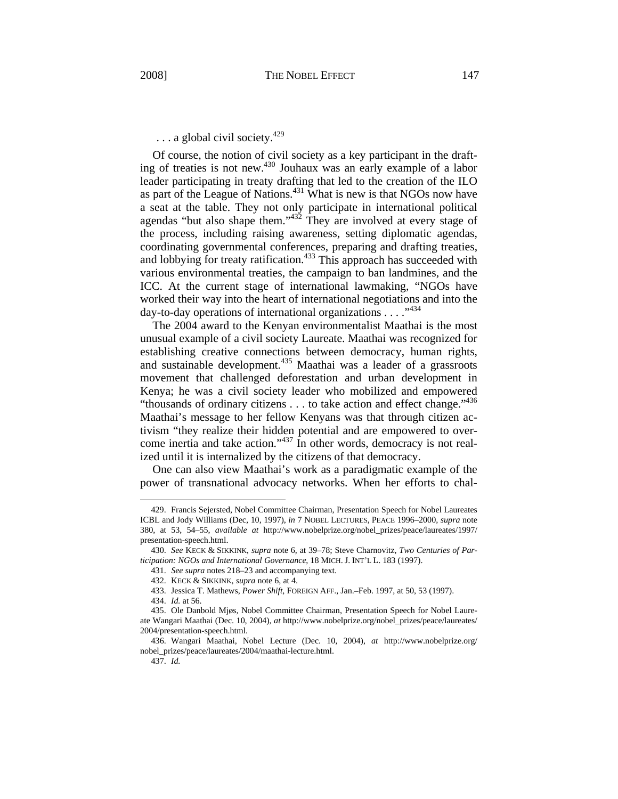$\ldots$  a global civil society.<sup>429</sup>

Of course, the notion of civil society as a key participant in the drafting of treaties is not new.430 Jouhaux was an early example of a labor leader participating in treaty drafting that led to the creation of the ILO as part of the League of Nations.<sup>431</sup> What is new is that NGOs now have a seat at the table. They not only participate in international political agendas "but also shape them."<sup>432</sup> They are involved at every stage of the process, including raising awareness, setting diplomatic agendas, coordinating governmental conferences, preparing and drafting treaties, and lobbying for treaty ratification.<sup>433</sup> This approach has succeeded with various environmental treaties, the campaign to ban landmines, and the ICC. At the current stage of international lawmaking, "NGOs have worked their way into the heart of international negotiations and into the day-to-day operations of international organizations . . . . "434"

The 2004 award to the Kenyan environmentalist Maathai is the most unusual example of a civil society Laureate. Maathai was recognized for establishing creative connections between democracy, human rights, and sustainable development.<sup>435</sup> Maathai was a leader of a grassroots movement that challenged deforestation and urban development in Kenya; he was a civil society leader who mobilized and empowered "thousands of ordinary citizens  $\dots$  to take action and effect change."<sup>436</sup> Maathai's message to her fellow Kenyans was that through citizen activism "they realize their hidden potential and are empowered to overcome inertia and take action."<sup>437</sup> In other words, democracy is not realized until it is internalized by the citizens of that democracy.

One can also view Maathai's work as a paradigmatic example of the power of transnational advocacy networks. When her efforts to chal-

<sup>429.</sup> Francis Sejersted, Nobel Committee Chairman, Presentation Speech for Nobel Laureates ICBL and Jody Williams (Dec, 10, 1997), *in* 7 NOBEL LECTURES, PEACE 1996–2000, *supra* note 380, at 53, 54–55, *available at* http://www.nobelprize.org/nobel\_prizes/peace/laureates/1997/ presentation-speech.html.

<sup>430.</sup> *See* KECK & SIKKINK, *supra* note 6, at 39–78; Steve Charnovitz, *Two Centuries of Participation: NGOs and International Governance*, 18 MICH. J. INT'L L. 183 (1997).

<sup>431.</sup> *See supra* notes 218–23 and accompanying text.

<sup>432.</sup> KECK & SIKKINK, *supra* note 6, at 4.

<sup>433.</sup> Jessica T. Mathews, *Power Shift*, FOREIGN AFF., Jan.–Feb. 1997, at 50, 53 (1997).

<sup>434.</sup> *Id.* at 56.

<sup>435.</sup> Ole Danbold Mjøs, Nobel Committee Chairman, Presentation Speech for Nobel Laureate Wangari Maathai (Dec. 10, 2004), *at* http://www.nobelprize.org/nobel\_prizes/peace/laureates/ 2004/presentation-speech.html.

<sup>436.</sup> Wangari Maathai, Nobel Lecture (Dec. 10, 2004), *at* http://www.nobelprize.org/ nobel\_prizes/peace/laureates/2004/maathai-lecture.html.

<sup>437.</sup> *Id.*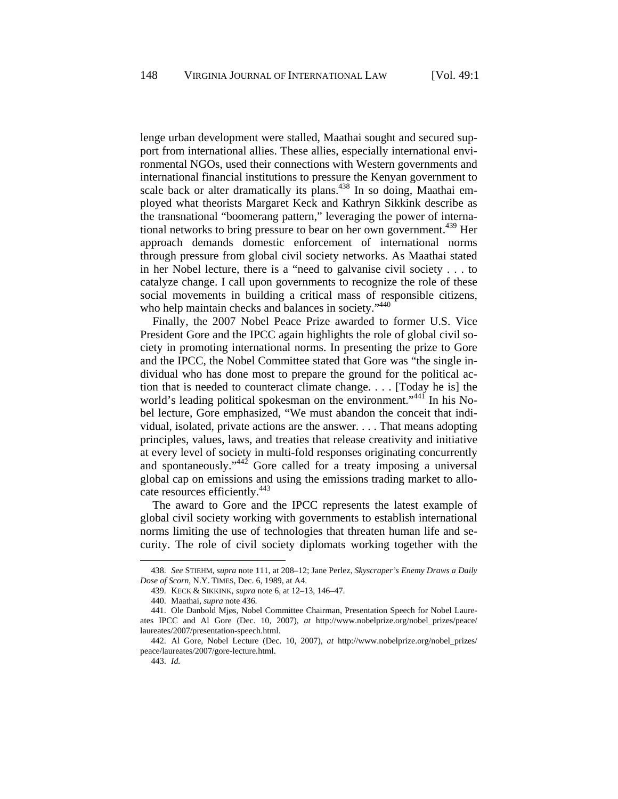lenge urban development were stalled, Maathai sought and secured support from international allies. These allies, especially international environmental NGOs, used their connections with Western governments and international financial institutions to pressure the Kenyan government to scale back or alter dramatically its plans.<sup>438</sup> In so doing, Maathai employed what theorists Margaret Keck and Kathryn Sikkink describe as the transnational "boomerang pattern," leveraging the power of international networks to bring pressure to bear on her own government.<sup>439</sup> Her approach demands domestic enforcement of international norms through pressure from global civil society networks. As Maathai stated in her Nobel lecture, there is a "need to galvanise civil society . . . to catalyze change. I call upon governments to recognize the role of these social movements in building a critical mass of responsible citizens, who help maintain checks and balances in society."<sup>440</sup>

Finally, the 2007 Nobel Peace Prize awarded to former U.S. Vice President Gore and the IPCC again highlights the role of global civil society in promoting international norms. In presenting the prize to Gore and the IPCC, the Nobel Committee stated that Gore was "the single individual who has done most to prepare the ground for the political action that is needed to counteract climate change. . . . [Today he is] the world's leading political spokesman on the environment."<sup>441</sup> In his Nobel lecture, Gore emphasized, "We must abandon the conceit that individual, isolated, private actions are the answer. . . . That means adopting principles, values, laws, and treaties that release creativity and initiative at every level of society in multi-fold responses originating concurrently and spontaneously."442 Gore called for a treaty imposing a universal global cap on emissions and using the emissions trading market to allocate resources efficiently.<sup>443</sup>

The award to Gore and the IPCC represents the latest example of global civil society working with governments to establish international norms limiting the use of technologies that threaten human life and security. The role of civil society diplomats working together with the

<sup>438.</sup> *See* STIEHM, *supra* note 111, at 208–12; Jane Perlez, *Skyscraper's Enemy Draws a Daily Dose of Scorn*, N.Y. TIMES, Dec. 6, 1989, at A4.

<sup>439.</sup> KECK & SIKKINK, *supra* note 6, at 12–13, 146–47.

<sup>440.</sup> Maathai, *supra* note 436.

<sup>441.</sup> Ole Danbold Mjøs, Nobel Committee Chairman, Presentation Speech for Nobel Laureates IPCC and Al Gore (Dec. 10, 2007), *at* http://www.nobelprize.org/nobel\_prizes/peace/ laureates/2007/presentation-speech.html.

<sup>442.</sup> Al Gore, Nobel Lecture (Dec. 10, 2007), *at* http://www.nobelprize.org/nobel\_prizes/ peace/laureates/2007/gore-lecture.html.

<sup>443.</sup> *Id.*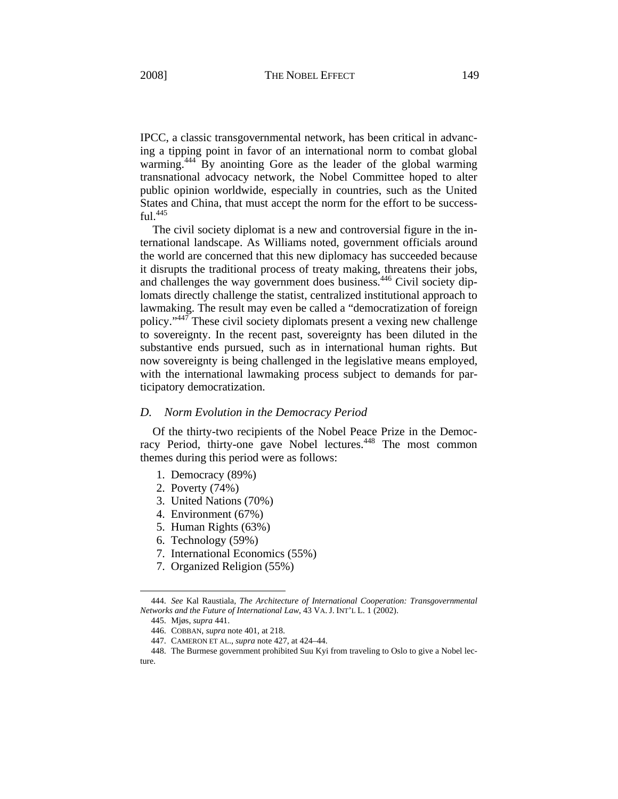IPCC, a classic transgovernmental network, has been critical in advancing a tipping point in favor of an international norm to combat global warming.<sup>444</sup> By anointing Gore as the leader of the global warming transnational advocacy network, the Nobel Committee hoped to alter public opinion worldwide, especially in countries, such as the United States and China, that must accept the norm for the effort to be success $fu1.445$ 

The civil society diplomat is a new and controversial figure in the international landscape. As Williams noted, government officials around the world are concerned that this new diplomacy has succeeded because it disrupts the traditional process of treaty making, threatens their jobs, and challenges the way government does business.446 Civil society diplomats directly challenge the statist, centralized institutional approach to lawmaking. The result may even be called a "democratization of foreign policy."447 These civil society diplomats present a vexing new challenge to sovereignty. In the recent past, sovereignty has been diluted in the substantive ends pursued, such as in international human rights. But now sovereignty is being challenged in the legislative means employed, with the international lawmaking process subject to demands for participatory democratization.

### *D. Norm Evolution in the Democracy Period*

Of the thirty-two recipients of the Nobel Peace Prize in the Democracy Period, thirty-one gave Nobel lectures.<sup>448</sup> The most common themes during this period were as follows:

- 1. Democracy (89%)
- 2. Poverty (74%)
- 3. United Nations (70%)
- 4. Environment (67%)
- 5. Human Rights (63%)
- 6. Technology (59%)
- 7. International Economics (55%)
- 7. Organized Religion (55%)

<sup>444.</sup> *See* Kal Raustiala, *The Architecture of International Cooperation: Transgovernmental Networks and the Future of International Law*, 43 VA. J. INT'L L. 1 (2002).

<sup>445.</sup> Mjøs, *supra* 441.

<sup>446.</sup> COBBAN, *supra* note 401, at 218.

<sup>447.</sup> CAMERON ET AL., *supra* note 427, at 424–44.

<sup>448.</sup> The Burmese government prohibited Suu Kyi from traveling to Oslo to give a Nobel lecture.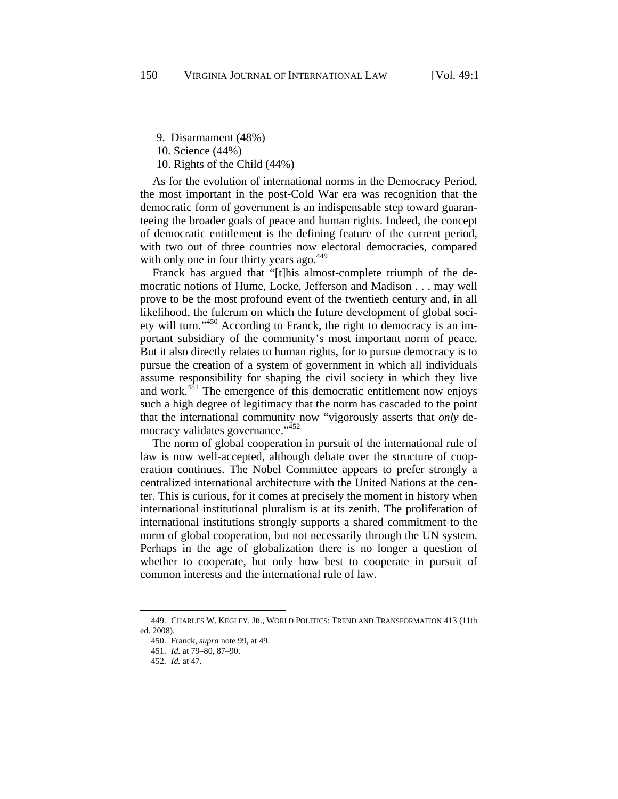9. Disarmament (48%)

10. Science (44%)

10. Rights of the Child (44%)

As for the evolution of international norms in the Democracy Period, the most important in the post-Cold War era was recognition that the democratic form of government is an indispensable step toward guaranteeing the broader goals of peace and human rights. Indeed, the concept of democratic entitlement is the defining feature of the current period, with two out of three countries now electoral democracies, compared with only one in four thirty years ago.<sup>449</sup>

Franck has argued that "[t]his almost-complete triumph of the democratic notions of Hume, Locke, Jefferson and Madison . . . may well prove to be the most profound event of the twentieth century and, in all likelihood, the fulcrum on which the future development of global society will turn."<sup>450</sup> According to Franck, the right to democracy is an important subsidiary of the community's most important norm of peace. But it also directly relates to human rights, for to pursue democracy is to pursue the creation of a system of government in which all individuals assume responsibility for shaping the civil society in which they live and work. $451$  The emergence of this democratic entitlement now enjoys such a high degree of legitimacy that the norm has cascaded to the point that the international community now "vigorously asserts that *only* democracy validates governance."  $452$ 

The norm of global cooperation in pursuit of the international rule of law is now well-accepted, although debate over the structure of cooperation continues. The Nobel Committee appears to prefer strongly a centralized international architecture with the United Nations at the center. This is curious, for it comes at precisely the moment in history when international institutional pluralism is at its zenith. The proliferation of international institutions strongly supports a shared commitment to the norm of global cooperation, but not necessarily through the UN system. Perhaps in the age of globalization there is no longer a question of whether to cooperate, but only how best to cooperate in pursuit of common interests and the international rule of law.

<sup>449.</sup> CHARLES W. KEGLEY, JR., WORLD POLITICS: TREND AND TRANSFORMATION 413 (11th ed. 2008).

<sup>450.</sup> Franck, *supra* note 99, at 49.

<sup>451.</sup> *Id.* at 79–80, 87–90.

<sup>452.</sup> *Id.* at 47.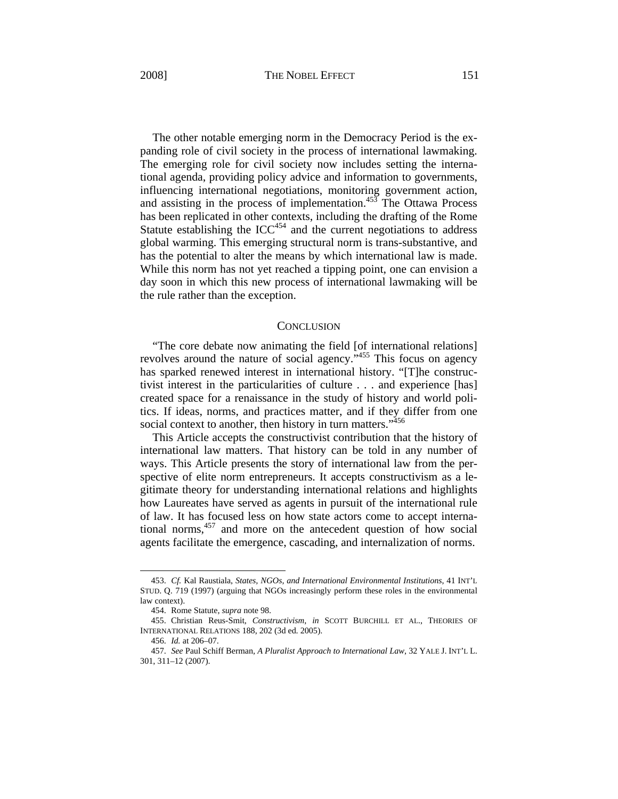The other notable emerging norm in the Democracy Period is the expanding role of civil society in the process of international lawmaking. The emerging role for civil society now includes setting the international agenda, providing policy advice and information to governments, influencing international negotiations, monitoring government action, and assisting in the process of implementation.<sup>453</sup> The Ottawa Process has been replicated in other contexts, including the drafting of the Rome Statute establishing the  $ICC<sup>454</sup>$  and the current negotiations to address global warming. This emerging structural norm is trans-substantive, and has the potential to alter the means by which international law is made. While this norm has not yet reached a tipping point, one can envision a day soon in which this new process of international lawmaking will be the rule rather than the exception.

### **CONCLUSION**

"The core debate now animating the field [of international relations] revolves around the nature of social agency."<sup>455</sup> This focus on agency has sparked renewed interest in international history. "[T]he constructivist interest in the particularities of culture . . . and experience [has] created space for a renaissance in the study of history and world politics. If ideas, norms, and practices matter, and if they differ from one social context to another, then history in turn matters."<sup>456</sup>

This Article accepts the constructivist contribution that the history of international law matters. That history can be told in any number of ways. This Article presents the story of international law from the perspective of elite norm entrepreneurs. It accepts constructivism as a legitimate theory for understanding international relations and highlights how Laureates have served as agents in pursuit of the international rule of law. It has focused less on how state actors come to accept international norms, $457$  and more on the antecedent question of how social agents facilitate the emergence, cascading, and internalization of norms.

1

<sup>453.</sup> *Cf.* Kal Raustiala, *States, NGOs, and International Environmental Institutions*, 41 INT'L STUD. Q. 719 (1997) (arguing that NGOs increasingly perform these roles in the environmental law context).

<sup>454.</sup> Rome Statute, *supra* note 98.

<sup>455.</sup> Christian Reus-Smit, *Constructivism*, *in* SCOTT BURCHILL ET AL., THEORIES OF INTERNATIONAL RELATIONS 188, 202 (3d ed. 2005).

<sup>456.</sup> *Id.* at 206–07.

<sup>457.</sup> *See* Paul Schiff Berman, *A Pluralist Approach to International Law*, 32 YALE J. INT'L L. 301, 311–12 (2007).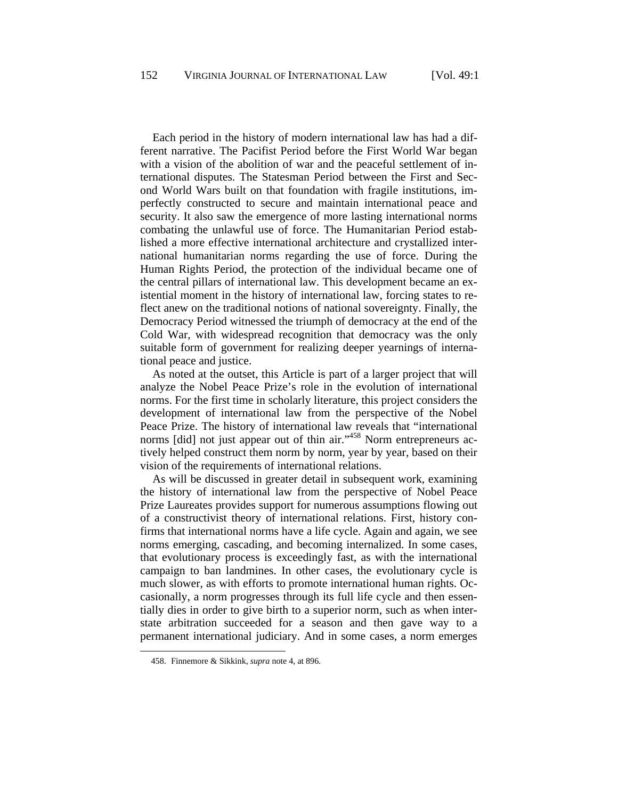Each period in the history of modern international law has had a different narrative. The Pacifist Period before the First World War began with a vision of the abolition of war and the peaceful settlement of international disputes. The Statesman Period between the First and Second World Wars built on that foundation with fragile institutions, imperfectly constructed to secure and maintain international peace and security. It also saw the emergence of more lasting international norms combating the unlawful use of force. The Humanitarian Period established a more effective international architecture and crystallized international humanitarian norms regarding the use of force. During the Human Rights Period, the protection of the individual became one of the central pillars of international law. This development became an existential moment in the history of international law, forcing states to reflect anew on the traditional notions of national sovereignty. Finally, the Democracy Period witnessed the triumph of democracy at the end of the Cold War, with widespread recognition that democracy was the only suitable form of government for realizing deeper yearnings of international peace and justice.

As noted at the outset, this Article is part of a larger project that will analyze the Nobel Peace Prize's role in the evolution of international norms. For the first time in scholarly literature, this project considers the development of international law from the perspective of the Nobel Peace Prize. The history of international law reveals that "international norms [did] not just appear out of thin air."<sup>458</sup> Norm entrepreneurs actively helped construct them norm by norm, year by year, based on their vision of the requirements of international relations.

As will be discussed in greater detail in subsequent work, examining the history of international law from the perspective of Nobel Peace Prize Laureates provides support for numerous assumptions flowing out of a constructivist theory of international relations. First, history confirms that international norms have a life cycle. Again and again, we see norms emerging, cascading, and becoming internalized. In some cases, that evolutionary process is exceedingly fast, as with the international campaign to ban landmines. In other cases, the evolutionary cycle is much slower, as with efforts to promote international human rights. Occasionally, a norm progresses through its full life cycle and then essentially dies in order to give birth to a superior norm, such as when interstate arbitration succeeded for a season and then gave way to a permanent international judiciary. And in some cases, a norm emerges

<sup>458.</sup> Finnemore & Sikkink, *supra* note 4, at 896.